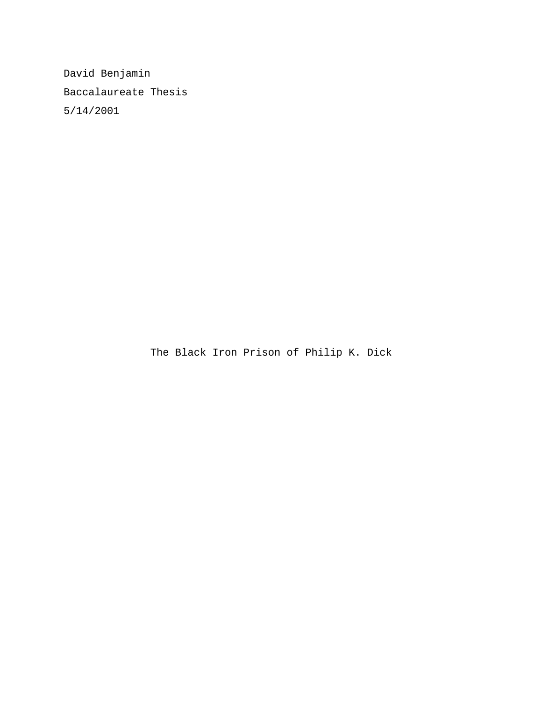David Benjamin Baccalaureate Thesis 5/14/2001

The Black Iron Prison of Philip K. Dick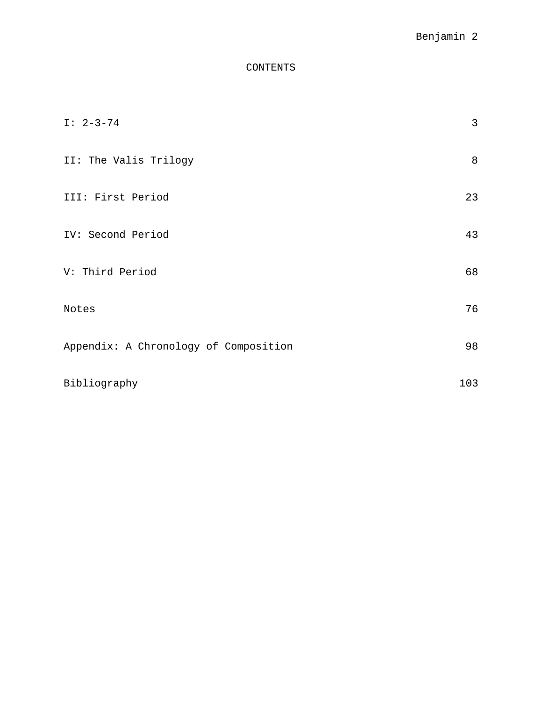# CONTENTS

| $I: 2-3-74$                           | $\mathbf{3}$ |
|---------------------------------------|--------------|
| II: The Valis Trilogy                 | 8            |
| III: First Period                     | 23           |
| IV: Second Period                     | 43           |
| V: Third Period                       | 68           |
| Notes                                 | 76           |
| Appendix: A Chronology of Composition | 98           |
| Bibliography                          | 103          |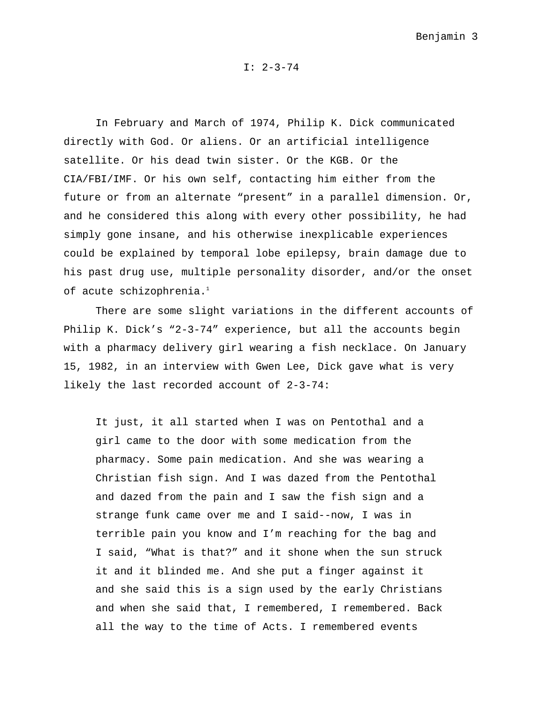#### I: 2-3-74

In February and March of 1974, Philip K. Dick communicated directly with God. Or aliens. Or an artificial intelligence satellite. Or his dead twin sister. Or the KGB. Or the CIA/FBI/IMF. Or his own self, contacting him either from the future or from an alternate "present" in a parallel dimension. Or, and he considered this along with every other possibility, he had simply gone insane, and his otherwise inexplicable experiences could be explained by temporal lobe epilepsy, brain damage due to his past drug use, multiple personality disorder, and/or the onset of acute schizophrenia.<sup>1</sup>

There are some slight variations in the different accounts of Philip K. Dick's "2-3-74" experience, but all the accounts begin with a pharmacy delivery girl wearing a fish necklace. On January 15, 1982, in an interview with Gwen Lee, Dick gave what is very likely the last recorded account of 2-3-74:

It just, it all started when I was on Pentothal and a girl came to the door with some medication from the pharmacy. Some pain medication. And she was wearing a Christian fish sign. And I was dazed from the Pentothal and dazed from the pain and I saw the fish sign and a strange funk came over me and I said--now, I was in terrible pain you know and I'm reaching for the bag and I said, "What is that?" and it shone when the sun struck it and it blinded me. And she put a finger against it and she said this is a sign used by the early Christians and when she said that, I remembered, I remembered. Back all the way to the time of Acts. I remembered events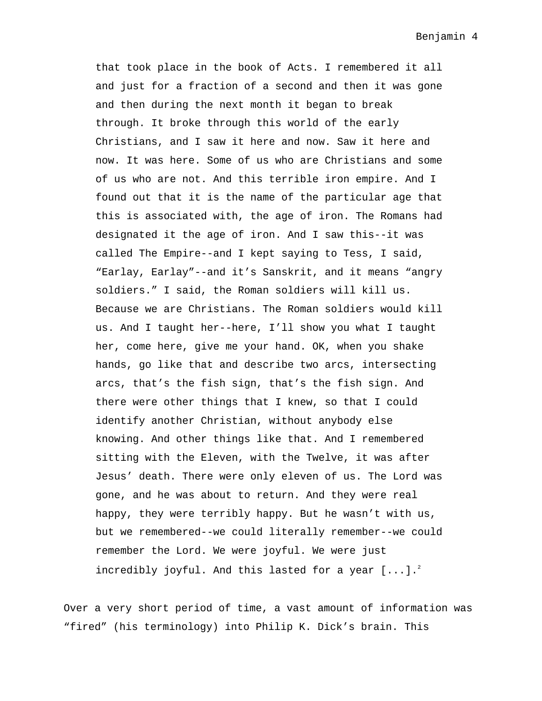that took place in the book of Acts. I remembered it all and just for a fraction of a second and then it was gone and then during the next month it began to break through. It broke through this world of the early Christians, and I saw it here and now. Saw it here and now. It was here. Some of us who are Christians and some of us who are not. And this terrible iron empire. And I found out that it is the name of the particular age that this is associated with, the age of iron. The Romans had designated it the age of iron. And I saw this--it was called The Empire--and I kept saying to Tess, I said, "Earlay, Earlay"--and it's Sanskrit, and it means "angry soldiers." I said, the Roman soldiers will kill us. Because we are Christians. The Roman soldiers would kill us. And I taught her--here, I'll show you what I taught her, come here, give me your hand. OK, when you shake hands, go like that and describe two arcs, intersecting arcs, that's the fish sign, that's the fish sign. And there were other things that I knew, so that I could identify another Christian, without anybody else knowing. And other things like that. And I remembered sitting with the Eleven, with the Twelve, it was after Jesus' death. There were only eleven of us. The Lord was gone, and he was about to return. And they were real happy, they were terribly happy. But he wasn't with us, but we remembered--we could literally remember--we could remember the Lord. We were joyful. We were just incredibly joyful. And this lasted for a year  $[...]$ .<sup>2</sup>

Over a very short period of time, a vast amount of information was "fired" (his terminology) into Philip K. Dick's brain. This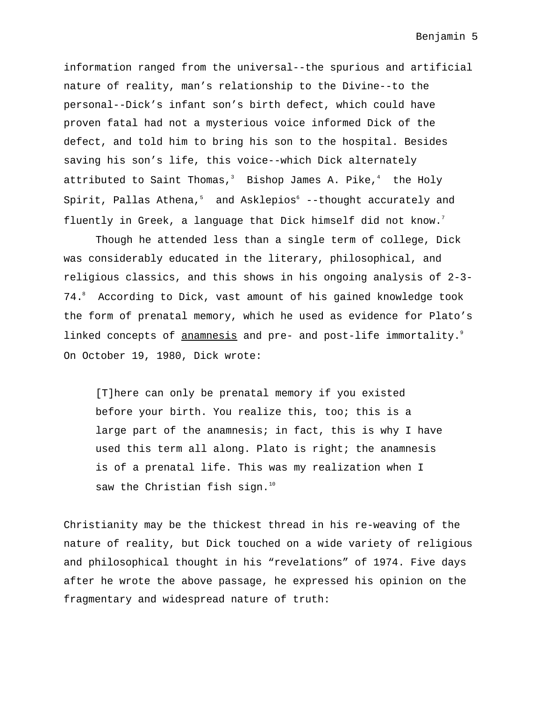information ranged from the universal--the spurious and artificial nature of reality, man's relationship to the Divine--to the personal--Dick's infant son's birth defect, which could have proven fatal had not a mysterious voice informed Dick of the defect, and told him to bring his son to the hospital. Besides saving his son's life, this voice--which Dick alternately attributed to Saint Thomas,<sup>3</sup> Bishop James A. Pike,<sup>4</sup> the Holy Spirit, Pallas Athena,<sup>5</sup> and Asklepios<sup>6</sup> --thought accurately and fluently in Greek, a language that Dick himself did not know.<sup>7</sup>

Though he attended less than a single term of college, Dick was considerably educated in the literary, philosophical, and religious classics, and this shows in his ongoing analysis of 2-3- 74.<sup>8</sup> According to Dick, vast amount of his gained knowledge took the form of prenatal memory, which he used as evidence for Plato's linked concepts of anamnesis and pre- and post-life immortality.<sup>9</sup> On October 19, 1980, Dick wrote:

[T]here can only be prenatal memory if you existed before your birth. You realize this, too; this is a large part of the anamnesis; in fact, this is why I have used this term all along. Plato is right; the anamnesis is of a prenatal life. This was my realization when I saw the Christian fish sign.<sup>10</sup>

Christianity may be the thickest thread in his re-weaving of the nature of reality, but Dick touched on a wide variety of religious and philosophical thought in his "revelations" of 1974. Five days after he wrote the above passage, he expressed his opinion on the fragmentary and widespread nature of truth: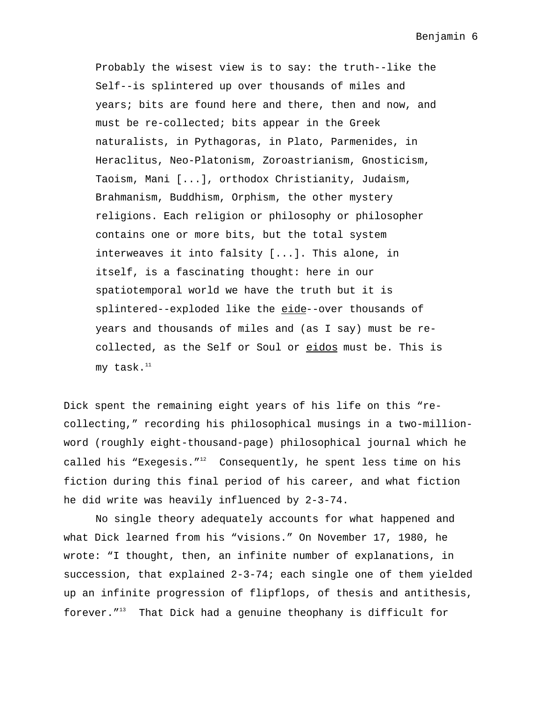Probably the wisest view is to say: the truth--like the Self--is splintered up over thousands of miles and years; bits are found here and there, then and now, and must be re-collected; bits appear in the Greek naturalists, in Pythagoras, in Plato, Parmenides, in Heraclitus, Neo-Platonism, Zoroastrianism, Gnosticism, Taoism, Mani [...], orthodox Christianity, Judaism, Brahmanism, Buddhism, Orphism, the other mystery religions. Each religion or philosophy or philosopher contains one or more bits, but the total system interweaves it into falsity [...]. This alone, in itself, is a fascinating thought: here in our spatiotemporal world we have the truth but it is splintered--exploded like the eide--over thousands of years and thousands of miles and (as I say) must be recollected, as the Self or Soul or eidos must be. This is  $my$  task. $^{11}$ 

Dick spent the remaining eight years of his life on this "recollecting," recording his philosophical musings in a two-millionword (roughly eight-thousand-page) philosophical journal which he called his "Exegesis."<sup>12</sup> Consequently, he spent less time on his fiction during this final period of his career, and what fiction he did write was heavily influenced by 2-3-74.

No single theory adequately accounts for what happened and what Dick learned from his "visions." On November 17, 1980, he wrote: "I thought, then, an infinite number of explanations, in succession, that explained 2-3-74; each single one of them yielded up an infinite progression of flipflops, of thesis and antithesis, forever. $13$  That Dick had a genuine theophany is difficult for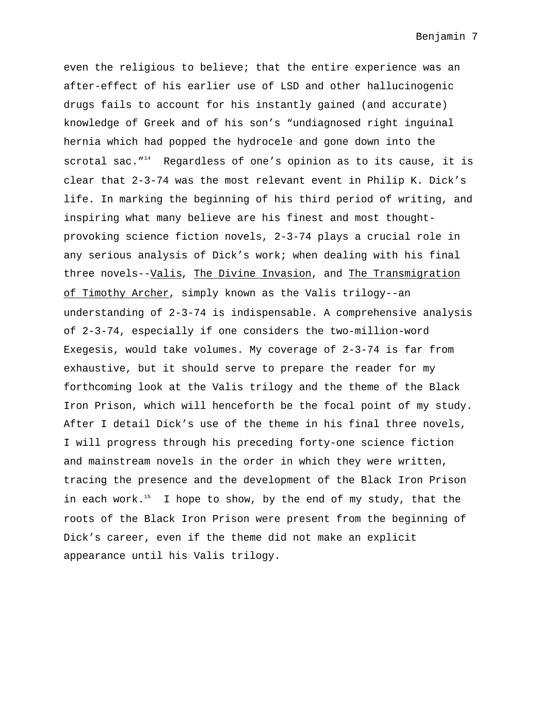even the religious to believe; that the entire experience was an after-effect of his earlier use of LSD and other hallucinogenic drugs fails to account for his instantly gained (and accurate) knowledge of Greek and of his son's "undiagnosed right inguinal hernia which had popped the hydrocele and gone down into the scrotal sac."<sup>14</sup> Regardless of one's opinion as to its cause, it is clear that 2-3-74 was the most relevant event in Philip K. Dick's life. In marking the beginning of his third period of writing, and inspiring what many believe are his finest and most thoughtprovoking science fiction novels, 2-3-74 plays a crucial role in any serious analysis of Dick's work; when dealing with his final three novels--Valis, The Divine Invasion, and The Transmigration of Timothy Archer, simply known as the Valis trilogy--an understanding of 2-3-74 is indispensable. A comprehensive analysis of 2-3-74, especially if one considers the two-million-word Exegesis, would take volumes. My coverage of 2-3-74 is far from exhaustive, but it should serve to prepare the reader for my forthcoming look at the Valis trilogy and the theme of the Black Iron Prison, which will henceforth be the focal point of my study. After I detail Dick's use of the theme in his final three novels, I will progress through his preceding forty-one science fiction and mainstream novels in the order in which they were written, tracing the presence and the development of the Black Iron Prison in each work.<sup>15</sup> I hope to show, by the end of my study, that the roots of the Black Iron Prison were present from the beginning of Dick's career, even if the theme did not make an explicit appearance until his Valis trilogy.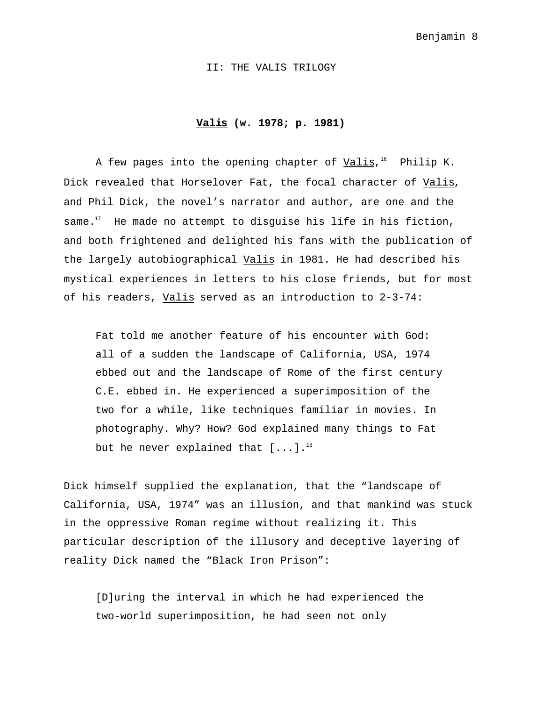#### II: THE VALIS TRILOGY

**Valis (w. 1978; p. 1981)**

A few pages into the opening chapter of <u>Valis</u>,<sup>16</sup> Philip K. Dick revealed that Horselover Fat, the focal character of Valis, and Phil Dick, the novel's narrator and author, are one and the same. $17$  He made no attempt to disguise his life in his fiction, and both frightened and delighted his fans with the publication of the largely autobiographical Valis in 1981. He had described his mystical experiences in letters to his close friends, but for most of his readers, Valis served as an introduction to 2-3-74:

Fat told me another feature of his encounter with God: all of a sudden the landscape of California, USA, 1974 ebbed out and the landscape of Rome of the first century C.E. ebbed in. He experienced a superimposition of the two for a while, like techniques familiar in movies. In photography. Why? How? God explained many things to Fat but he never explained that  $[...]$ .<sup>18</sup>

Dick himself supplied the explanation, that the "landscape of California, USA, 1974" was an illusion, and that mankind was stuck in the oppressive Roman regime without realizing it. This particular description of the illusory and deceptive layering of reality Dick named the "Black Iron Prison":

[D]uring the interval in which he had experienced the two-world superimposition, he had seen not only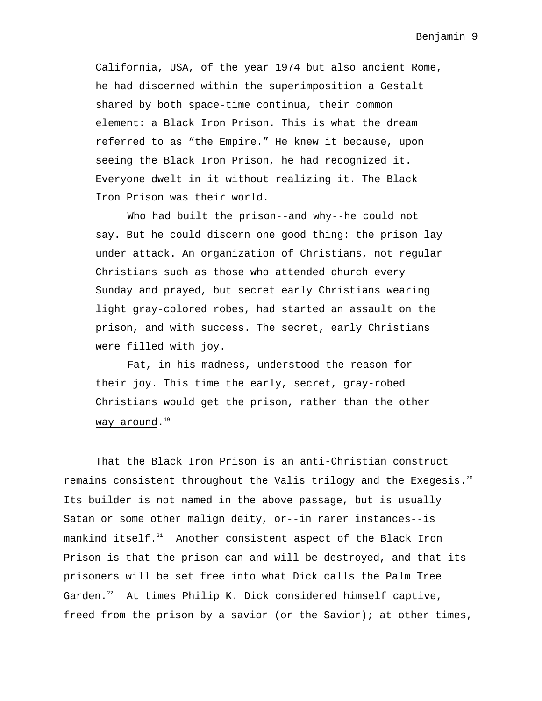California, USA, of the year 1974 but also ancient Rome, he had discerned within the superimposition a Gestalt shared by both space-time continua, their common element: a Black Iron Prison. This is what the dream referred to as "the Empire." He knew it because, upon seeing the Black Iron Prison, he had recognized it. Everyone dwelt in it without realizing it. The Black Iron Prison was their world.

Who had built the prison--and why--he could not say. But he could discern one good thing: the prison lay under attack. An organization of Christians, not regular Christians such as those who attended church every Sunday and prayed, but secret early Christians wearing light gray-colored robes, had started an assault on the prison, and with success. The secret, early Christians were filled with joy.

Fat, in his madness, understood the reason for their joy. This time the early, secret, gray-robed Christians would get the prison, rather than the other way around. 19

That the Black Iron Prison is an anti-Christian construct remains consistent throughout the Valis trilogy and the Exegesis.<sup>20</sup> Its builder is not named in the above passage, but is usually Satan or some other malign deity, or--in rarer instances--is mankind itself.<sup>21</sup> Another consistent aspect of the Black Iron Prison is that the prison can and will be destroyed, and that its prisoners will be set free into what Dick calls the Palm Tree Garden.<sup>22</sup> At times Philip K. Dick considered himself captive, freed from the prison by a savior (or the Savior); at other times,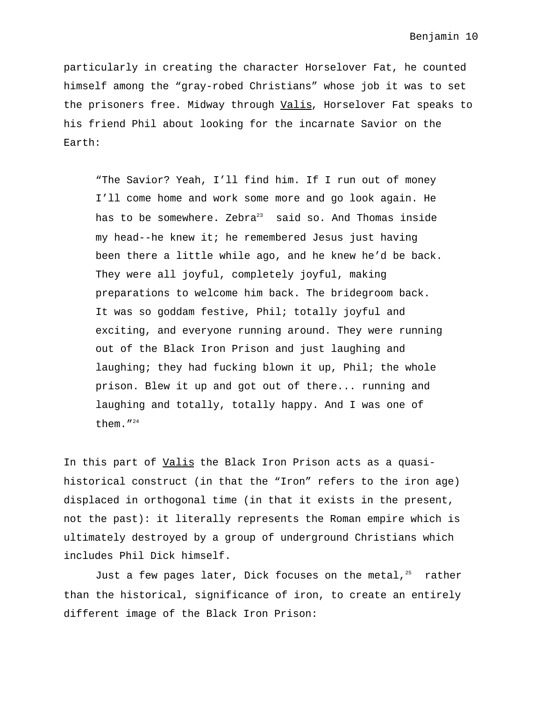particularly in creating the character Horselover Fat, he counted himself among the "gray-robed Christians" whose job it was to set the prisoners free. Midway through <u>Valis</u>, Horselover Fat speaks to his friend Phil about looking for the incarnate Savior on the Earth:

"The Savior? Yeah, I'll find him. If I run out of money I'll come home and work some more and go look again. He has to be somewhere. Zebra<sup>23</sup> said so. And Thomas inside my head--he knew it; he remembered Jesus just having been there a little while ago, and he knew he'd be back. They were all joyful, completely joyful, making preparations to welcome him back. The bridegroom back. It was so goddam festive, Phil; totally joyful and exciting, and everyone running around. They were running out of the Black Iron Prison and just laughing and laughing; they had fucking blown it up, Phil; the whole prison. Blew it up and got out of there... running and laughing and totally, totally happy. And I was one of them.  $^{\prime\prime 24}$ 

In this part of Valis the Black Iron Prison acts as a quasihistorical construct (in that the "Iron" refers to the iron age) displaced in orthogonal time (in that it exists in the present, not the past): it literally represents the Roman empire which is ultimately destroyed by a group of underground Christians which includes Phil Dick himself.

Just a few pages later, Dick focuses on the metal, $25$  rather than the historical, significance of iron, to create an entirely different image of the Black Iron Prison: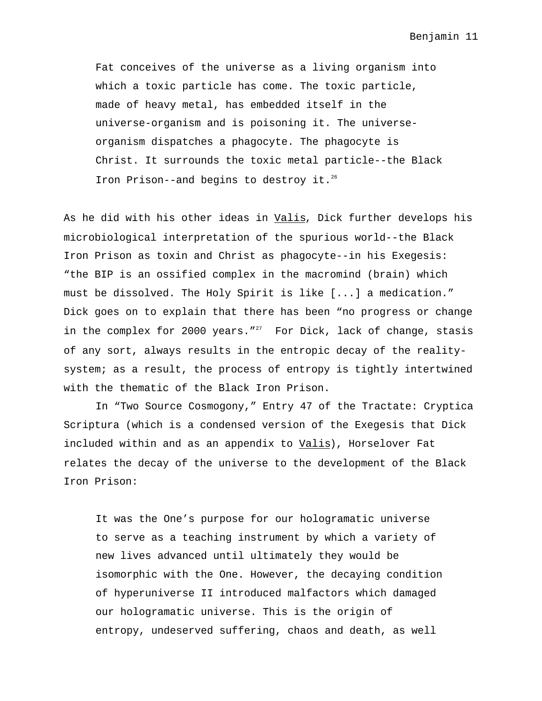Fat conceives of the universe as a living organism into which a toxic particle has come. The toxic particle, made of heavy metal, has embedded itself in the universe-organism and is poisoning it. The universeorganism dispatches a phagocyte. The phagocyte is Christ. It surrounds the toxic metal particle--the Black Iron Prison--and begins to destroy it.<sup>26</sup>

As he did with his other ideas in Valis, Dick further develops his microbiological interpretation of the spurious world--the Black Iron Prison as toxin and Christ as phagocyte--in his Exegesis: "the BIP is an ossified complex in the macromind (brain) which must be dissolved. The Holy Spirit is like [...] a medication." Dick goes on to explain that there has been "no progress or change in the complex for 2000 years."<sup>27</sup> For Dick, lack of change, stasis of any sort, always results in the entropic decay of the realitysystem; as a result, the process of entropy is tightly intertwined with the thematic of the Black Iron Prison.

In "Two Source Cosmogony," Entry 47 of the Tractate: Cryptica Scriptura (which is a condensed version of the Exegesis that Dick included within and as an appendix to Valis), Horselover Fat relates the decay of the universe to the development of the Black Iron Prison:

It was the One's purpose for our hologramatic universe to serve as a teaching instrument by which a variety of new lives advanced until ultimately they would be isomorphic with the One. However, the decaying condition of hyperuniverse II introduced malfactors which damaged our hologramatic universe. This is the origin of entropy, undeserved suffering, chaos and death, as well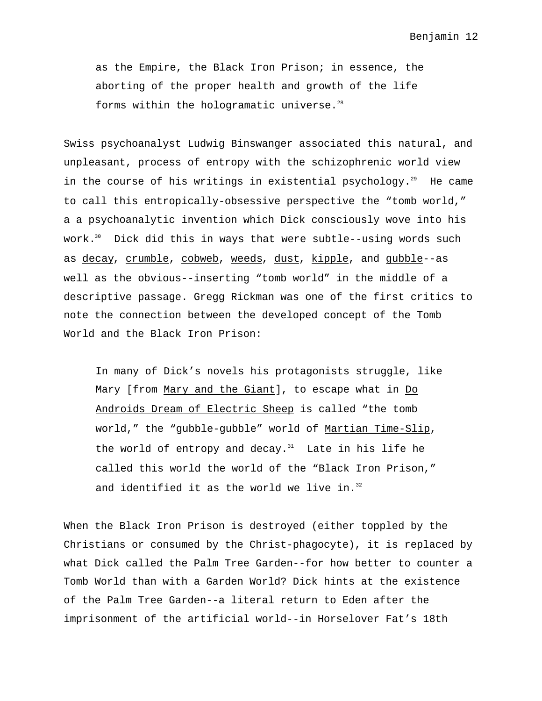as the Empire, the Black Iron Prison; in essence, the aborting of the proper health and growth of the life forms within the hologramatic universe. $28$ 

Swiss psychoanalyst Ludwig Binswanger associated this natural, and unpleasant, process of entropy with the schizophrenic world view in the course of his writings in existential psychology.<sup>29</sup> He came to call this entropically-obsessive perspective the "tomb world," a a psychoanalytic invention which Dick consciously wove into his work.<sup>30</sup> Dick did this in ways that were subtle--using words such as decay, crumble, cobweb, weeds, dust, kipple, and gubble--as well as the obvious--inserting "tomb world" in the middle of a descriptive passage. Gregg Rickman was one of the first critics to note the connection between the developed concept of the Tomb World and the Black Iron Prison:

In many of Dick's novels his protagonists struggle, like Mary [from Mary and the Giant], to escape what in Do Androids Dream of Electric Sheep is called "the tomb world," the "gubble-gubble" world of Martian Time-Slip, the world of entropy and decay. $31$  Late in his life he called this world the world of the "Black Iron Prison," and identified it as the world we live in. $32$ 

When the Black Iron Prison is destroyed (either toppled by the Christians or consumed by the Christ-phagocyte), it is replaced by what Dick called the Palm Tree Garden--for how better to counter a Tomb World than with a Garden World? Dick hints at the existence of the Palm Tree Garden--a literal return to Eden after the imprisonment of the artificial world--in Horselover Fat's 18th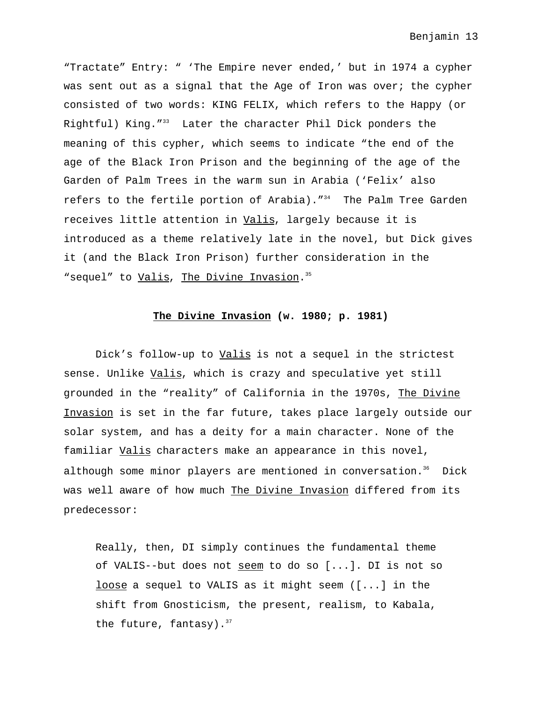"Tractate" Entry: " 'The Empire never ended,' but in 1974 a cypher was sent out as a signal that the Age of Iron was over; the cypher consisted of two words: KING FELIX, which refers to the Happy (or Rightful) King."<sup>33</sup> Later the character Phil Dick ponders the meaning of this cypher, which seems to indicate "the end of the age of the Black Iron Prison and the beginning of the age of the Garden of Palm Trees in the warm sun in Arabia ('Felix' also refers to the fertile portion of Arabia).  $1^{34}$  The Palm Tree Garden receives little attention in Valis, largely because it is introduced as a theme relatively late in the novel, but Dick gives it (and the Black Iron Prison) further consideration in the "sequel" to Valis, The Divine Invasion.<sup>35</sup>

# **The Divine Invasion (w. 1980; p. 1981)**

Dick's follow-up to Valis is not a sequel in the strictest sense. Unlike Valis, which is crazy and speculative yet still grounded in the "reality" of California in the 1970s, The Divine Invasion is set in the far future, takes place largely outside our solar system, and has a deity for a main character. None of the familiar Valis characters make an appearance in this novel, although some minor players are mentioned in conversation.<sup>36</sup> Dick was well aware of how much The Divine Invasion differed from its predecessor:

Really, then, DI simply continues the fundamental theme of VALIS--but does not seem to do so [...]. DI is not so loose a sequel to VALIS as it might seem ([...] in the shift from Gnosticism, the present, realism, to Kabala, the future, fantasy). $37$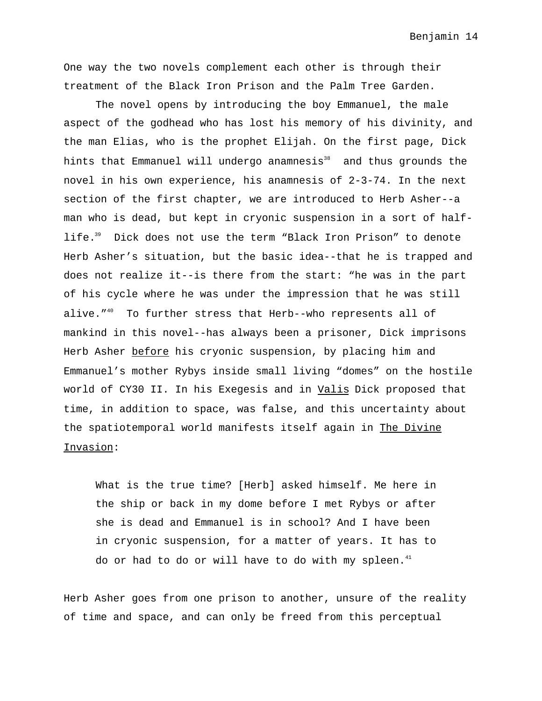One way the two novels complement each other is through their treatment of the Black Iron Prison and the Palm Tree Garden.

The novel opens by introducing the boy Emmanuel, the male aspect of the godhead who has lost his memory of his divinity, and the man Elias, who is the prophet Elijah. On the first page, Dick hints that Emmanuel will undergo anamnesis<sup>38</sup> and thus grounds the novel in his own experience, his anamnesis of 2-3-74. In the next section of the first chapter, we are introduced to Herb Asher--a man who is dead, but kept in cryonic suspension in a sort of halflife.<sup>39</sup> Dick does not use the term "Black Iron Prison" to denote Herb Asher's situation, but the basic idea--that he is trapped and does not realize it--is there from the start: "he was in the part of his cycle where he was under the impression that he was still alive."<sup>40</sup> To further stress that Herb--who represents all of mankind in this novel--has always been a prisoner, Dick imprisons Herb Asher before his cryonic suspension, by placing him and Emmanuel's mother Rybys inside small living "domes" on the hostile world of CY30 II. In his Exegesis and in Valis Dick proposed that time, in addition to space, was false, and this uncertainty about the spatiotemporal world manifests itself again in The Divine Invasion:

What is the true time? [Herb] asked himself. Me here in the ship or back in my dome before I met Rybys or after she is dead and Emmanuel is in school? And I have been in cryonic suspension, for a matter of years. It has to do or had to do or will have to do with my spleen. $41$ 

Herb Asher goes from one prison to another, unsure of the reality of time and space, and can only be freed from this perceptual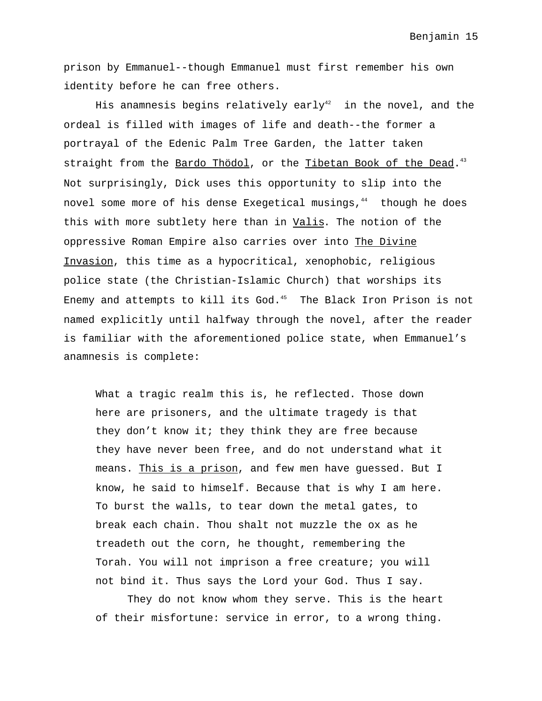prison by Emmanuel--though Emmanuel must first remember his own identity before he can free others.

His anamnesis begins relatively early<sup>42</sup> in the novel, and the ordeal is filled with images of life and death--the former a portrayal of the Edenic Palm Tree Garden, the latter taken straight from the <u>Bardo Thödol</u>, or the <u>Tibetan Book of the Dead</u>.<sup>43</sup> Not surprisingly, Dick uses this opportunity to slip into the novel some more of his dense Exegetical musings,<sup>44</sup> though he does this with more subtlety here than in Valis. The notion of the oppressive Roman Empire also carries over into The Divine Invasion, this time as a hypocritical, xenophobic, religious police state (the Christian-Islamic Church) that worships its Enemy and attempts to kill its God.<sup>45</sup> The Black Iron Prison is not named explicitly until halfway through the novel, after the reader is familiar with the aforementioned police state, when Emmanuel's anamnesis is complete:

What a tragic realm this is, he reflected. Those down here are prisoners, and the ultimate tragedy is that they don't know it; they think they are free because they have never been free, and do not understand what it means. This is a prison, and few men have guessed. But I know, he said to himself. Because that is why I am here. To burst the walls, to tear down the metal gates, to break each chain. Thou shalt not muzzle the ox as he treadeth out the corn, he thought, remembering the Torah. You will not imprison a free creature; you will not bind it. Thus says the Lord your God. Thus I say.

They do not know whom they serve. This is the heart of their misfortune: service in error, to a wrong thing.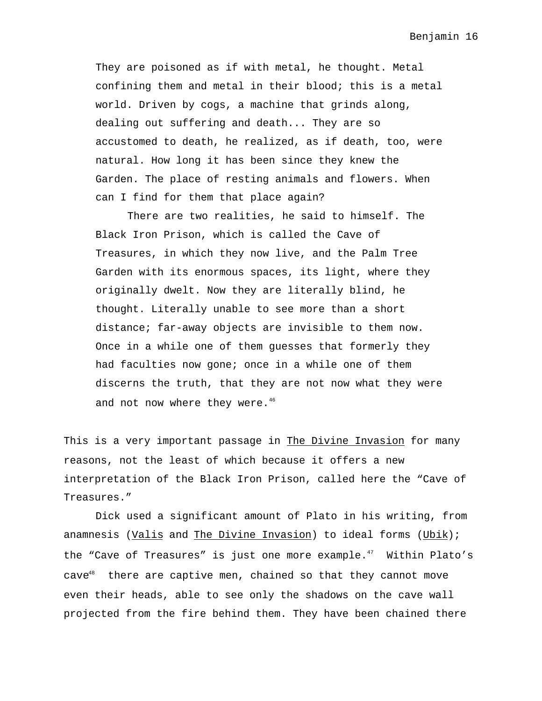They are poisoned as if with metal, he thought. Metal confining them and metal in their blood; this is a metal world. Driven by cogs, a machine that grinds along, dealing out suffering and death... They are so accustomed to death, he realized, as if death, too, were natural. How long it has been since they knew the Garden. The place of resting animals and flowers. When can I find for them that place again?

There are two realities, he said to himself. The Black Iron Prison, which is called the Cave of Treasures, in which they now live, and the Palm Tree Garden with its enormous spaces, its light, where they originally dwelt. Now they are literally blind, he thought. Literally unable to see more than a short distance; far-away objects are invisible to them now. Once in a while one of them guesses that formerly they had faculties now gone; once in a while one of them discerns the truth, that they are not now what they were and not now where they were.<sup>46</sup>

This is a very important passage in The Divine Invasion for many reasons, not the least of which because it offers a new interpretation of the Black Iron Prison, called here the "Cave of Treasures."

Dick used a significant amount of Plato in his writing, from anamnesis (Valis and The Divine Invasion) to ideal forms (Ubik); the "Cave of Treasures" is just one more example. $47$  Within Plato's cave<sup>48</sup> there are captive men, chained so that they cannot move even their heads, able to see only the shadows on the cave wall projected from the fire behind them. They have been chained there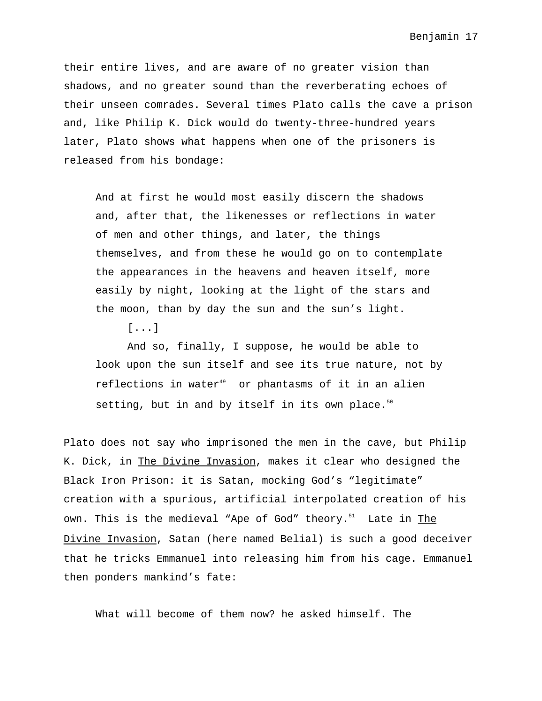their entire lives, and are aware of no greater vision than shadows, and no greater sound than the reverberating echoes of their unseen comrades. Several times Plato calls the cave a prison and, like Philip K. Dick would do twenty-three-hundred years later, Plato shows what happens when one of the prisoners is released from his bondage:

And at first he would most easily discern the shadows and, after that, the likenesses or reflections in water of men and other things, and later, the things themselves, and from these he would go on to contemplate the appearances in the heavens and heaven itself, more easily by night, looking at the light of the stars and the moon, than by day the sun and the sun's light.

[...]

And so, finally, I suppose, he would be able to look upon the sun itself and see its true nature, not by reflections in water $49$  or phantasms of it in an alien setting, but in and by itself in its own place.<sup>50</sup>

Plato does not say who imprisoned the men in the cave, but Philip K. Dick, in The Divine Invasion, makes it clear who designed the Black Iron Prison: it is Satan, mocking God's "legitimate" creation with a spurious, artificial interpolated creation of his own. This is the medieval "Ape of God" theory.<sup>51</sup> Late in The Divine Invasion, Satan (here named Belial) is such a good deceiver that he tricks Emmanuel into releasing him from his cage. Emmanuel then ponders mankind's fate:

What will become of them now? he asked himself. The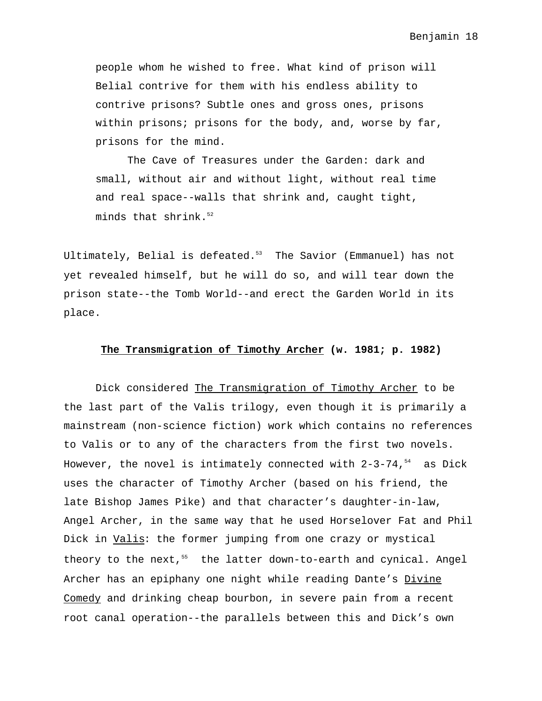people whom he wished to free. What kind of prison will Belial contrive for them with his endless ability to contrive prisons? Subtle ones and gross ones, prisons within prisons; prisons for the body, and, worse by far, prisons for the mind.

The Cave of Treasures under the Garden: dark and small, without air and without light, without real time and real space--walls that shrink and, caught tight, minds that shrink. $52$ 

Ultimately, Belial is defeated.<sup>53</sup> The Savior (Emmanuel) has not yet revealed himself, but he will do so, and will tear down the prison state--the Tomb World--and erect the Garden World in its place.

### **The Transmigration of Timothy Archer (w. 1981; p. 1982)**

Dick considered The Transmigration of Timothy Archer to be the last part of the Valis trilogy, even though it is primarily a mainstream (non-science fiction) work which contains no references to Valis or to any of the characters from the first two novels. However, the novel is intimately connected with  $2-3-74$ ,  $54$  as Dick uses the character of Timothy Archer (based on his friend, the late Bishop James Pike) and that character's daughter-in-law, Angel Archer, in the same way that he used Horselover Fat and Phil Dick in Valis: the former jumping from one crazy or mystical theory to the next,<sup>55</sup> the latter down-to-earth and cynical. Angel Archer has an epiphany one night while reading Dante's Divine Comedy and drinking cheap bourbon, in severe pain from a recent root canal operation--the parallels between this and Dick's own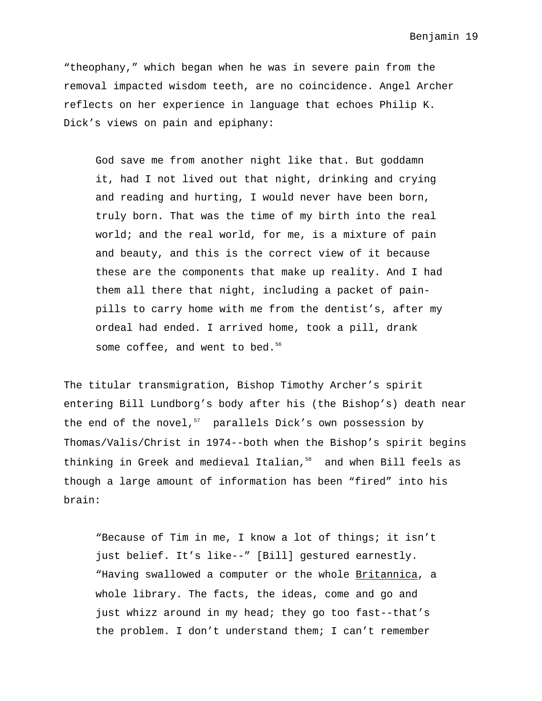"theophany," which began when he was in severe pain from the removal impacted wisdom teeth, are no coincidence. Angel Archer reflects on her experience in language that echoes Philip K. Dick's views on pain and epiphany:

God save me from another night like that. But goddamn it, had I not lived out that night, drinking and crying and reading and hurting, I would never have been born, truly born. That was the time of my birth into the real world; and the real world, for me, is a mixture of pain and beauty, and this is the correct view of it because these are the components that make up reality. And I had them all there that night, including a packet of painpills to carry home with me from the dentist's, after my ordeal had ended. I arrived home, took a pill, drank some coffee, and went to bed.<sup>56</sup>

The titular transmigration, Bishop Timothy Archer's spirit entering Bill Lundborg's body after his (the Bishop's) death near the end of the novel, $57$  parallels Dick's own possession by Thomas/Valis/Christ in 1974--both when the Bishop's spirit begins thinking in Greek and medieval Italian,<sup>58</sup> and when Bill feels as though a large amount of information has been "fired" into his brain:

"Because of Tim in me, I know a lot of things; it isn't just belief. It's like--" [Bill] gestured earnestly. "Having swallowed a computer or the whole Britannica, a whole library. The facts, the ideas, come and go and just whizz around in my head; they go too fast--that's the problem. I don't understand them; I can't remember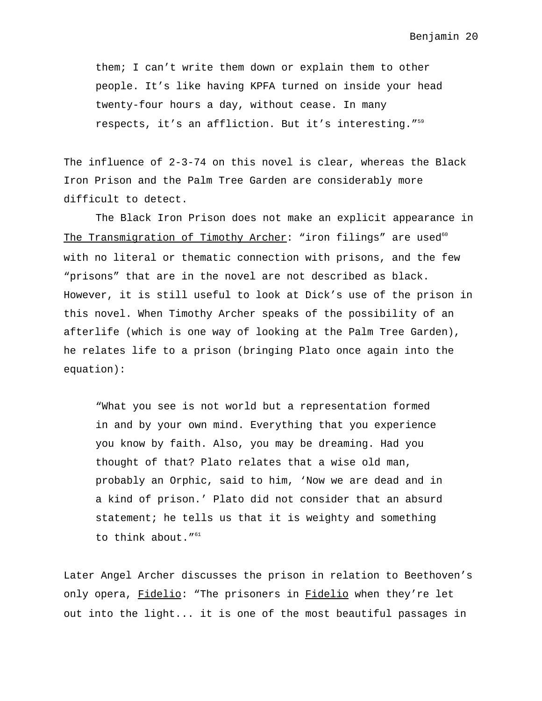them; I can't write them down or explain them to other people. It's like having KPFA turned on inside your head twenty-four hours a day, without cease. In many respects, it's an affliction. But it's interesting."<sup>59</sup>

The influence of 2-3-74 on this novel is clear, whereas the Black Iron Prison and the Palm Tree Garden are considerably more difficult to detect.

The Black Iron Prison does not make an explicit appearance in The Transmigration of Timothy Archer: "iron filings" are used<sup>60</sup> with no literal or thematic connection with prisons, and the few "prisons" that are in the novel are not described as black. However, it is still useful to look at Dick's use of the prison in this novel. When Timothy Archer speaks of the possibility of an afterlife (which is one way of looking at the Palm Tree Garden), he relates life to a prison (bringing Plato once again into the equation):

"What you see is not world but a representation formed in and by your own mind. Everything that you experience you know by faith. Also, you may be dreaming. Had you thought of that? Plato relates that a wise old man, probably an Orphic, said to him, 'Now we are dead and in a kind of prison.' Plato did not consider that an absurd statement; he tells us that it is weighty and something to think about. $16^{61}$ 

Later Angel Archer discusses the prison in relation to Beethoven's only opera, Fidelio: "The prisoners in Fidelio when they're let out into the light... it is one of the most beautiful passages in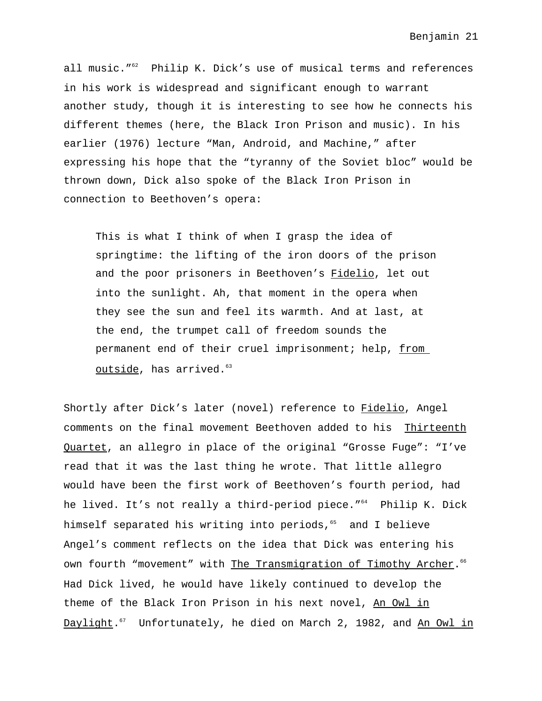all music."<sup>62</sup> Philip K. Dick's use of musical terms and references in his work is widespread and significant enough to warrant another study, though it is interesting to see how he connects his different themes (here, the Black Iron Prison and music). In his earlier (1976) lecture "Man, Android, and Machine," after expressing his hope that the "tyranny of the Soviet bloc" would be thrown down, Dick also spoke of the Black Iron Prison in connection to Beethoven's opera:

This is what I think of when I grasp the idea of springtime: the lifting of the iron doors of the prison and the poor prisoners in Beethoven's Fidelio, let out into the sunlight. Ah, that moment in the opera when they see the sun and feel its warmth. And at last, at the end, the trumpet call of freedom sounds the permanent end of their cruel imprisonment; help, from outside, has arrived. $63$ 

Shortly after Dick's later (novel) reference to Fidelio, Angel comments on the final movement Beethoven added to his Thirteenth Quartet, an allegro in place of the original "Grosse Fuge": "I've read that it was the last thing he wrote. That little allegro would have been the first work of Beethoven's fourth period, had he lived. It's not really a third-period piece."<sup>64</sup> Philip K. Dick himself separated his writing into periods,<sup>65</sup> and I believe Angel's comment reflects on the idea that Dick was entering his own fourth "movement" with The Transmigration of Timothy Archer.<sup>66</sup> Had Dick lived, he would have likely continued to develop the theme of the Black Iron Prison in his next novel, An Owl in Daylight.<sup>67</sup> Unfortunately, he died on March 2, 1982, and <u>An Owl in</u>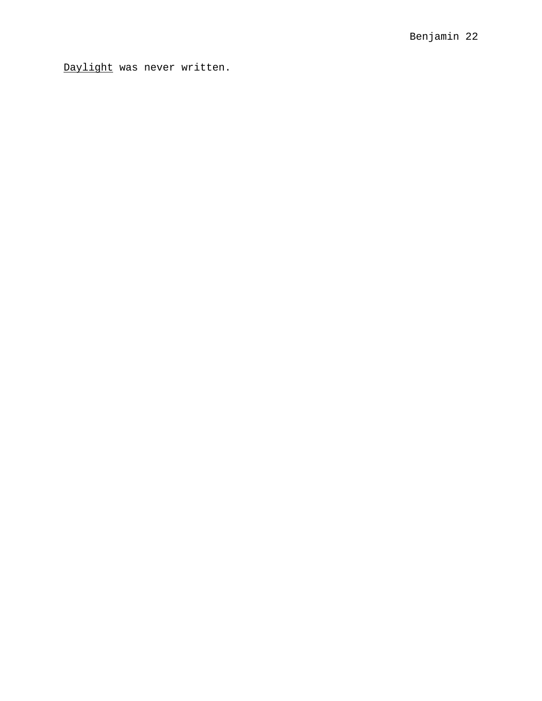Daylight was never written.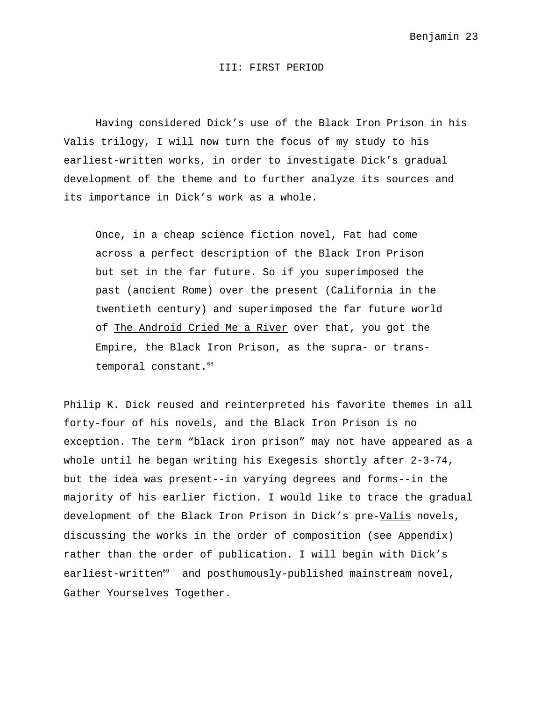#### III: FIRST PERIOD

Having considered Dick's use of the Black Iron Prison in his Valis trilogy, I will now turn the focus of my study to his earliest-written works, in order to investigate Dick's gradual development of the theme and to further analyze its sources and its importance in Dick's work as a whole.

Once, in a cheap science fiction novel, Fat had come across a perfect description of the Black Iron Prison but set in the far future. So if you superimposed the past (ancient Rome) over the present (California in the twentieth century) and superimposed the far future world of The Android Cried Me a River over that, you got the Empire, the Black Iron Prison, as the supra- or transtemporal constant.<sup>68</sup>

Philip K. Dick reused and reinterpreted his favorite themes in all forty-four of his novels, and the Black Iron Prison is no exception. The term "black iron prison" may not have appeared as a whole until he began writing his Exegesis shortly after 2-3-74, but the idea was present--in varying degrees and forms--in the majority of his earlier fiction. I would like to trace the gradual development of the Black Iron Prison in Dick's pre-Valis novels, discussing the works in the order of composition (see Appendix) rather than the order of publication. I will begin with Dick's earliest-written<sup>69</sup> and posthumously-published mainstream novel, Gather Yourselves Together.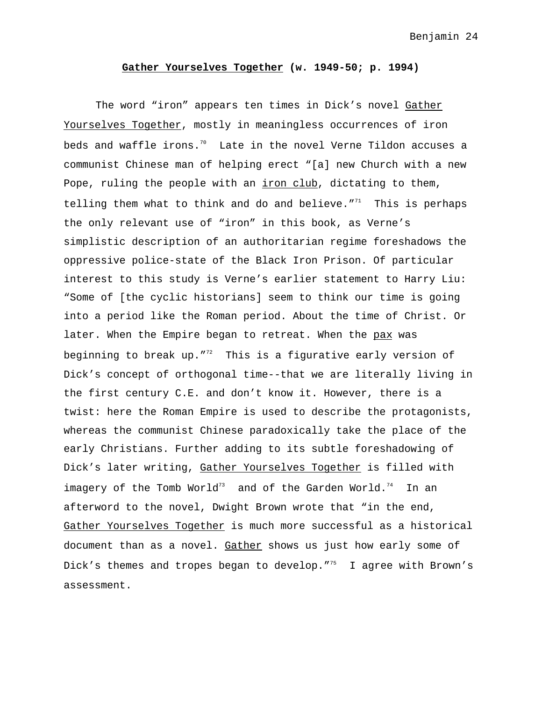# **Gather Yourselves Together (w. 1949-50; p. 1994)**

The word "iron" appears ten times in Dick's novel Gather Yourselves Together, mostly in meaningless occurrences of iron beds and waffle irons.<sup>70</sup> Late in the novel Verne Tildon accuses a communist Chinese man of helping erect "[a] new Church with a new Pope, ruling the people with an iron club, dictating to them, telling them what to think and do and believe. $T<sup>71</sup>$  This is perhaps the only relevant use of "iron" in this book, as Verne's simplistic description of an authoritarian regime foreshadows the oppressive police-state of the Black Iron Prison. Of particular interest to this study is Verne's earlier statement to Harry Liu: "Some of [the cyclic historians] seem to think our time is going into a period like the Roman period. About the time of Christ. Or later. When the Empire began to retreat. When the pax was beginning to break up.  $T^2$  This is a figurative early version of Dick's concept of orthogonal time--that we are literally living in the first century C.E. and don't know it. However, there is a twist: here the Roman Empire is used to describe the protagonists, whereas the communist Chinese paradoxically take the place of the early Christians. Further adding to its subtle foreshadowing of Dick's later writing, Gather Yourselves Together is filled with imagery of the Tomb World<sup>73</sup> and of the Garden World.<sup>74</sup> In an afterword to the novel, Dwight Brown wrote that "in the end, Gather Yourselves Together is much more successful as a historical document than as a novel. Gather shows us just how early some of Dick's themes and tropes began to develop."<sup>75</sup> I agree with Brown's assessment.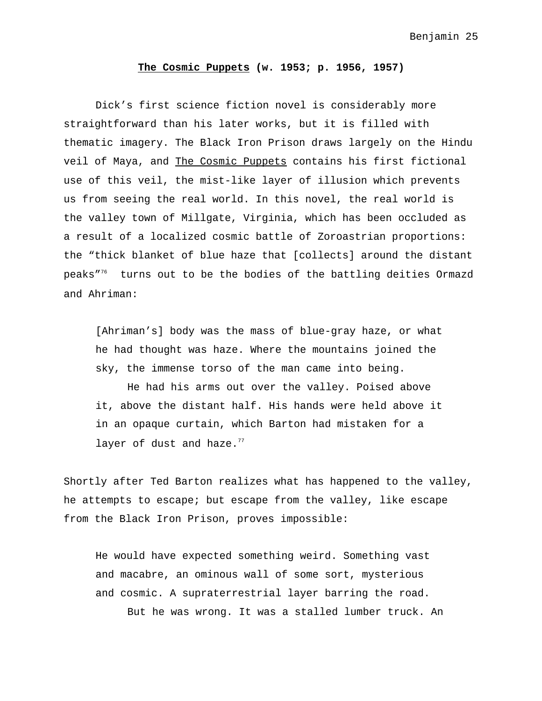### **The Cosmic Puppets (w. 1953; p. 1956, 1957)**

Dick's first science fiction novel is considerably more straightforward than his later works, but it is filled with thematic imagery. The Black Iron Prison draws largely on the Hindu veil of Maya, and The Cosmic Puppets contains his first fictional use of this veil, the mist-like layer of illusion which prevents us from seeing the real world. In this novel, the real world is the valley town of Millgate, Virginia, which has been occluded as a result of a localized cosmic battle of Zoroastrian proportions: the "thick blanket of blue haze that [collects] around the distant peaks"<sup>76</sup> turns out to be the bodies of the battling deities Ormazd and Ahriman:

[Ahriman's] body was the mass of blue-gray haze, or what he had thought was haze. Where the mountains joined the sky, the immense torso of the man came into being.

He had his arms out over the valley. Poised above it, above the distant half. His hands were held above it in an opaque curtain, which Barton had mistaken for a layer of dust and haze. $77$ 

Shortly after Ted Barton realizes what has happened to the valley, he attempts to escape; but escape from the valley, like escape from the Black Iron Prison, proves impossible:

He would have expected something weird. Something vast and macabre, an ominous wall of some sort, mysterious and cosmic. A supraterrestrial layer barring the road. But he was wrong. It was a stalled lumber truck. An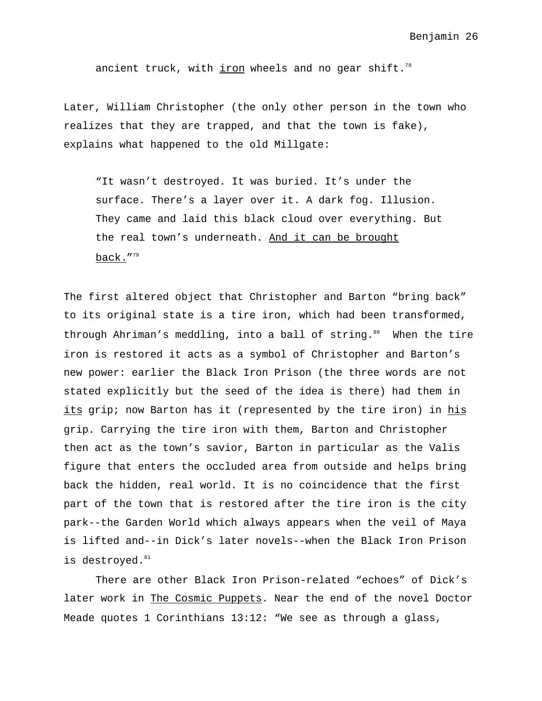ancient truck, with  $\frac{i}{100}$  wheels and no gear shift.<sup>78</sup>

Later, William Christopher (the only other person in the town who realizes that they are trapped, and that the town is fake), explains what happened to the old Millgate:

"It wasn't destroyed. It was buried. It's under the surface. There's a layer over it. A dark fog. Illusion. They came and laid this black cloud over everything. But the real town's underneath. And it can be brought <u>back.</u>"<sup>79</sup>

The first altered object that Christopher and Barton "bring back" to its original state is a tire iron, which had been transformed, through Ahriman's meddling, into a ball of string.<sup>80</sup> When the tire iron is restored it acts as a symbol of Christopher and Barton's new power: earlier the Black Iron Prison (the three words are not stated explicitly but the seed of the idea is there) had them in its grip; now Barton has it (represented by the tire iron) in his grip. Carrying the tire iron with them, Barton and Christopher then act as the town's savior, Barton in particular as the Valis figure that enters the occluded area from outside and helps bring back the hidden, real world. It is no coincidence that the first part of the town that is restored after the tire iron is the city park--the Garden World which always appears when the veil of Maya is lifted and--in Dick's later novels--when the Black Iron Prison is destroyed. 81

There are other Black Iron Prison-related "echoes" of Dick's later work in The Cosmic Puppets. Near the end of the novel Doctor Meade quotes 1 Corinthians 13:12: "We see as through a glass,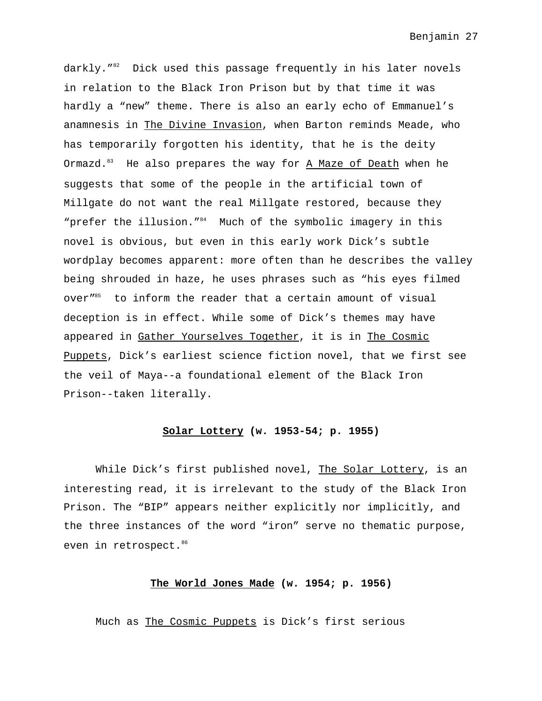darkly."<sup>82</sup> Dick used this passage frequently in his later novels in relation to the Black Iron Prison but by that time it was hardly a "new" theme. There is also an early echo of Emmanuel's anamnesis in The Divine Invasion, when Barton reminds Meade, who has temporarily forgotten his identity, that he is the deity Ormazd.<sup>83</sup> He also prepares the way for A Maze of Death when he suggests that some of the people in the artificial town of Millgate do not want the real Millgate restored, because they "prefer the illusion."<sup>84</sup> Much of the symbolic imagery in this novel is obvious, but even in this early work Dick's subtle wordplay becomes apparent: more often than he describes the valley being shrouded in haze, he uses phrases such as "his eyes filmed over"<sup>85</sup> to inform the reader that a certain amount of visual deception is in effect. While some of Dick's themes may have appeared in Gather Yourselves Together, it is in The Cosmic Puppets, Dick's earliest science fiction novel, that we first see the veil of Maya--a foundational element of the Black Iron Prison--taken literally.

#### **Solar Lottery (w. 1953-54; p. 1955)**

While Dick's first published novel, The Solar Lottery, is an interesting read, it is irrelevant to the study of the Black Iron Prison. The "BIP" appears neither explicitly nor implicitly, and the three instances of the word "iron" serve no thematic purpose, even in retrospect.<sup>86</sup>

### **The World Jones Made (w. 1954; p. 1956)**

Much as The Cosmic Puppets is Dick's first serious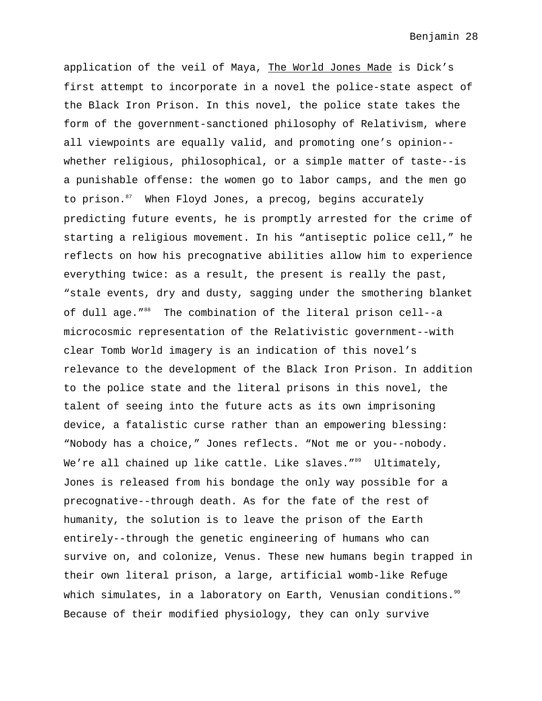application of the veil of Maya, The World Jones Made is Dick's first attempt to incorporate in a novel the police-state aspect of the Black Iron Prison. In this novel, the police state takes the form of the government-sanctioned philosophy of Relativism, where all viewpoints are equally valid, and promoting one's opinion- whether religious, philosophical, or a simple matter of taste--is a punishable offense: the women go to labor camps, and the men go to prison.<sup>87</sup> When Floyd Jones, a precog, begins accurately predicting future events, he is promptly arrested for the crime of starting a religious movement. In his "antiseptic police cell," he reflects on how his precognative abilities allow him to experience everything twice: as a result, the present is really the past, "stale events, dry and dusty, sagging under the smothering blanket of dull age."<sup>88</sup> The combination of the literal prison cell--a microcosmic representation of the Relativistic government--with clear Tomb World imagery is an indication of this novel's relevance to the development of the Black Iron Prison. In addition to the police state and the literal prisons in this novel, the talent of seeing into the future acts as its own imprisoning device, a fatalistic curse rather than an empowering blessing: "Nobody has a choice," Jones reflects. "Not me or you--nobody. We're all chained up like cattle. Like slaves."<sup>89</sup> Ultimately, Jones is released from his bondage the only way possible for a precognative--through death. As for the fate of the rest of humanity, the solution is to leave the prison of the Earth entirely--through the genetic engineering of humans who can survive on, and colonize, Venus. These new humans begin trapped in their own literal prison, a large, artificial womb-like Refuge which simulates, in a laboratory on Earth, Venusian conditions.<sup>90</sup> Because of their modified physiology, they can only survive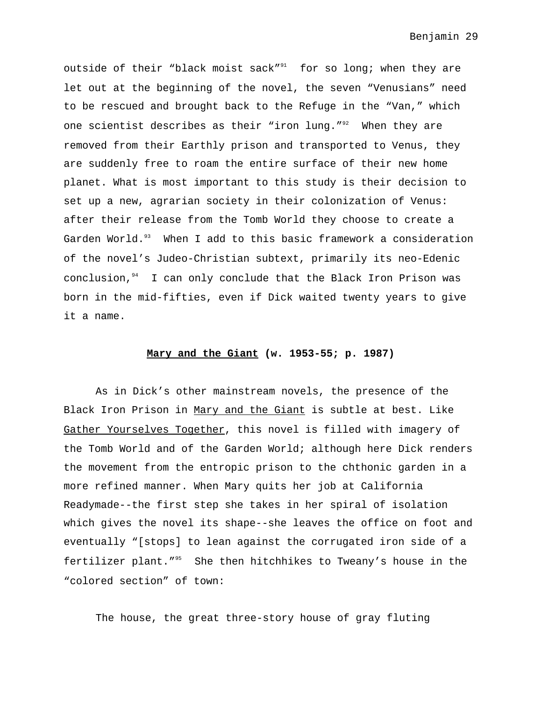outside of their "black moist sack" $91$  for so long; when they are let out at the beginning of the novel, the seven "Venusians" need to be rescued and brought back to the Refuge in the "Van," which one scientist describes as their "iron lung." $92$  When they are removed from their Earthly prison and transported to Venus, they are suddenly free to roam the entire surface of their new home planet. What is most important to this study is their decision to set up a new, agrarian society in their colonization of Venus: after their release from the Tomb World they choose to create a Garden World. $93$  When I add to this basic framework a consideration of the novel's Judeo-Christian subtext, primarily its neo-Edenic conclusion,<sup>94</sup> I can only conclude that the Black Iron Prison was born in the mid-fifties, even if Dick waited twenty years to give it a name.

### **Mary and the Giant (w. 1953-55; p. 1987)**

As in Dick's other mainstream novels, the presence of the Black Iron Prison in Mary and the Giant is subtle at best. Like Gather Yourselves Together, this novel is filled with imagery of the Tomb World and of the Garden World; although here Dick renders the movement from the entropic prison to the chthonic garden in a more refined manner. When Mary quits her job at California Readymade--the first step she takes in her spiral of isolation which gives the novel its shape--she leaves the office on foot and eventually "[stops] to lean against the corrugated iron side of a fertilizer plant."<sup>95</sup> She then hitchhikes to Tweany's house in the "colored section" of town:

The house, the great three-story house of gray fluting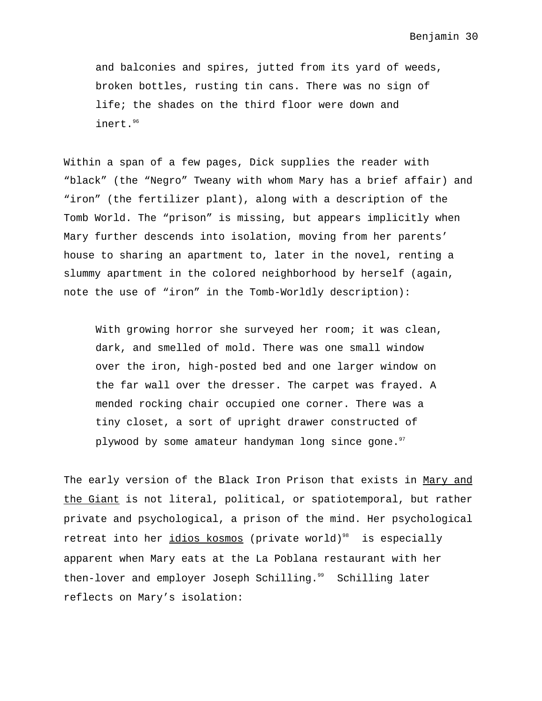and balconies and spires, jutted from its yard of weeds, broken bottles, rusting tin cans. There was no sign of life; the shades on the third floor were down and inert.<sup>96</sup>

Within a span of a few pages, Dick supplies the reader with "black" (the "Negro" Tweany with whom Mary has a brief affair) and "iron" (the fertilizer plant), along with a description of the Tomb World. The "prison" is missing, but appears implicitly when Mary further descends into isolation, moving from her parents' house to sharing an apartment to, later in the novel, renting a slummy apartment in the colored neighborhood by herself (again, note the use of "iron" in the Tomb-Worldly description):

With growing horror she surveyed her room; it was clean, dark, and smelled of mold. There was one small window over the iron, high-posted bed and one larger window on the far wall over the dresser. The carpet was frayed. A mended rocking chair occupied one corner. There was a tiny closet, a sort of upright drawer constructed of plywood by some amateur handyman long since gone.<sup>97</sup>

The early version of the Black Iron Prison that exists in Mary and the Giant is not literal, political, or spatiotemporal, but rather private and psychological, a prison of the mind. Her psychological retreat into her *idios kosmos* (private world)<sup>98</sup> is especially apparent when Mary eats at the La Poblana restaurant with her then-lover and employer Joseph Schilling.<sup>99</sup> Schilling later reflects on Mary's isolation: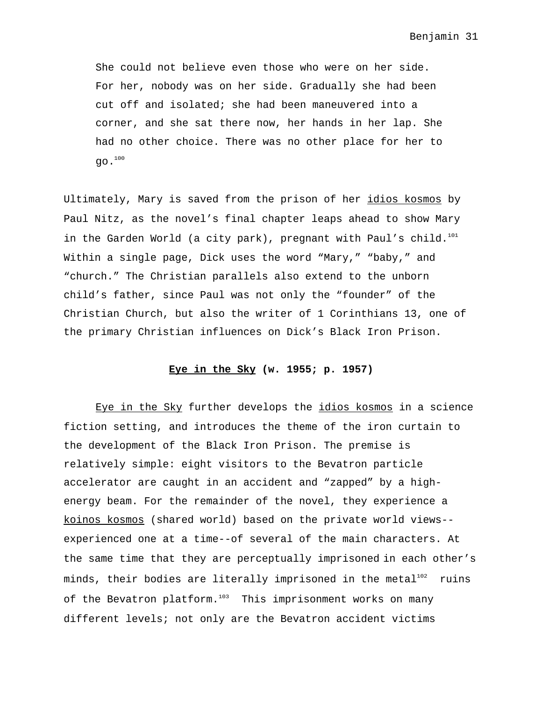She could not believe even those who were on her side. For her, nobody was on her side. Gradually she had been cut off and isolated; she had been maneuvered into a corner, and she sat there now, her hands in her lap. She had no other choice. There was no other place for her to go.<sup>100</sup>

Ultimately, Mary is saved from the prison of her idios kosmos by Paul Nitz, as the novel's final chapter leaps ahead to show Mary in the Garden World (a city park), pregnant with Paul's child.<sup>101</sup> Within a single page, Dick uses the word "Mary," "baby," and "church." The Christian parallels also extend to the unborn child's father, since Paul was not only the "founder" of the Christian Church, but also the writer of 1 Corinthians 13, one of the primary Christian influences on Dick's Black Iron Prison.

### **Eye in the Sky (w. 1955; p. 1957)**

Eye in the Sky further develops the *idios kosmos* in a science fiction setting, and introduces the theme of the iron curtain to the development of the Black Iron Prison. The premise is relatively simple: eight visitors to the Bevatron particle accelerator are caught in an accident and "zapped" by a highenergy beam. For the remainder of the novel, they experience a koinos kosmos (shared world) based on the private world views- experienced one at a time--of several of the main characters. At the same time that they are perceptually imprisoned in each other's minds, their bodies are literally imprisoned in the metal $102$  ruins of the Bevatron platform.<sup>103</sup> This imprisonment works on many different levels; not only are the Bevatron accident victims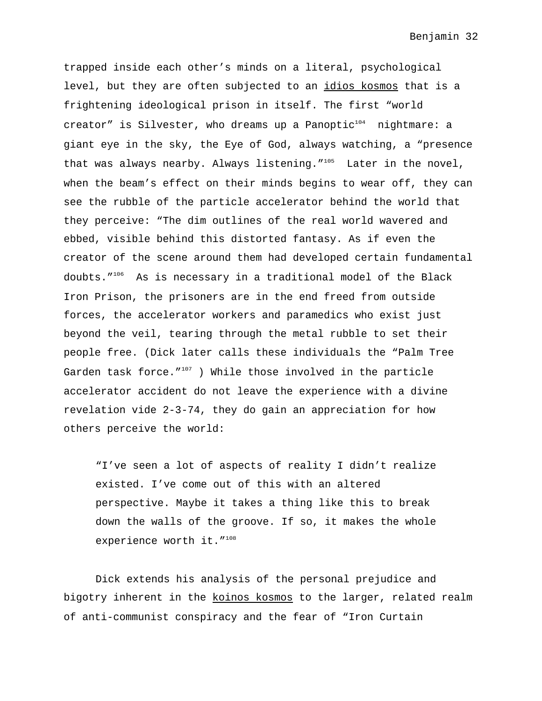trapped inside each other's minds on a literal, psychological level, but they are often subjected to an *idios kosmos* that is a frightening ideological prison in itself. The first "world creator" is Silvester, who dreams up a Panoptic<sup>104</sup> nightmare: a giant eye in the sky, the Eye of God, always watching, a "presence that was always nearby. Always listening.  $105$  Later in the novel, when the beam's effect on their minds begins to wear off, they can see the rubble of the particle accelerator behind the world that they perceive: "The dim outlines of the real world wavered and ebbed, visible behind this distorted fantasy. As if even the creator of the scene around them had developed certain fundamental doubts."<sup>106</sup> As is necessary in a traditional model of the Black Iron Prison, the prisoners are in the end freed from outside forces, the accelerator workers and paramedics who exist just beyond the veil, tearing through the metal rubble to set their people free. (Dick later calls these individuals the "Palm Tree Garden task force. $107$  ) While those involved in the particle accelerator accident do not leave the experience with a divine revelation vide 2-3-74, they do gain an appreciation for how others perceive the world:

"I've seen a lot of aspects of reality I didn't realize existed. I've come out of this with an altered perspective. Maybe it takes a thing like this to break down the walls of the groove. If so, it makes the whole experience worth it."<sup>108</sup>

Dick extends his analysis of the personal prejudice and bigotry inherent in the koinos kosmos to the larger, related realm of anti-communist conspiracy and the fear of "Iron Curtain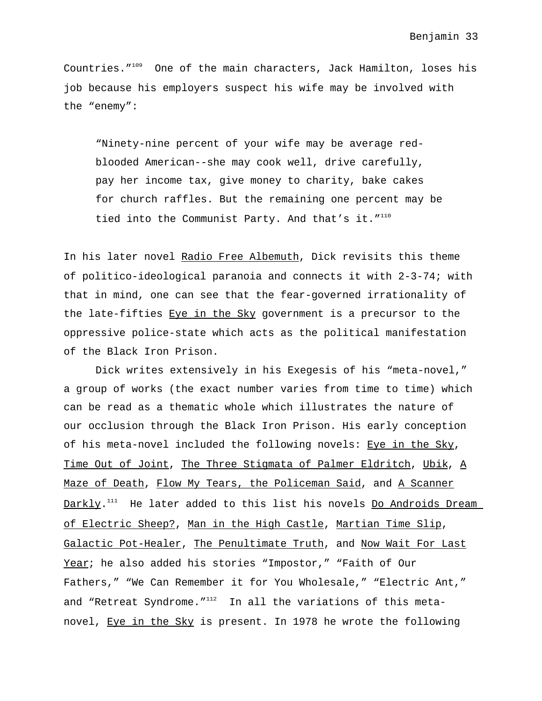Countries."<sup>109</sup> One of the main characters, Jack Hamilton, loses his job because his employers suspect his wife may be involved with the "enemy":

"Ninety-nine percent of your wife may be average redblooded American--she may cook well, drive carefully, pay her income tax, give money to charity, bake cakes for church raffles. But the remaining one percent may be tied into the Communist Party. And that's it.  $''^{110}$ 

In his later novel Radio Free Albemuth, Dick revisits this theme of politico-ideological paranoia and connects it with 2-3-74; with that in mind, one can see that the fear-governed irrationality of the late-fifties Eye in the Sky government is a precursor to the oppressive police-state which acts as the political manifestation of the Black Iron Prison.

Dick writes extensively in his Exegesis of his "meta-novel," a group of works (the exact number varies from time to time) which can be read as a thematic whole which illustrates the nature of our occlusion through the Black Iron Prison. His early conception of his meta-novel included the following novels: Eye in the Sky, Time Out of Joint, The Three Stigmata of Palmer Eldritch, Ubik, A Maze of Death, Flow My Tears, the Policeman Said, and A Scanner Darkly.<sup>111</sup> He later added to this list his novels <u>Do Androids Dream</u> of Electric Sheep?, Man in the High Castle, Martian Time Slip, Galactic Pot-Healer, The Penultimate Truth, and Now Wait For Last Year; he also added his stories "Impostor," "Faith of Our Fathers," "We Can Remember it for You Wholesale," "Electric Ant," and "Retreat Syndrome. $112$  In all the variations of this metanovel, Eye in the Sky is present. In 1978 he wrote the following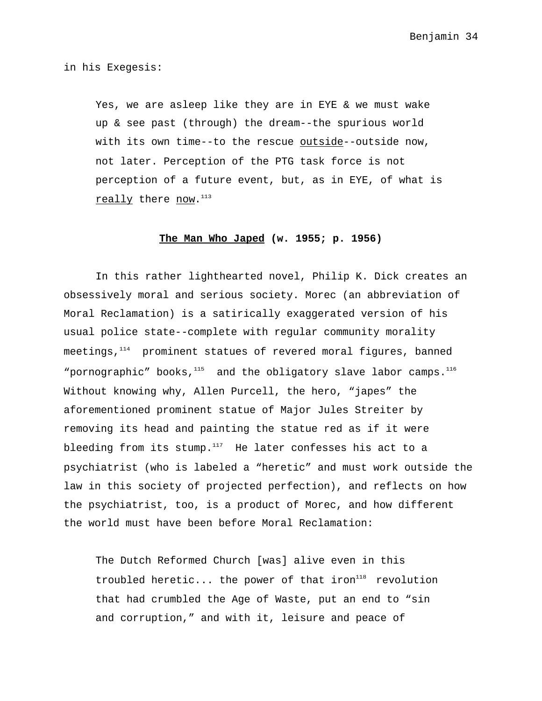### in his Exegesis:

Yes, we are asleep like they are in EYE & we must wake up & see past (through) the dream--the spurious world with its own time--to the rescue outside--outside now, not later. Perception of the PTG task force is not perception of a future event, but, as in EYE, of what is <u>really</u> there <u>now</u>.<sup>113</sup>

### **The Man Who Japed (w. 1955; p. 1956)**

In this rather lighthearted novel, Philip K. Dick creates an obsessively moral and serious society. Morec (an abbreviation of Moral Reclamation) is a satirically exaggerated version of his usual police state--complete with regular community morality meetings, $114$  prominent statues of revered moral figures, banned "pornographic" books, $115$  and the obligatory slave labor camps. $116$ Without knowing why, Allen Purcell, the hero, "japes" the aforementioned prominent statue of Major Jules Streiter by removing its head and painting the statue red as if it were bleeding from its stump. $117$  He later confesses his act to a psychiatrist (who is labeled a "heretic" and must work outside the law in this society of projected perfection), and reflects on how the psychiatrist, too, is a product of Morec, and how different the world must have been before Moral Reclamation:

The Dutch Reformed Church [was] alive even in this troubled heretic... the power of that iron<sup>118</sup> revolution that had crumbled the Age of Waste, put an end to "sin and corruption," and with it, leisure and peace of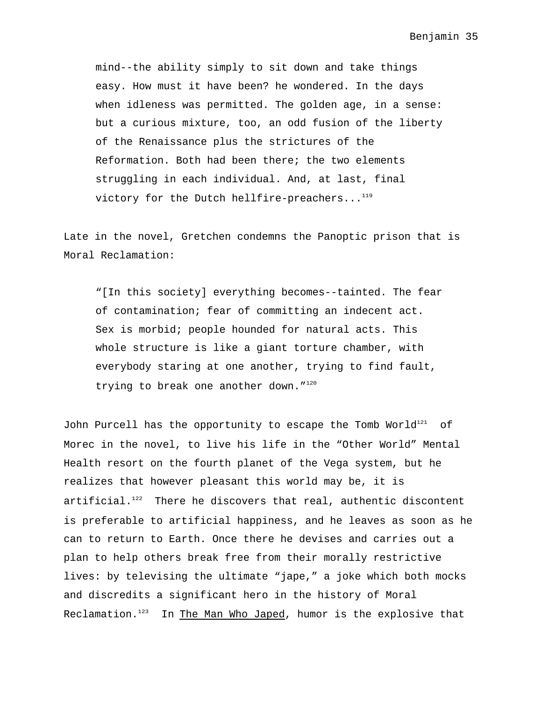mind--the ability simply to sit down and take things easy. How must it have been? he wondered. In the days when idleness was permitted. The golden age, in a sense: but a curious mixture, too, an odd fusion of the liberty of the Renaissance plus the strictures of the Reformation. Both had been there; the two elements struggling in each individual. And, at last, final victory for the Dutch hellfire-preachers...<sup>119</sup>

Late in the novel, Gretchen condemns the Panoptic prison that is Moral Reclamation:

"[In this society] everything becomes--tainted. The fear of contamination; fear of committing an indecent act. Sex is morbid; people hounded for natural acts. This whole structure is like a giant torture chamber, with everybody staring at one another, trying to find fault, trying to break one another down. "120

John Purcell has the opportunity to escape the Tomb World<sup>121</sup> of Morec in the novel, to live his life in the "Other World" Mental Health resort on the fourth planet of the Vega system, but he realizes that however pleasant this world may be, it is artificial. $122$  There he discovers that real, authentic discontent is preferable to artificial happiness, and he leaves as soon as he can to return to Earth. Once there he devises and carries out a plan to help others break free from their morally restrictive lives: by televising the ultimate "jape," a joke which both mocks and discredits a significant hero in the history of Moral Reclamation.<sup>123</sup> In The Man Who Japed, humor is the explosive that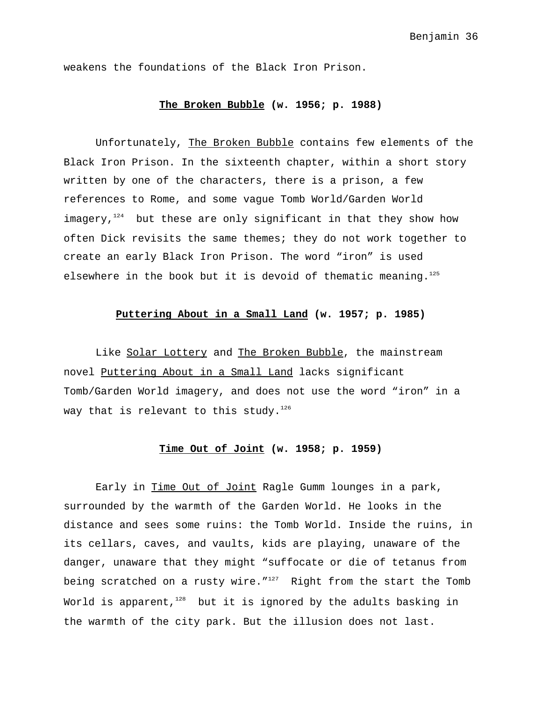weakens the foundations of the Black Iron Prison.

### **The Broken Bubble (w. 1956; p. 1988)**

Unfortunately, The Broken Bubble contains few elements of the Black Iron Prison. In the sixteenth chapter, within a short story written by one of the characters, there is a prison, a few references to Rome, and some vague Tomb World/Garden World imagery, $124$  but these are only significant in that they show how often Dick revisits the same themes; they do not work together to create an early Black Iron Prison. The word "iron" is used elsewhere in the book but it is devoid of thematic meaning. $125$ 

### **Puttering About in a Small Land (w. 1957; p. 1985)**

Like Solar Lottery and The Broken Bubble, the mainstream novel Puttering About in a Small Land lacks significant Tomb/Garden World imagery, and does not use the word "iron" in a way that is relevant to this study.<sup>126</sup>

# **Time Out of Joint (w. 1958; p. 1959)**

Early in Time Out of Joint Ragle Gumm lounges in a park, surrounded by the warmth of the Garden World. He looks in the distance and sees some ruins: the Tomb World. Inside the ruins, in its cellars, caves, and vaults, kids are playing, unaware of the danger, unaware that they might "suffocate or die of tetanus from being scratched on a rusty wire. $1^{127}$  Right from the start the Tomb World is apparent, $128$  but it is ignored by the adults basking in the warmth of the city park. But the illusion does not last.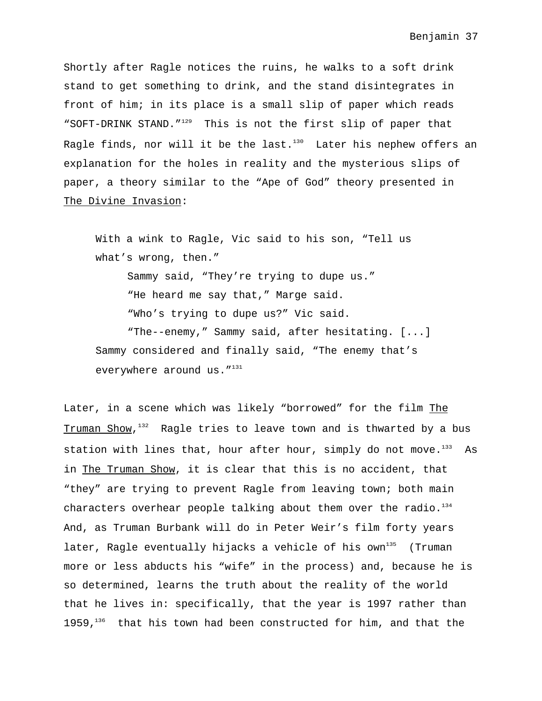Shortly after Ragle notices the ruins, he walks to a soft drink stand to get something to drink, and the stand disintegrates in front of him; in its place is a small slip of paper which reads "SOFT-DRINK STAND."<sup>129</sup> This is not the first slip of paper that Ragle finds, nor will it be the last.<sup>130</sup> Later his nephew offers an explanation for the holes in reality and the mysterious slips of paper, a theory similar to the "Ape of God" theory presented in The Divine Invasion:

With a wink to Ragle, Vic said to his son, "Tell us what's wrong, then."

Sammy said, "They're trying to dupe us." "He heard me say that," Marge said. "Who's trying to dupe us?" Vic said. "The--enemy," Sammy said, after hesitating. [...] Sammy considered and finally said, "The enemy that's everywhere around us."<sup>131</sup>

Later, in a scene which was likely "borrowed" for the film The Truman Show,<sup>132</sup> Ragle tries to leave town and is thwarted by a bus station with lines that, hour after hour, simply do not move. $^{133}$  As in The Truman Show, it is clear that this is no accident, that "they" are trying to prevent Ragle from leaving town; both main characters overhear people talking about them over the radio. $134$ And, as Truman Burbank will do in Peter Weir's film forty years later, Ragle eventually hijacks a vehicle of his  $own<sup>135</sup>$  (Truman more or less abducts his "wife" in the process) and, because he is so determined, learns the truth about the reality of the world that he lives in: specifically, that the year is 1997 rather than 1959, $136$  that his town had been constructed for him, and that the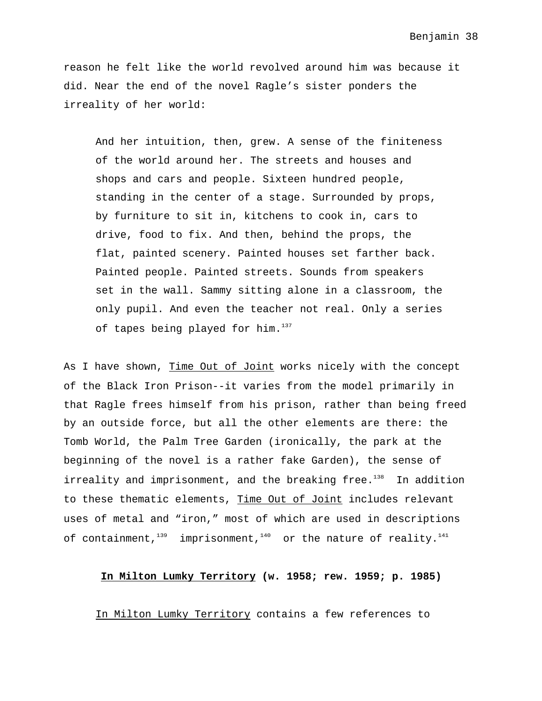reason he felt like the world revolved around him was because it did. Near the end of the novel Ragle's sister ponders the irreality of her world:

And her intuition, then, grew. A sense of the finiteness of the world around her. The streets and houses and shops and cars and people. Sixteen hundred people, standing in the center of a stage. Surrounded by props, by furniture to sit in, kitchens to cook in, cars to drive, food to fix. And then, behind the props, the flat, painted scenery. Painted houses set farther back. Painted people. Painted streets. Sounds from speakers set in the wall. Sammy sitting alone in a classroom, the only pupil. And even the teacher not real. Only a series of tapes being played for him. $137$ 

As I have shown, Time Out of Joint works nicely with the concept of the Black Iron Prison--it varies from the model primarily in that Ragle frees himself from his prison, rather than being freed by an outside force, but all the other elements are there: the Tomb World, the Palm Tree Garden (ironically, the park at the beginning of the novel is a rather fake Garden), the sense of irreality and imprisonment, and the breaking free. $138$  In addition to these thematic elements, Time Out of Joint includes relevant uses of metal and "iron," most of which are used in descriptions of containment,<sup>139</sup> imprisonment,<sup>140</sup> or the nature of reality.<sup>141</sup>

# **In Milton Lumky Territory (w. 1958; rew. 1959; p. 1985)**

In Milton Lumky Territory contains a few references to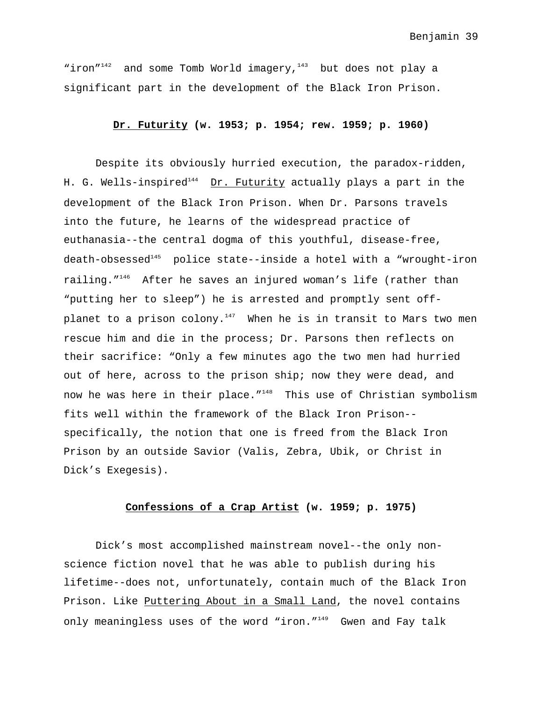"iron" $142$  and some Tomb World imagery, $143$  but does not play a significant part in the development of the Black Iron Prison.

## **Dr. Futurity (w. 1953; p. 1954; rew. 1959; p. 1960)**

Despite its obviously hurried execution, the paradox-ridden, H. G. Wells-inspired<sup>144</sup> Dr. Futurity actually plays a part in the development of the Black Iron Prison. When Dr. Parsons travels into the future, he learns of the widespread practice of euthanasia--the central dogma of this youthful, disease-free, death-obsessed<sup>145</sup> police state--inside a hotel with a "wrought-iron railing."<sup>146</sup> After he saves an injured woman's life (rather than "putting her to sleep") he is arrested and promptly sent offplanet to a prison colony. $147$  When he is in transit to Mars two men rescue him and die in the process; Dr. Parsons then reflects on their sacrifice: "Only a few minutes ago the two men had hurried out of here, across to the prison ship; now they were dead, and now he was here in their place. "<sup>148</sup> This use of Christian symbolism fits well within the framework of the Black Iron Prison- specifically, the notion that one is freed from the Black Iron Prison by an outside Savior (Valis, Zebra, Ubik, or Christ in Dick's Exegesis).

## **Confessions of a Crap Artist (w. 1959; p. 1975)**

Dick's most accomplished mainstream novel--the only nonscience fiction novel that he was able to publish during his lifetime--does not, unfortunately, contain much of the Black Iron Prison. Like Puttering About in a Small Land, the novel contains only meaningless uses of the word "iron."<sup>149</sup> Gwen and Fay talk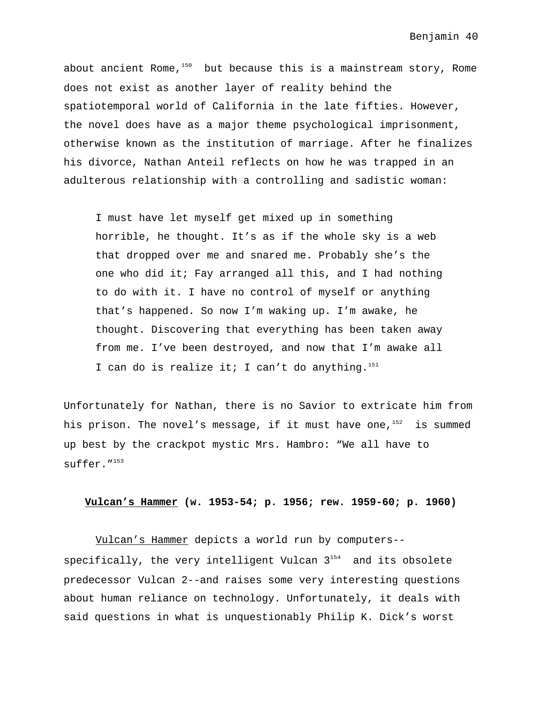about ancient Rome,  $150$  but because this is a mainstream story, Rome does not exist as another layer of reality behind the spatiotemporal world of California in the late fifties. However, the novel does have as a major theme psychological imprisonment, otherwise known as the institution of marriage. After he finalizes his divorce, Nathan Anteil reflects on how he was trapped in an adulterous relationship with a controlling and sadistic woman:

I must have let myself get mixed up in something horrible, he thought. It's as if the whole sky is a web that dropped over me and snared me. Probably she's the one who did it; Fay arranged all this, and I had nothing to do with it. I have no control of myself or anything that's happened. So now I'm waking up. I'm awake, he thought. Discovering that everything has been taken away from me. I've been destroyed, and now that I'm awake all I can do is realize it; I can't do anything.<sup>151</sup>

Unfortunately for Nathan, there is no Savior to extricate him from his prison. The novel's message, if it must have one,  $152$  is summed up best by the crackpot mystic Mrs. Hambro: "We all have to suffer."<sup>153</sup>

# **Vulcan's Hammer (w. 1953-54; p. 1956; rew. 1959-60; p. 1960)**

Vulcan's Hammer depicts a world run by computers- specifically, the very intelligent Vulcan  $3^{154}$  and its obsolete predecessor Vulcan 2--and raises some very interesting questions about human reliance on technology. Unfortunately, it deals with said questions in what is unquestionably Philip K. Dick's worst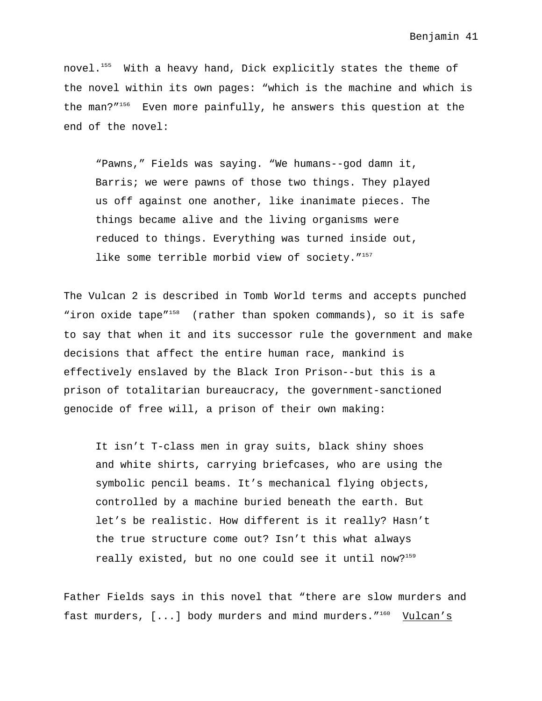novel.<sup>155</sup> With a heavy hand, Dick explicitly states the theme of the novel within its own pages: "which is the machine and which is the man? $156$  Even more painfully, he answers this question at the end of the novel:

"Pawns," Fields was saying. "We humans--god damn it, Barris; we were pawns of those two things. They played us off against one another, like inanimate pieces. The things became alive and the living organisms were reduced to things. Everything was turned inside out, like some terrible morbid view of society.  $1^{157}$ 

The Vulcan 2 is described in Tomb World terms and accepts punched "iron oxide tape"<sup>158</sup> (rather than spoken commands), so it is safe to say that when it and its successor rule the government and make decisions that affect the entire human race, mankind is effectively enslaved by the Black Iron Prison--but this is a prison of totalitarian bureaucracy, the government-sanctioned genocide of free will, a prison of their own making:

It isn't T-class men in gray suits, black shiny shoes and white shirts, carrying briefcases, who are using the symbolic pencil beams. It's mechanical flying objects, controlled by a machine buried beneath the earth. But let's be realistic. How different is it really? Hasn't the true structure come out? Isn't this what always really existed, but no one could see it until now?<sup>159</sup>

Father Fields says in this novel that "there are slow murders and fast murders,  $[...]$  body murders and mind murders.  $''^{160}$  Vulcan's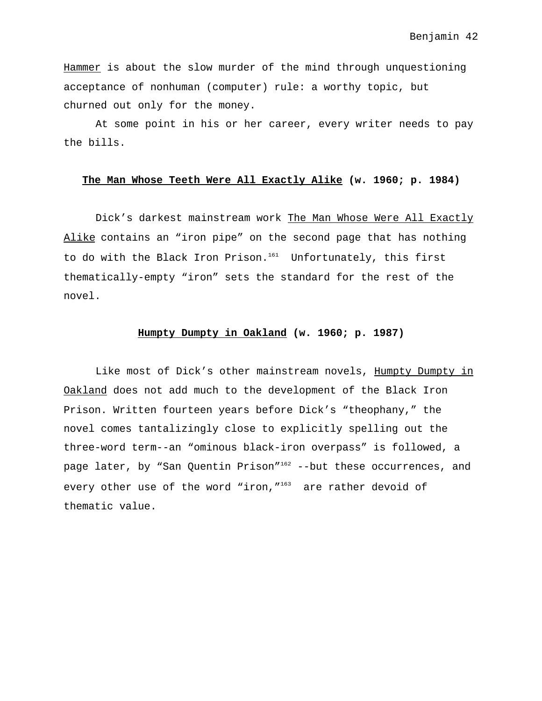Hammer is about the slow murder of the mind through unquestioning acceptance of nonhuman (computer) rule: a worthy topic, but churned out only for the money.

At some point in his or her career, every writer needs to pay the bills.

## **The Man Whose Teeth Were All Exactly Alike (w. 1960; p. 1984)**

Dick's darkest mainstream work The Man Whose Were All Exactly Alike contains an "iron pipe" on the second page that has nothing to do with the Black Iron Prison.<sup>161</sup> Unfortunately, this first thematically-empty "iron" sets the standard for the rest of the novel.

## **Humpty Dumpty in Oakland (w. 1960; p. 1987)**

Like most of Dick's other mainstream novels, Humpty Dumpty in Oakland does not add much to the development of the Black Iron Prison. Written fourteen years before Dick's "theophany," the novel comes tantalizingly close to explicitly spelling out the three-word term--an "ominous black-iron overpass" is followed, a page later, by "San Quentin Prison"<sup>162</sup> --but these occurrences, and every other use of the word "iron, "<sup>163</sup> are rather devoid of thematic value.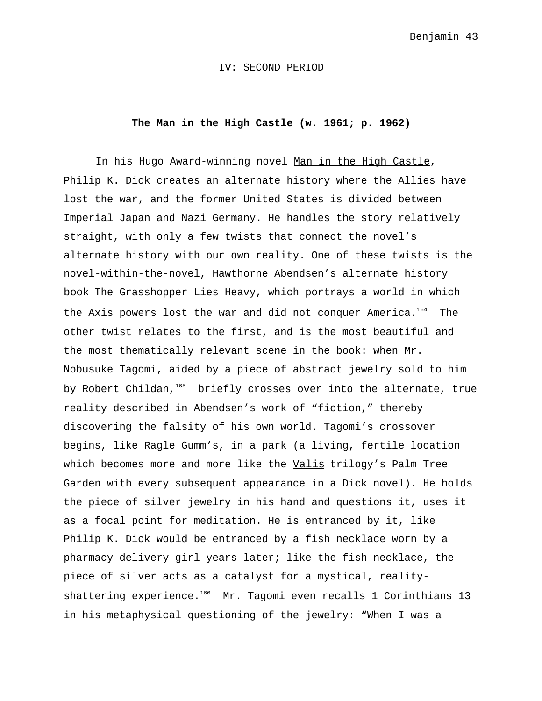#### IV: SECOND PERIOD

# **The Man in the High Castle (w. 1961; p. 1962)**

In his Hugo Award-winning novel Man in the High Castle, Philip K. Dick creates an alternate history where the Allies have lost the war, and the former United States is divided between Imperial Japan and Nazi Germany. He handles the story relatively straight, with only a few twists that connect the novel's alternate history with our own reality. One of these twists is the novel-within-the-novel, Hawthorne Abendsen's alternate history book The Grasshopper Lies Heavy, which portrays a world in which the Axis powers lost the war and did not conquer America.<sup>164</sup> The other twist relates to the first, and is the most beautiful and the most thematically relevant scene in the book: when Mr. Nobusuke Tagomi, aided by a piece of abstract jewelry sold to him by Robert Childan,<sup>165</sup> briefly crosses over into the alternate, true reality described in Abendsen's work of "fiction," thereby discovering the falsity of his own world. Tagomi's crossover begins, like Ragle Gumm's, in a park (a living, fertile location which becomes more and more like the Valis trilogy's Palm Tree Garden with every subsequent appearance in a Dick novel). He holds the piece of silver jewelry in his hand and questions it, uses it as a focal point for meditation. He is entranced by it, like Philip K. Dick would be entranced by a fish necklace worn by a pharmacy delivery girl years later; like the fish necklace, the piece of silver acts as a catalyst for a mystical, realityshattering experience.<sup>166</sup> Mr. Tagomi even recalls 1 Corinthians 13 in his metaphysical questioning of the jewelry: "When I was a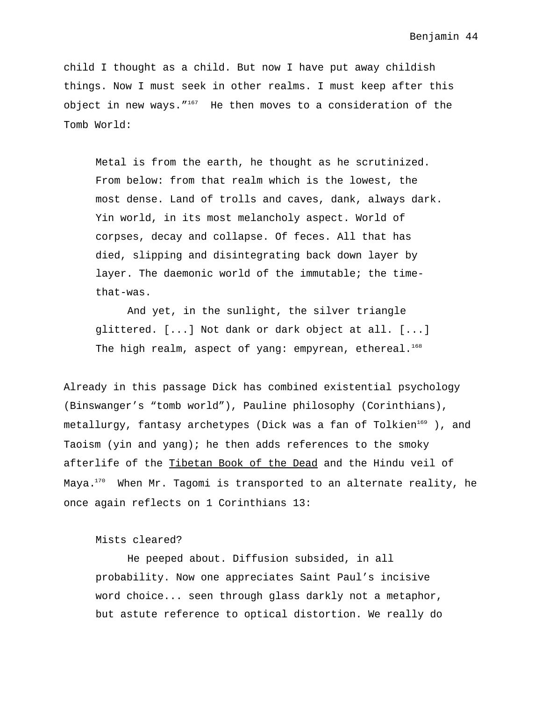child I thought as a child. But now I have put away childish things. Now I must seek in other realms. I must keep after this object in new ways. $167$  He then moves to a consideration of the Tomb World:

Metal is from the earth, he thought as he scrutinized. From below: from that realm which is the lowest, the most dense. Land of trolls and caves, dank, always dark. Yin world, in its most melancholy aspect. World of corpses, decay and collapse. Of feces. All that has died, slipping and disintegrating back down layer by layer. The daemonic world of the immutable; the timethat-was.

And yet, in the sunlight, the silver triangle glittered. [...] Not dank or dark object at all. [...] The high realm, aspect of yang: empyrean, ethereal.<sup>168</sup>

Already in this passage Dick has combined existential psychology (Binswanger's "tomb world"), Pauline philosophy (Corinthians), metallurgy, fantasy archetypes (Dick was a fan of Tolkien<sup>169</sup> ), and Taoism (yin and yang); he then adds references to the smoky afterlife of the Tibetan Book of the Dead and the Hindu veil of Maya. $170$  When Mr. Tagomi is transported to an alternate reality, he once again reflects on 1 Corinthians 13:

# Mists cleared?

He peeped about. Diffusion subsided, in all probability. Now one appreciates Saint Paul's incisive word choice... seen through glass darkly not a metaphor, but astute reference to optical distortion. We really do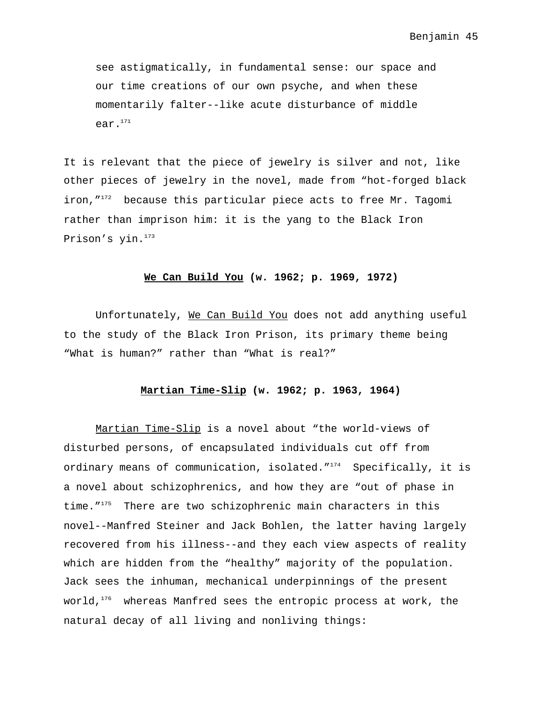see astigmatically, in fundamental sense: our space and our time creations of our own psyche, and when these momentarily falter--like acute disturbance of middle ear. $171$ 

It is relevant that the piece of jewelry is silver and not, like other pieces of jewelry in the novel, made from "hot-forged black iron,  $172$  because this particular piece acts to free Mr. Tagomi rather than imprison him: it is the yang to the Black Iron Prison's yin.<sup>173</sup>

# **We Can Build You (w. 1962; p. 1969, 1972)**

Unfortunately, We Can Build You does not add anything useful to the study of the Black Iron Prison, its primary theme being "What is human?" rather than "What is real?"

# **Martian Time-Slip (w. 1962; p. 1963, 1964)**

Martian Time-Slip is a novel about "the world-views of disturbed persons, of encapsulated individuals cut off from ordinary means of communication, isolated."<sup>174</sup> Specifically, it is a novel about schizophrenics, and how they are "out of phase in time."<sup>175</sup> There are two schizophrenic main characters in this novel--Manfred Steiner and Jack Bohlen, the latter having largely recovered from his illness--and they each view aspects of reality which are hidden from the "healthy" majority of the population. Jack sees the inhuman, mechanical underpinnings of the present world,<sup>176</sup> whereas Manfred sees the entropic process at work, the natural decay of all living and nonliving things: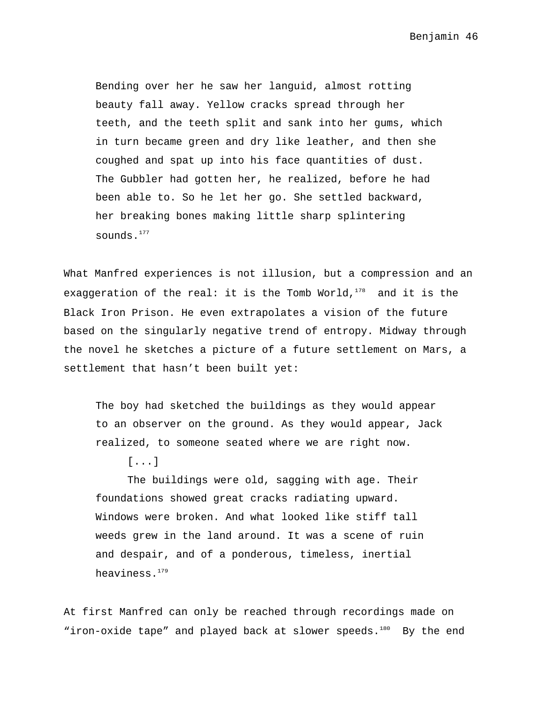Bending over her he saw her languid, almost rotting beauty fall away. Yellow cracks spread through her teeth, and the teeth split and sank into her gums, which in turn became green and dry like leather, and then she coughed and spat up into his face quantities of dust. The Gubbler had gotten her, he realized, before he had been able to. So he let her go. She settled backward, her breaking bones making little sharp splintering sounds. $177$ 

What Manfred experiences is not illusion, but a compression and an exaggeration of the real: it is the Tomb World, $178$  and it is the Black Iron Prison. He even extrapolates a vision of the future based on the singularly negative trend of entropy. Midway through the novel he sketches a picture of a future settlement on Mars, a settlement that hasn't been built yet:

The boy had sketched the buildings as they would appear to an observer on the ground. As they would appear, Jack realized, to someone seated where we are right now.

[...]

The buildings were old, sagging with age. Their foundations showed great cracks radiating upward. Windows were broken. And what looked like stiff tall weeds grew in the land around. It was a scene of ruin and despair, and of a ponderous, timeless, inertial heaviness.<sup>179</sup>

At first Manfred can only be reached through recordings made on "iron-oxide tape" and played back at slower speeds.<sup>180</sup> By the end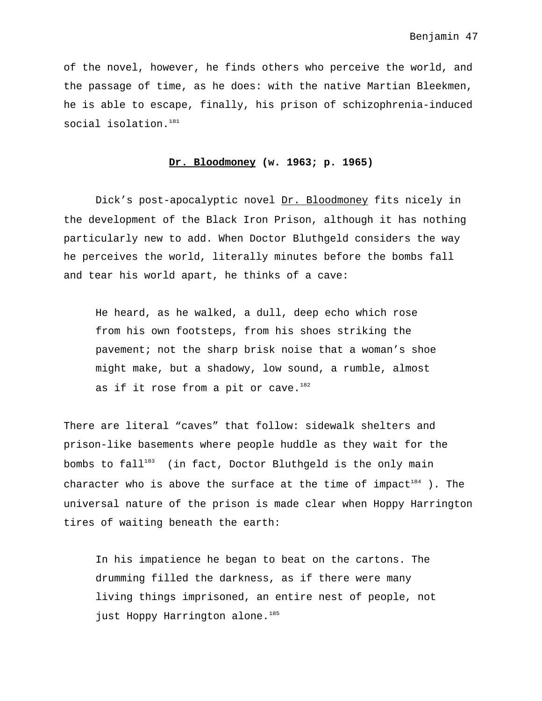of the novel, however, he finds others who perceive the world, and the passage of time, as he does: with the native Martian Bleekmen, he is able to escape, finally, his prison of schizophrenia-induced social isolation.<sup>181</sup>

# **Dr. Bloodmoney (w. 1963; p. 1965)**

Dick's post-apocalyptic novel Dr. Bloodmoney fits nicely in the development of the Black Iron Prison, although it has nothing particularly new to add. When Doctor Bluthgeld considers the way he perceives the world, literally minutes before the bombs fall and tear his world apart, he thinks of a cave:

He heard, as he walked, a dull, deep echo which rose from his own footsteps, from his shoes striking the pavement; not the sharp brisk noise that a woman's shoe might make, but a shadowy, low sound, a rumble, almost as if it rose from a pit or cave.<sup>182</sup>

There are literal "caves" that follow: sidewalk shelters and prison-like basements where people huddle as they wait for the bombs to fall<sup>183</sup> (in fact, Doctor Bluthgeld is the only main character who is above the surface at the time of impact<sup>184</sup> ). The universal nature of the prison is made clear when Hoppy Harrington tires of waiting beneath the earth:

In his impatience he began to beat on the cartons. The drumming filled the darkness, as if there were many living things imprisoned, an entire nest of people, not just Hoppy Harrington alone.<sup>185</sup>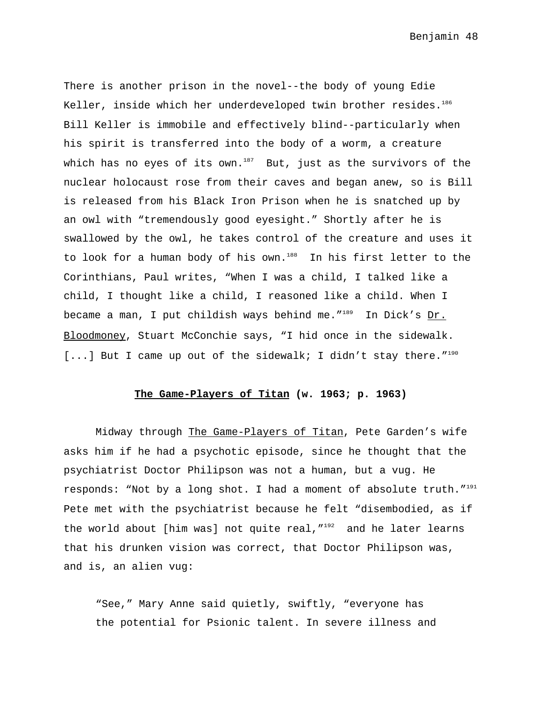There is another prison in the novel--the body of young Edie Keller, inside which her underdeveloped twin brother resides.<sup>186</sup> Bill Keller is immobile and effectively blind--particularly when his spirit is transferred into the body of a worm, a creature which has no eyes of its  $own.^{187}$  But, just as the survivors of the nuclear holocaust rose from their caves and began anew, so is Bill is released from his Black Iron Prison when he is snatched up by an owl with "tremendously good eyesight." Shortly after he is swallowed by the owl, he takes control of the creature and uses it to look for a human body of his own.<sup>188</sup> In his first letter to the Corinthians, Paul writes, "When I was a child, I talked like a child, I thought like a child, I reasoned like a child. When I became a man, I put childish ways behind me.  $T^{189}$  In Dick's Dr. Bloodmoney, Stuart McConchie says, "I hid once in the sidewalk.  $[...]$  But I came up out of the sidewalk; I didn't stay there."<sup>190</sup>

## **The Game-Players of Titan (w. 1963; p. 1963)**

Midway through The Game-Players of Titan, Pete Garden's wife asks him if he had a psychotic episode, since he thought that the psychiatrist Doctor Philipson was not a human, but a vug. He responds: "Not by a long shot. I had a moment of absolute truth."<sup>191</sup> Pete met with the psychiatrist because he felt "disembodied, as if the world about [him was] not quite real,  $T^{192}$  and he later learns that his drunken vision was correct, that Doctor Philipson was, and is, an alien vug:

"See," Mary Anne said quietly, swiftly, "everyone has the potential for Psionic talent. In severe illness and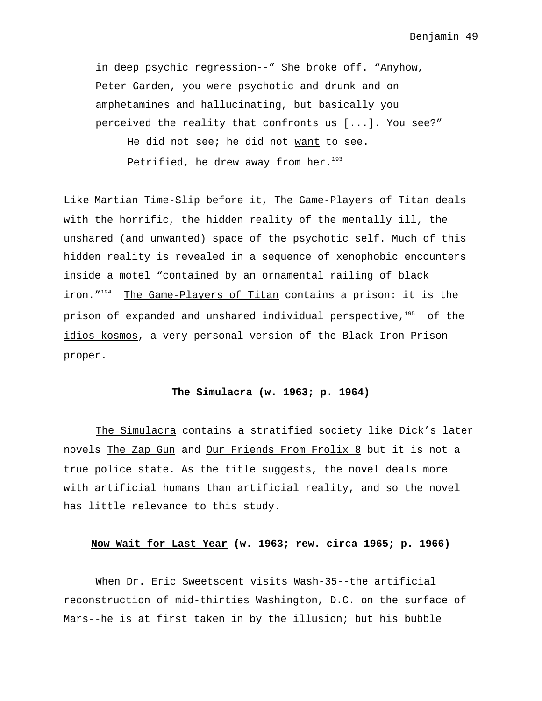in deep psychic regression--" She broke off. "Anyhow, Peter Garden, you were psychotic and drunk and on amphetamines and hallucinating, but basically you perceived the reality that confronts us [...]. You see?" He did not see; he did not want to see. Petrified, he drew away from her. $193$ 

Like Martian Time-Slip before it, The Game-Players of Titan deals with the horrific, the hidden reality of the mentally ill, the unshared (and unwanted) space of the psychotic self. Much of this hidden reality is revealed in a sequence of xenophobic encounters inside a motel "contained by an ornamental railing of black iron."<sup>194</sup> The Game-Players of Titan contains a prison: it is the prison of expanded and unshared individual perspective,<sup>195</sup> of the idios kosmos, a very personal version of the Black Iron Prison proper.

## **The Simulacra (w. 1963; p. 1964)**

The Simulacra contains a stratified society like Dick's later novels The Zap Gun and Our Friends From Frolix 8 but it is not a true police state. As the title suggests, the novel deals more with artificial humans than artificial reality, and so the novel has little relevance to this study.

#### **Now Wait for Last Year (w. 1963; rew. circa 1965; p. 1966)**

When Dr. Eric Sweetscent visits Wash-35--the artificial reconstruction of mid-thirties Washington, D.C. on the surface of Mars--he is at first taken in by the illusion; but his bubble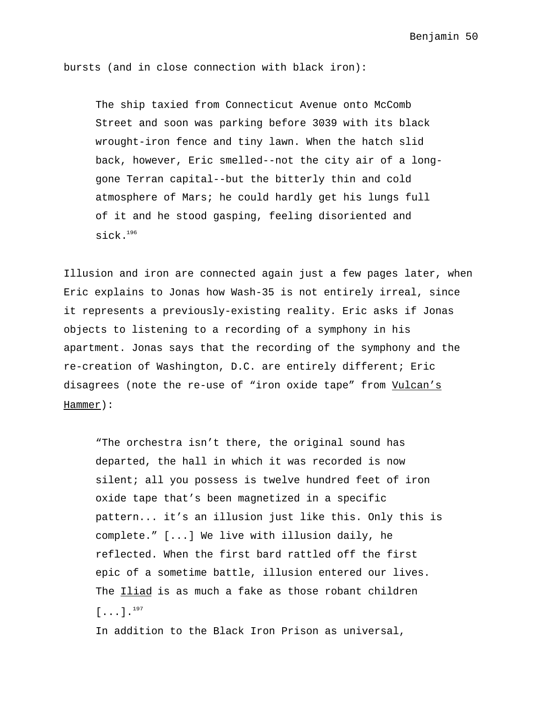bursts (and in close connection with black iron):

The ship taxied from Connecticut Avenue onto McComb Street and soon was parking before 3039 with its black wrought-iron fence and tiny lawn. When the hatch slid back, however, Eric smelled--not the city air of a longgone Terran capital--but the bitterly thin and cold atmosphere of Mars; he could hardly get his lungs full of it and he stood gasping, feeling disoriented and  $sick.$ <sup>196</sup>

Illusion and iron are connected again just a few pages later, when Eric explains to Jonas how Wash-35 is not entirely irreal, since it represents a previously-existing reality. Eric asks if Jonas objects to listening to a recording of a symphony in his apartment. Jonas says that the recording of the symphony and the re-creation of Washington, D.C. are entirely different; Eric disagrees (note the re-use of "iron oxide tape" from Vulcan's Hammer):

"The orchestra isn't there, the original sound has departed, the hall in which it was recorded is now silent; all you possess is twelve hundred feet of iron oxide tape that's been magnetized in a specific pattern... it's an illusion just like this. Only this is complete." [...] We live with illusion daily, he reflected. When the first bard rattled off the first epic of a sometime battle, illusion entered our lives. The Iliad is as much a fake as those robant children  $[\ldots]$ .<sup>197</sup>

In addition to the Black Iron Prison as universal,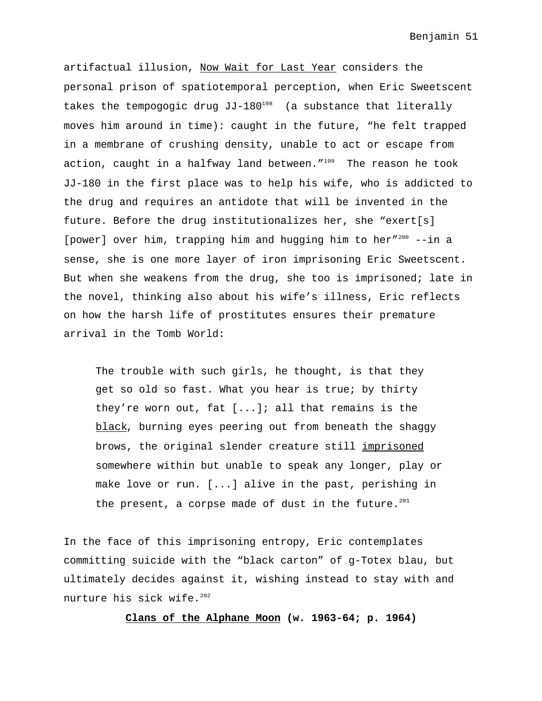artifactual illusion, Now Wait for Last Year considers the personal prison of spatiotemporal perception, when Eric Sweetscent takes the tempogogic drug  $JJ-180^{198}$  (a substance that literally moves him around in time): caught in the future, "he felt trapped in a membrane of crushing density, unable to act or escape from action, caught in a halfway land between. $1^{199}$  The reason he took JJ-180 in the first place was to help his wife, who is addicted to the drug and requires an antidote that will be invented in the future. Before the drug institutionalizes her, she "exert[s] [power] over him, trapping him and hugging him to her"<sup>200</sup> --in a sense, she is one more layer of iron imprisoning Eric Sweetscent. But when she weakens from the drug, she too is imprisoned; late in the novel, thinking also about his wife's illness, Eric reflects on how the harsh life of prostitutes ensures their premature arrival in the Tomb World:

The trouble with such girls, he thought, is that they get so old so fast. What you hear is true; by thirty they're worn out, fat  $[...]$ ; all that remains is the black, burning eyes peering out from beneath the shaggy brows, the original slender creature still imprisoned somewhere within but unable to speak any longer, play or make love or run. [...] alive in the past, perishing in the present, a corpse made of dust in the future. $^{201}$ 

In the face of this imprisoning entropy, Eric contemplates committing suicide with the "black carton" of g-Totex blau, but ultimately decides against it, wishing instead to stay with and nurture his sick wife.<sup>202</sup>

**Clans of the Alphane Moon (w. 1963-64; p. 1964)**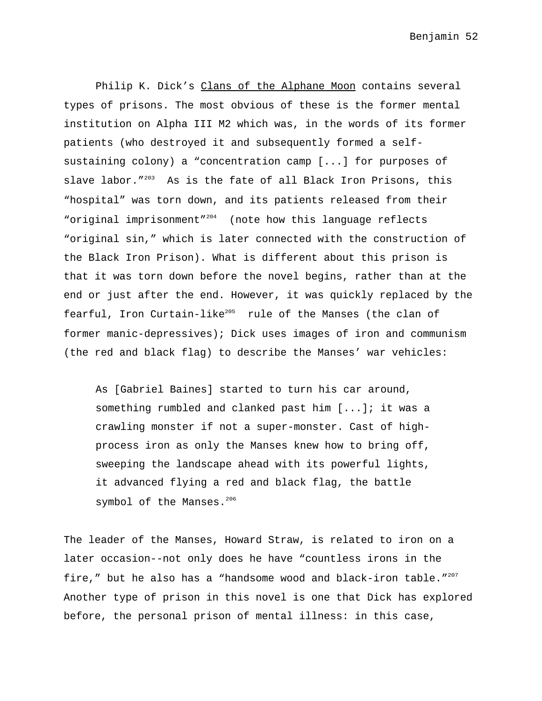Philip K. Dick's Clans of the Alphane Moon contains several types of prisons. The most obvious of these is the former mental institution on Alpha III M2 which was, in the words of its former patients (who destroyed it and subsequently formed a selfsustaining colony) a "concentration camp [...] for purposes of slave labor." $^{203}$  As is the fate of all Black Iron Prisons, this "hospital" was torn down, and its patients released from their "original imprisonment"<sup>204</sup> (note how this language reflects "original sin," which is later connected with the construction of the Black Iron Prison). What is different about this prison is that it was torn down before the novel begins, rather than at the end or just after the end. However, it was quickly replaced by the fearful, Iron Curtain-like<sup>205</sup> rule of the Manses (the clan of former manic-depressives); Dick uses images of iron and communism (the red and black flag) to describe the Manses' war vehicles:

As [Gabriel Baines] started to turn his car around, something rumbled and clanked past him [...]; it was a crawling monster if not a super-monster. Cast of highprocess iron as only the Manses knew how to bring off, sweeping the landscape ahead with its powerful lights, it advanced flying a red and black flag, the battle symbol of the Manses.<sup>206</sup>

The leader of the Manses, Howard Straw, is related to iron on a later occasion--not only does he have "countless irons in the fire," but he also has a "handsome wood and black-iron table."<sup>207</sup> Another type of prison in this novel is one that Dick has explored before, the personal prison of mental illness: in this case,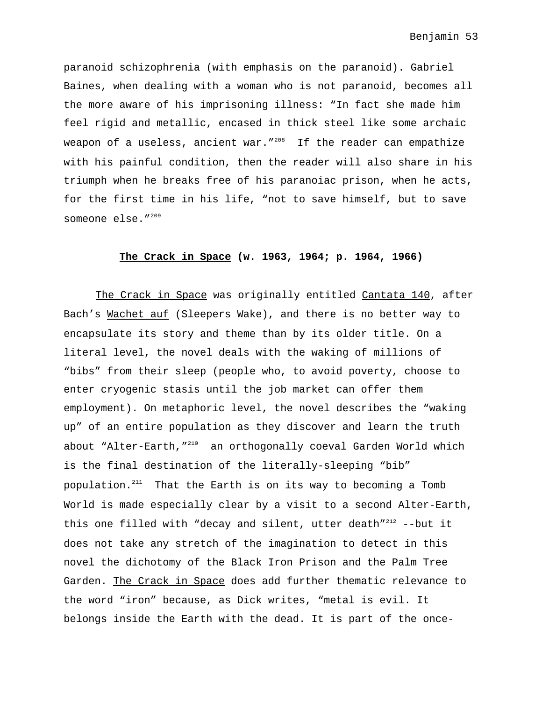paranoid schizophrenia (with emphasis on the paranoid). Gabriel Baines, when dealing with a woman who is not paranoid, becomes all the more aware of his imprisoning illness: "In fact she made him feel rigid and metallic, encased in thick steel like some archaic weapon of a useless, ancient war.  $1208$  If the reader can empathize with his painful condition, then the reader will also share in his triumph when he breaks free of his paranoiac prison, when he acts, for the first time in his life, "not to save himself, but to save someone else."<sup>209</sup>

# **The Crack in Space (w. 1963, 1964; p. 1964, 1966)**

The Crack in Space was originally entitled Cantata 140, after Bach's Nachet auf (Sleepers Wake), and there is no better way to encapsulate its story and theme than by its older title. On a literal level, the novel deals with the waking of millions of "bibs" from their sleep (people who, to avoid poverty, choose to enter cryogenic stasis until the job market can offer them employment). On metaphoric level, the novel describes the "waking up" of an entire population as they discover and learn the truth about "Alter-Earth, "<sup>210</sup> an orthogonally coeval Garden World which is the final destination of the literally-sleeping "bib" population.<sup>211</sup> That the Earth is on its way to becoming a Tomb World is made especially clear by a visit to a second Alter-Earth, this one filled with "decay and silent, utter death" $^{212}$  --but it does not take any stretch of the imagination to detect in this novel the dichotomy of the Black Iron Prison and the Palm Tree Garden. The Crack in Space does add further thematic relevance to the word "iron" because, as Dick writes, "metal is evil. It belongs inside the Earth with the dead. It is part of the once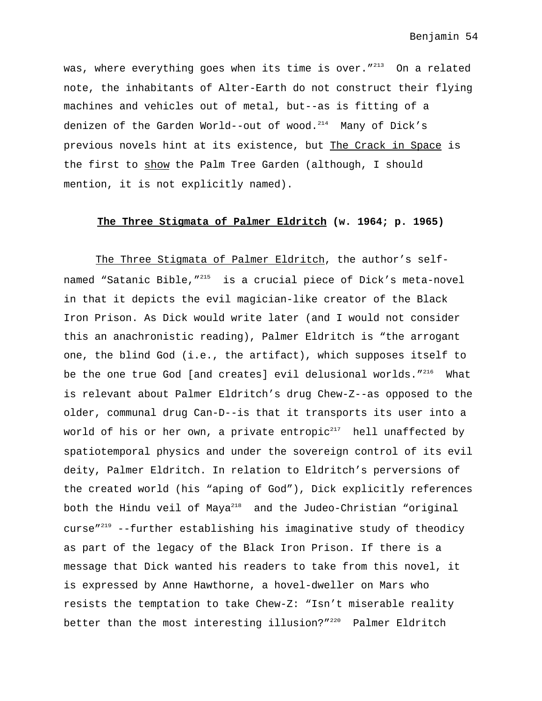was, where everything goes when its time is over. $1^{213}$  On a related note, the inhabitants of Alter-Earth do not construct their flying machines and vehicles out of metal, but--as is fitting of a denizen of the Garden World--out of wood.<sup>214</sup> Many of Dick's previous novels hint at its existence, but The Crack in Space is the first to show the Palm Tree Garden (although, I should mention, it is not explicitly named).

#### **The Three Stigmata of Palmer Eldritch (w. 1964; p. 1965)**

The Three Stigmata of Palmer Eldritch, the author's selfnamed "Satanic Bible, "<sup>215</sup> is a crucial piece of Dick's meta-novel in that it depicts the evil magician-like creator of the Black Iron Prison. As Dick would write later (and I would not consider this an anachronistic reading), Palmer Eldritch is "the arrogant one, the blind God (i.e., the artifact), which supposes itself to be the one true God [and creates] evil delusional worlds."<sup>216</sup> What is relevant about Palmer Eldritch's drug Chew-Z--as opposed to the older, communal drug Can-D--is that it transports its user into a world of his or her own, a private entropic<sup>217</sup> hell unaffected by spatiotemporal physics and under the sovereign control of its evil deity, Palmer Eldritch. In relation to Eldritch's perversions of the created world (his "aping of God"), Dick explicitly references both the Hindu veil of Maya<sup>218</sup> and the Judeo-Christian "original curse" $219$  --further establishing his imaginative study of theodicy as part of the legacy of the Black Iron Prison. If there is a message that Dick wanted his readers to take from this novel, it is expressed by Anne Hawthorne, a hovel-dweller on Mars who resists the temptation to take Chew-Z: "Isn't miserable reality better than the most interesting illusion?"<sup>220</sup> Palmer Eldritch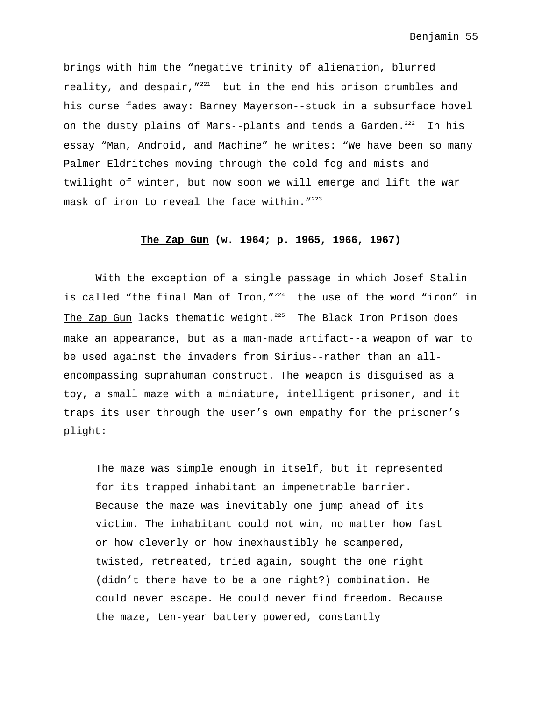brings with him the "negative trinity of alienation, blurred reality, and despair,  $T^{221}$  but in the end his prison crumbles and his curse fades away: Barney Mayerson--stuck in a subsurface hovel on the dusty plains of Mars--plants and tends a Garden.<sup>222</sup> In his essay "Man, Android, and Machine" he writes: "We have been so many Palmer Eldritches moving through the cold fog and mists and twilight of winter, but now soon we will emerge and lift the war mask of iron to reveal the face within.  $''^{223}$ 

#### **The Zap Gun (w. 1964; p. 1965, 1966, 1967)**

With the exception of a single passage in which Josef Stalin is called "the final Man of Iron,  $''^{224}$  the use of the word "iron" in The Zap Gun lacks thematic weight.<sup>225</sup> The Black Iron Prison does make an appearance, but as a man-made artifact--a weapon of war to be used against the invaders from Sirius--rather than an allencompassing suprahuman construct. The weapon is disguised as a toy, a small maze with a miniature, intelligent prisoner, and it traps its user through the user's own empathy for the prisoner's plight:

The maze was simple enough in itself, but it represented for its trapped inhabitant an impenetrable barrier. Because the maze was inevitably one jump ahead of its victim. The inhabitant could not win, no matter how fast or how cleverly or how inexhaustibly he scampered, twisted, retreated, tried again, sought the one right (didn't there have to be a one right?) combination. He could never escape. He could never find freedom. Because the maze, ten-year battery powered, constantly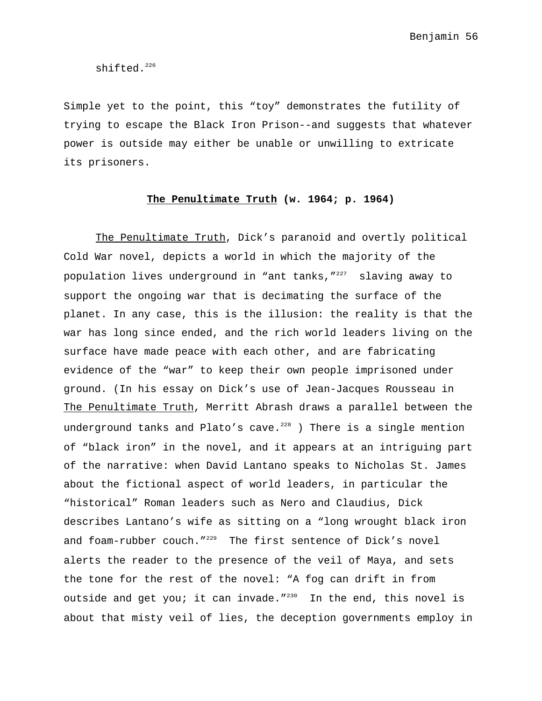shifted.<sup>226</sup>

Simple yet to the point, this "toy" demonstrates the futility of trying to escape the Black Iron Prison--and suggests that whatever power is outside may either be unable or unwilling to extricate its prisoners.

# **The Penultimate Truth (w. 1964; p. 1964)**

The Penultimate Truth, Dick's paranoid and overtly political Cold War novel, depicts a world in which the majority of the population lives underground in "ant tanks,  $^{\prime\prime\,227}$  slaving away to support the ongoing war that is decimating the surface of the planet. In any case, this is the illusion: the reality is that the war has long since ended, and the rich world leaders living on the surface have made peace with each other, and are fabricating evidence of the "war" to keep their own people imprisoned under ground. (In his essay on Dick's use of Jean-Jacques Rousseau in The Penultimate Truth, Merritt Abrash draws a parallel between the underground tanks and Plato's cave. $228$  ) There is a single mention of "black iron" in the novel, and it appears at an intriguing part of the narrative: when David Lantano speaks to Nicholas St. James about the fictional aspect of world leaders, in particular the "historical" Roman leaders such as Nero and Claudius, Dick describes Lantano's wife as sitting on a "long wrought black iron and foam-rubber couch."<sup>229</sup> The first sentence of Dick's novel alerts the reader to the presence of the veil of Maya, and sets the tone for the rest of the novel: "A fog can drift in from outside and get you; it can invade.  $''^{230}$  In the end, this novel is about that misty veil of lies, the deception governments employ in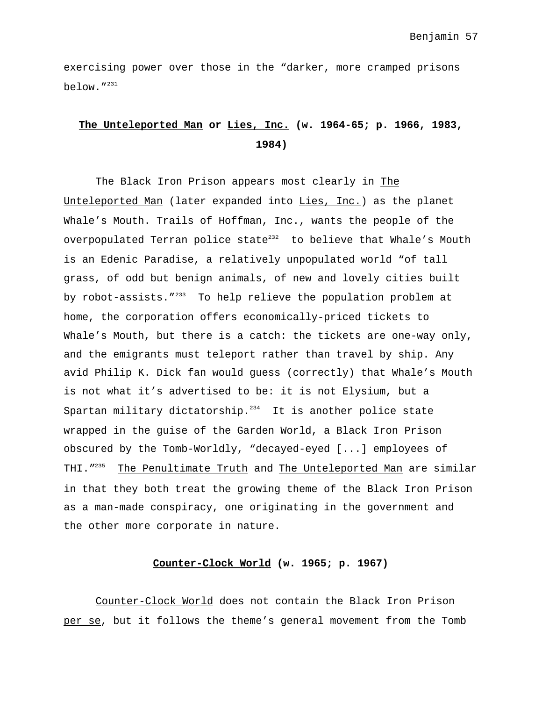exercising power over those in the "darker, more cramped prisons below."<sup>231</sup>

# **The Unteleported Man or Lies, Inc. (w. 1964-65; p. 1966, 1983, 1984)**

The Black Iron Prison appears most clearly in The Unteleported Man (later expanded into Lies, Inc.) as the planet Whale's Mouth. Trails of Hoffman, Inc., wants the people of the overpopulated Terran police state<sup>232</sup> to believe that Whale's Mouth is an Edenic Paradise, a relatively unpopulated world "of tall grass, of odd but benign animals, of new and lovely cities built by robot-assists. $1^{233}$  To help relieve the population problem at home, the corporation offers economically-priced tickets to Whale's Mouth, but there is a catch: the tickets are one-way only, and the emigrants must teleport rather than travel by ship. Any avid Philip K. Dick fan would guess (correctly) that Whale's Mouth is not what it's advertised to be: it is not Elysium, but a Spartan military dictatorship. $234$  It is another police state wrapped in the guise of the Garden World, a Black Iron Prison obscured by the Tomb-Worldly, "decayed-eyed [...] employees of THI."<sup>235</sup> The Penultimate Truth and The Unteleported Man are similar in that they both treat the growing theme of the Black Iron Prison as a man-made conspiracy, one originating in the government and the other more corporate in nature.

## **Counter-Clock World (w. 1965; p. 1967)**

Counter-Clock World does not contain the Black Iron Prison per se, but it follows the theme's general movement from the Tomb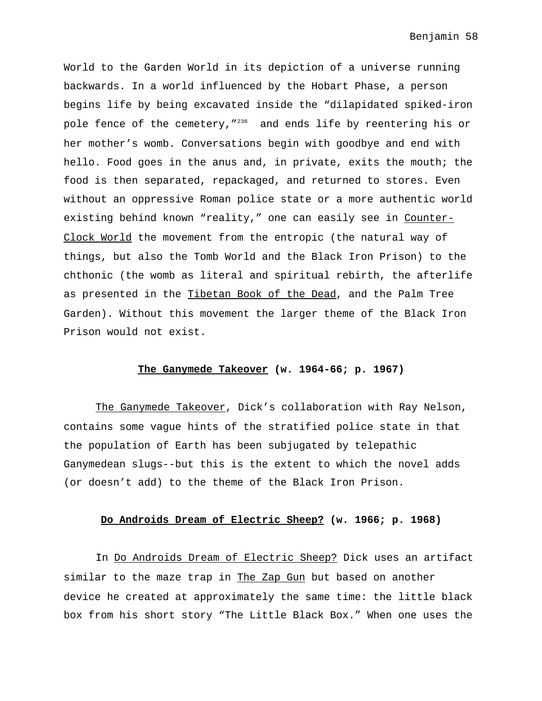World to the Garden World in its depiction of a universe running backwards. In a world influenced by the Hobart Phase, a person begins life by being excavated inside the "dilapidated spiked-iron pole fence of the cemetery, "<sup>236</sup> and ends life by reentering his or her mother's womb. Conversations begin with goodbye and end with hello. Food goes in the anus and, in private, exits the mouth; the food is then separated, repackaged, and returned to stores. Even without an oppressive Roman police state or a more authentic world existing behind known "reality," one can easily see in Counter-Clock World the movement from the entropic (the natural way of things, but also the Tomb World and the Black Iron Prison) to the chthonic (the womb as literal and spiritual rebirth, the afterlife as presented in the Tibetan Book of the Dead, and the Palm Tree Garden). Without this movement the larger theme of the Black Iron Prison would not exist.

## **The Ganymede Takeover (w. 1964-66; p. 1967)**

The Ganymede Takeover, Dick's collaboration with Ray Nelson, contains some vague hints of the stratified police state in that the population of Earth has been subjugated by telepathic Ganymedean slugs--but this is the extent to which the novel adds (or doesn't add) to the theme of the Black Iron Prison.

#### **Do Androids Dream of Electric Sheep? (w. 1966; p. 1968)**

In Do Androids Dream of Electric Sheep? Dick uses an artifact similar to the maze trap in The Zap Gun but based on another device he created at approximately the same time: the little black box from his short story "The Little Black Box." When one uses the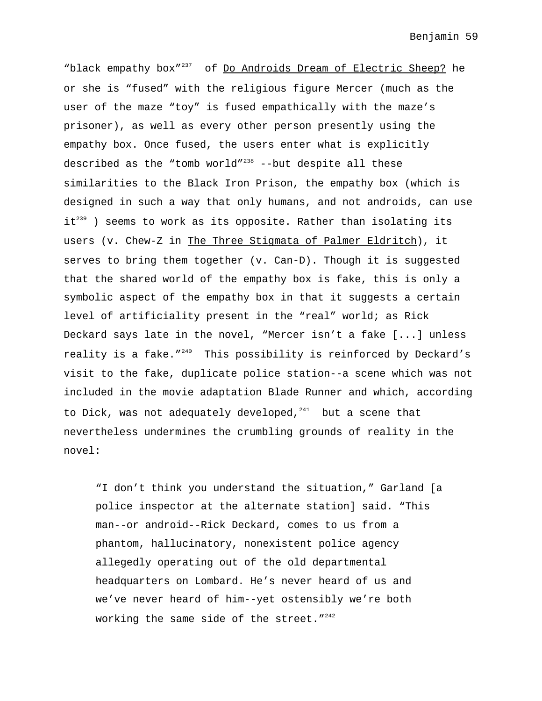"black empathy box"<sup>237</sup> of Do Androids Dream of Electric Sheep? he or she is "fused" with the religious figure Mercer (much as the user of the maze "toy" is fused empathically with the maze's prisoner), as well as every other person presently using the empathy box. Once fused, the users enter what is explicitly described as the "tomb world"<sup>238</sup> --but despite all these similarities to the Black Iron Prison, the empathy box (which is designed in such a way that only humans, and not androids, can use  $it^{239}$  ) seems to work as its opposite. Rather than isolating its users (v. Chew-Z in The Three Stigmata of Palmer Eldritch), it serves to bring them together (v. Can-D). Though it is suggested that the shared world of the empathy box is fake, this is only a symbolic aspect of the empathy box in that it suggests a certain level of artificiality present in the "real" world; as Rick Deckard says late in the novel, "Mercer isn't a fake [...] unless reality is a fake."<sup>240</sup> This possibility is reinforced by Deckard's visit to the fake, duplicate police station--a scene which was not included in the movie adaptation Blade Runner and which, according to Dick, was not adequately developed,  $241$  but a scene that nevertheless undermines the crumbling grounds of reality in the novel:

"I don't think you understand the situation," Garland [a police inspector at the alternate station] said. "This man--or android--Rick Deckard, comes to us from a phantom, hallucinatory, nonexistent police agency allegedly operating out of the old departmental headquarters on Lombard. He's never heard of us and we've never heard of him--yet ostensibly we're both working the same side of the street.  $''^{242}$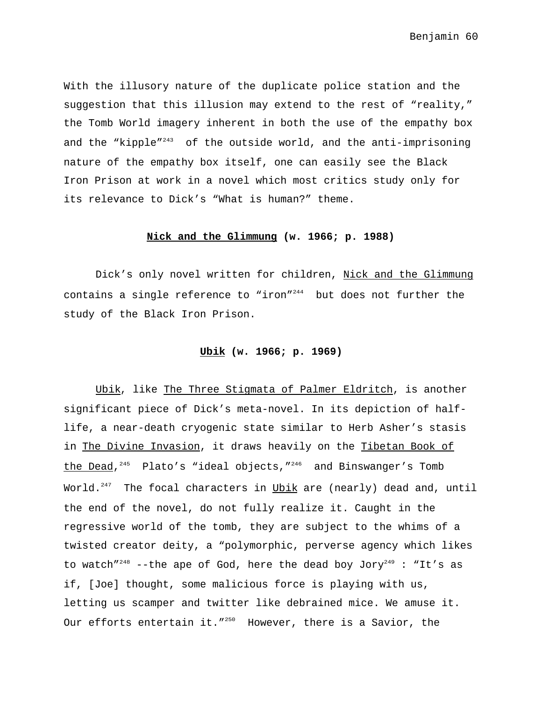With the illusory nature of the duplicate police station and the suggestion that this illusion may extend to the rest of "reality," the Tomb World imagery inherent in both the use of the empathy box and the "kipple"<sup>243</sup> of the outside world, and the anti-imprisoning nature of the empathy box itself, one can easily see the Black Iron Prison at work in a novel which most critics study only for its relevance to Dick's "What is human?" theme.

#### **Nick and the Glimmung (w. 1966; p. 1988)**

Dick's only novel written for children, Nick and the Glimmung contains a single reference to "iron"<sup>244</sup> but does not further the study of the Black Iron Prison.

# **Ubik (w. 1966; p. 1969)**

Ubik, like The Three Stigmata of Palmer Eldritch, is another significant piece of Dick's meta-novel. In its depiction of halflife, a near-death cryogenic state similar to Herb Asher's stasis in The Divine Invasion, it draws heavily on the Tibetan Book of the Dead,<sup>245</sup> Plato's "ideal objects,"<sup>246</sup> and Binswanger's Tomb World.<sup>247</sup> The focal characters in Ubik are (nearly) dead and, until the end of the novel, do not fully realize it. Caught in the regressive world of the tomb, they are subject to the whims of a twisted creator deity, a "polymorphic, perverse agency which likes to watch"<sup>248</sup> --the ape of God, here the dead boy Jory<sup>249</sup>: "It's as if, [Joe] thought, some malicious force is playing with us, letting us scamper and twitter like debrained mice. We amuse it. Our efforts entertain it.  $1250$  However, there is a Savior, the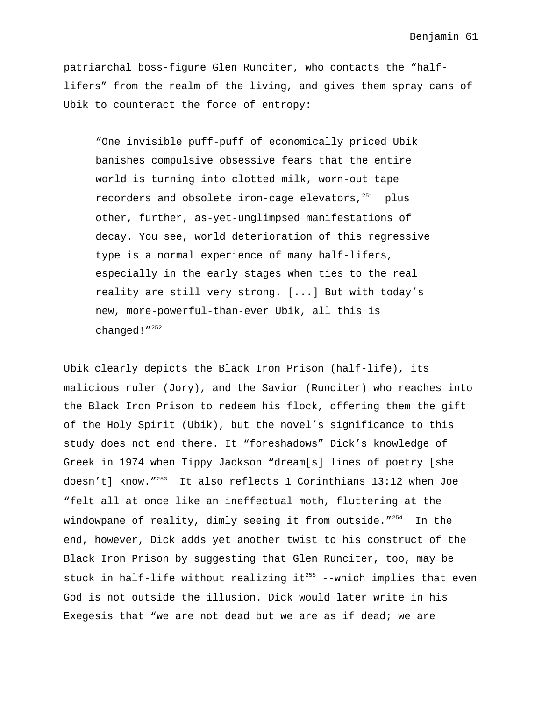patriarchal boss-figure Glen Runciter, who contacts the "halflifers" from the realm of the living, and gives them spray cans of Ubik to counteract the force of entropy:

"One invisible puff-puff of economically priced Ubik banishes compulsive obsessive fears that the entire world is turning into clotted milk, worn-out tape recorders and obsolete iron-cage elevators, $251$  plus other, further, as-yet-unglimpsed manifestations of decay. You see, world deterioration of this regressive type is a normal experience of many half-lifers, especially in the early stages when ties to the real reality are still very strong. [...] But with today's new, more-powerful-than-ever Ubik, all this is changed!"<sup>252</sup>

Ubik clearly depicts the Black Iron Prison (half-life), its malicious ruler (Jory), and the Savior (Runciter) who reaches into the Black Iron Prison to redeem his flock, offering them the gift of the Holy Spirit (Ubik), but the novel's significance to this study does not end there. It "foreshadows" Dick's knowledge of Greek in 1974 when Tippy Jackson "dream[s] lines of poetry [she doesn't] know."<sup>253</sup> It also reflects 1 Corinthians 13:12 when Joe "felt all at once like an ineffectual moth, fluttering at the windowpane of reality, dimly seeing it from outside. $1^{254}$  In the end, however, Dick adds yet another twist to his construct of the Black Iron Prison by suggesting that Glen Runciter, too, may be stuck in half-life without realizing  $it^{255}$  --which implies that even God is not outside the illusion. Dick would later write in his Exegesis that "we are not dead but we are as if dead; we are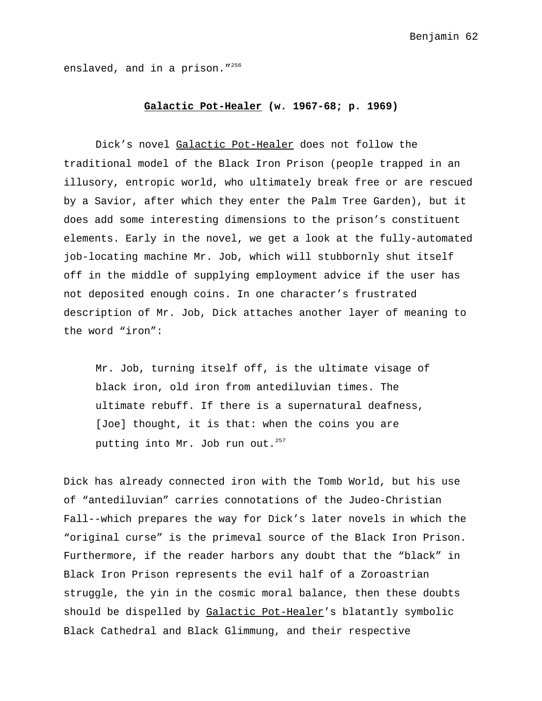enslaved, and in a prison."<sup>256</sup>

#### **Galactic Pot-Healer (w. 1967-68; p. 1969)**

Dick's novel Galactic Pot-Healer does not follow the traditional model of the Black Iron Prison (people trapped in an illusory, entropic world, who ultimately break free or are rescued by a Savior, after which they enter the Palm Tree Garden), but it does add some interesting dimensions to the prison's constituent elements. Early in the novel, we get a look at the fully-automated job-locating machine Mr. Job, which will stubbornly shut itself off in the middle of supplying employment advice if the user has not deposited enough coins. In one character's frustrated description of Mr. Job, Dick attaches another layer of meaning to the word "iron":

Mr. Job, turning itself off, is the ultimate visage of black iron, old iron from antediluvian times. The ultimate rebuff. If there is a supernatural deafness, [Joe] thought, it is that: when the coins you are putting into Mr. Job run out.  $257$ 

Dick has already connected iron with the Tomb World, but his use of "antediluvian" carries connotations of the Judeo-Christian Fall--which prepares the way for Dick's later novels in which the "original curse" is the primeval source of the Black Iron Prison. Furthermore, if the reader harbors any doubt that the "black" in Black Iron Prison represents the evil half of a Zoroastrian struggle, the yin in the cosmic moral balance, then these doubts should be dispelled by Galactic Pot-Healer's blatantly symbolic Black Cathedral and Black Glimmung, and their respective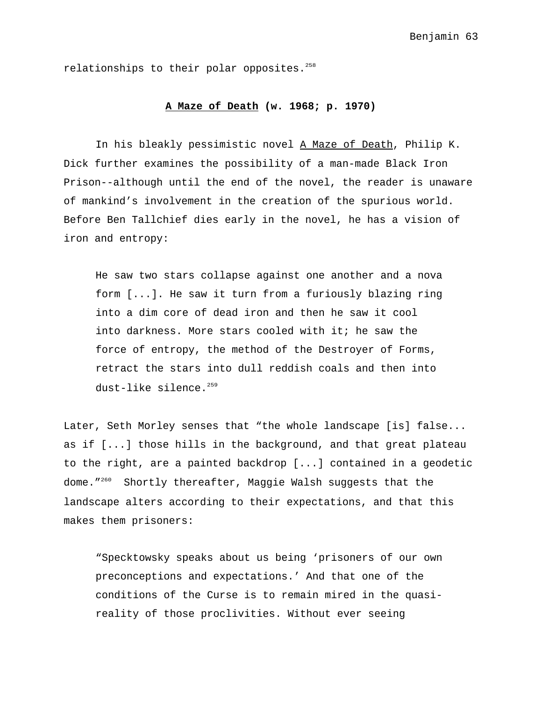relationships to their polar opposites.<sup>258</sup>

### **A Maze of Death (w. 1968; p. 1970)**

In his bleakly pessimistic novel A Maze of Death, Philip K. Dick further examines the possibility of a man-made Black Iron Prison--although until the end of the novel, the reader is unaware of mankind's involvement in the creation of the spurious world. Before Ben Tallchief dies early in the novel, he has a vision of iron and entropy:

He saw two stars collapse against one another and a nova form [...]. He saw it turn from a furiously blazing ring into a dim core of dead iron and then he saw it cool into darkness. More stars cooled with it; he saw the force of entropy, the method of the Destroyer of Forms, retract the stars into dull reddish coals and then into dust-like silence. $259$ 

Later, Seth Morley senses that "the whole landscape [is] false... as if [...] those hills in the background, and that great plateau to the right, are a painted backdrop [...] contained in a geodetic dome."<sup>260</sup> Shortly thereafter, Maggie Walsh suggests that the landscape alters according to their expectations, and that this makes them prisoners:

"Specktowsky speaks about us being 'prisoners of our own preconceptions and expectations.' And that one of the conditions of the Curse is to remain mired in the quasireality of those proclivities. Without ever seeing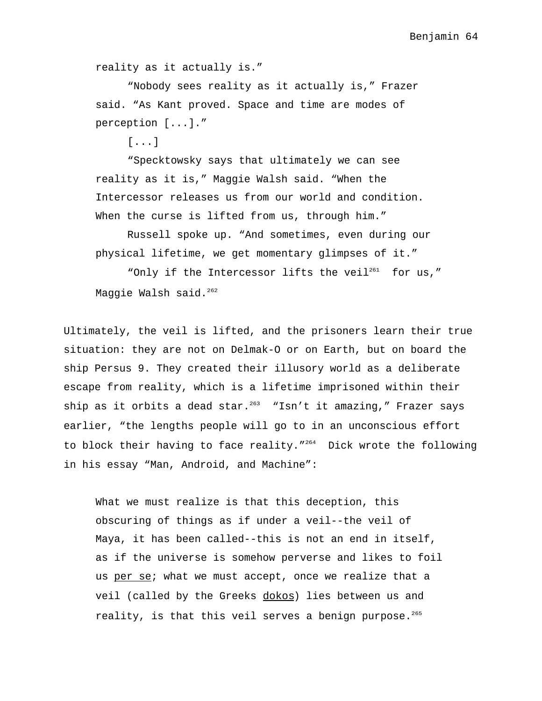reality as it actually is."

"Nobody sees reality as it actually is," Frazer said. "As Kant proved. Space and time are modes of perception [...]."

[...]

"Specktowsky says that ultimately we can see reality as it is," Maggie Walsh said. "When the Intercessor releases us from our world and condition. When the curse is lifted from us, through him."

Russell spoke up. "And sometimes, even during our physical lifetime, we get momentary glimpses of it."

"Only if the Intercessor lifts the veil<sup>261</sup> for us," Maggie Walsh said.<sup>262</sup>

Ultimately, the veil is lifted, and the prisoners learn their true situation: they are not on Delmak-O or on Earth, but on board the ship Persus 9. They created their illusory world as a deliberate escape from reality, which is a lifetime imprisoned within their ship as it orbits a dead star.<sup>263</sup> "Isn't it amazing," Frazer says earlier, "the lengths people will go to in an unconscious effort to block their having to face reality. "<sup>264</sup> Dick wrote the following in his essay "Man, Android, and Machine":

What we must realize is that this deception, this obscuring of things as if under a veil--the veil of Maya, it has been called--this is not an end in itself, as if the universe is somehow perverse and likes to foil us per se; what we must accept, once we realize that a veil (called by the Greeks dokos) lies between us and reality, is that this veil serves a benign purpose.<sup>265</sup>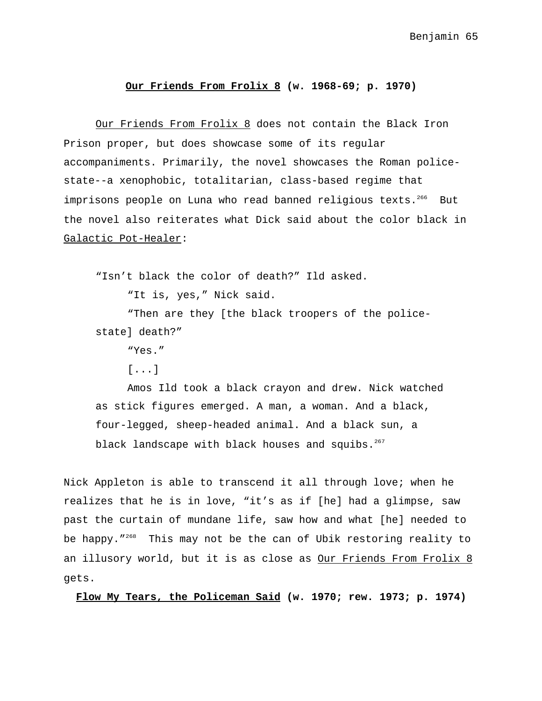#### **Our Friends From Frolix 8 (w. 1968-69; p. 1970)**

Our Friends From Frolix 8 does not contain the Black Iron Prison proper, but does showcase some of its regular accompaniments. Primarily, the novel showcases the Roman policestate--a xenophobic, totalitarian, class-based regime that imprisons people on Luna who read banned religious texts.<sup>266</sup> But the novel also reiterates what Dick said about the color black in Galactic Pot-Healer:

"Isn't black the color of death?" Ild asked. "It is, yes," Nick said.

"Then are they [the black troopers of the policestate] death?"

- "Yes."
- [...]

Amos Ild took a black crayon and drew. Nick watched as stick figures emerged. A man, a woman. And a black, four-legged, sheep-headed animal. And a black sun, a black landscape with black houses and squibs.<sup>267</sup>

Nick Appleton is able to transcend it all through love; when he realizes that he is in love, "it's as if [he] had a glimpse, saw past the curtain of mundane life, saw how and what [he] needed to be happy."<sup>268</sup> This may not be the can of Ubik restoring reality to an illusory world, but it is as close as Our Friends From Frolix 8 gets.

**Flow My Tears, the Policeman Said (w. 1970; rew. 1973; p. 1974)**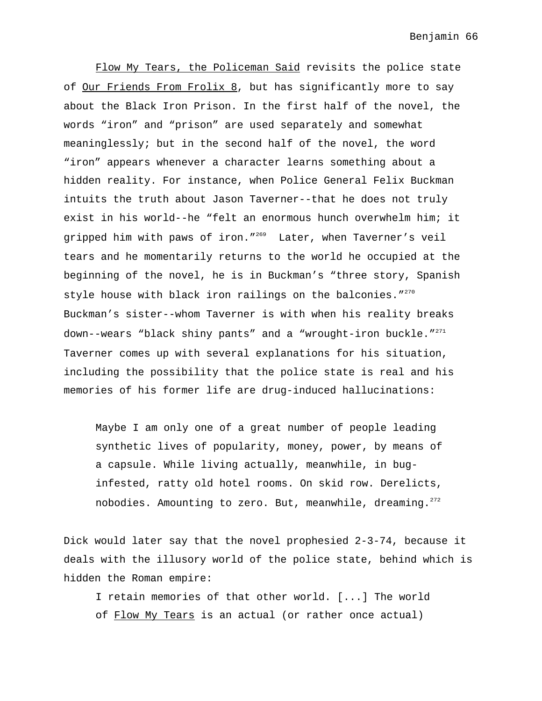Flow My Tears, the Policeman Said revisits the police state of Our Friends From Frolix 8, but has significantly more to say about the Black Iron Prison. In the first half of the novel, the words "iron" and "prison" are used separately and somewhat meaninglessly; but in the second half of the novel, the word "iron" appears whenever a character learns something about a hidden reality. For instance, when Police General Felix Buckman intuits the truth about Jason Taverner--that he does not truly exist in his world--he "felt an enormous hunch overwhelm him; it gripped him with paws of iron."<sup>269</sup> Later, when Taverner's veil tears and he momentarily returns to the world he occupied at the beginning of the novel, he is in Buckman's "three story, Spanish style house with black iron railings on the balconies.  $1270$ Buckman's sister--whom Taverner is with when his reality breaks down--wears "black shiny pants" and a "wrought-iron buckle."<sup>271</sup> Taverner comes up with several explanations for his situation, including the possibility that the police state is real and his memories of his former life are drug-induced hallucinations:

Maybe I am only one of a great number of people leading synthetic lives of popularity, money, power, by means of a capsule. While living actually, meanwhile, in buginfested, ratty old hotel rooms. On skid row. Derelicts, nobodies. Amounting to zero. But, meanwhile, dreaming.<sup>272</sup>

Dick would later say that the novel prophesied 2-3-74, because it deals with the illusory world of the police state, behind which is hidden the Roman empire:

I retain memories of that other world. [...] The world of Flow My Tears is an actual (or rather once actual)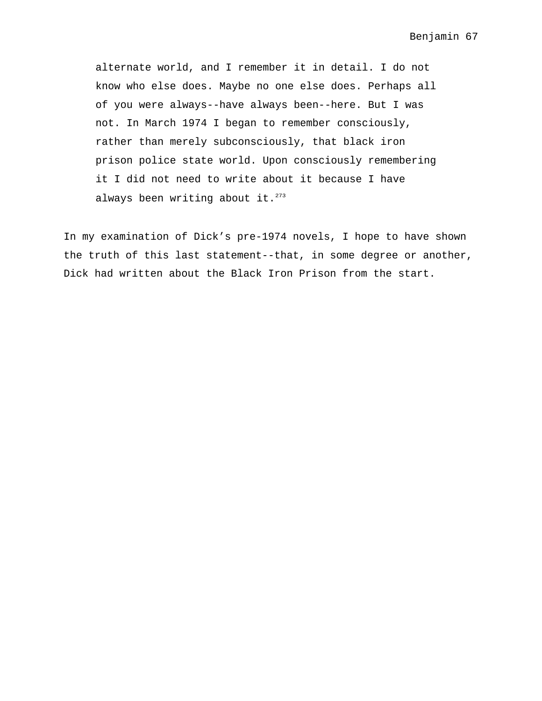alternate world, and I remember it in detail. I do not know who else does. Maybe no one else does. Perhaps all of you were always--have always been--here. But I was not. In March 1974 I began to remember consciously, rather than merely subconsciously, that black iron prison police state world. Upon consciously remembering it I did not need to write about it because I have always been writing about it.<sup>273</sup>

In my examination of Dick's pre-1974 novels, I hope to have shown the truth of this last statement--that, in some degree or another, Dick had written about the Black Iron Prison from the start.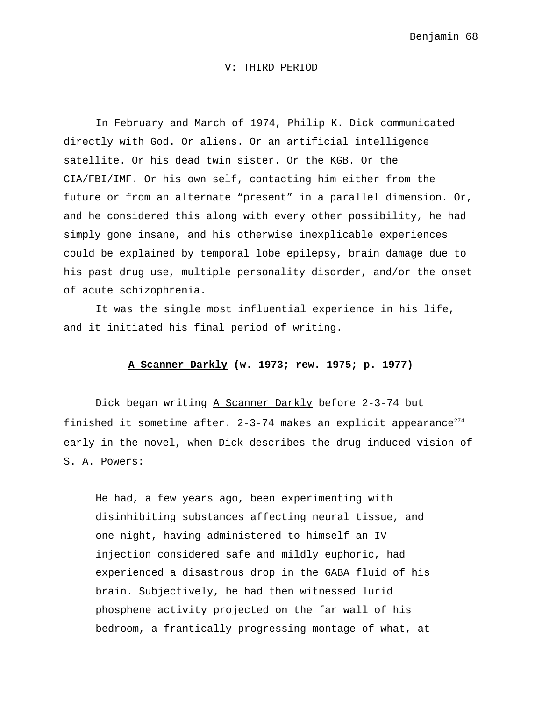#### V: THIRD PERIOD

In February and March of 1974, Philip K. Dick communicated directly with God. Or aliens. Or an artificial intelligence satellite. Or his dead twin sister. Or the KGB. Or the CIA/FBI/IMF. Or his own self, contacting him either from the future or from an alternate "present" in a parallel dimension. Or, and he considered this along with every other possibility, he had simply gone insane, and his otherwise inexplicable experiences could be explained by temporal lobe epilepsy, brain damage due to his past drug use, multiple personality disorder, and/or the onset of acute schizophrenia.

It was the single most influential experience in his life, and it initiated his final period of writing.

# **A Scanner Darkly (w. 1973; rew. 1975; p. 1977)**

Dick began writing A Scanner Darkly before 2-3-74 but finished it sometime after.  $2-3-74$  makes an explicit appearance<sup>274</sup> early in the novel, when Dick describes the drug-induced vision of S. A. Powers:

He had, a few years ago, been experimenting with disinhibiting substances affecting neural tissue, and one night, having administered to himself an IV injection considered safe and mildly euphoric, had experienced a disastrous drop in the GABA fluid of his brain. Subjectively, he had then witnessed lurid phosphene activity projected on the far wall of his bedroom, a frantically progressing montage of what, at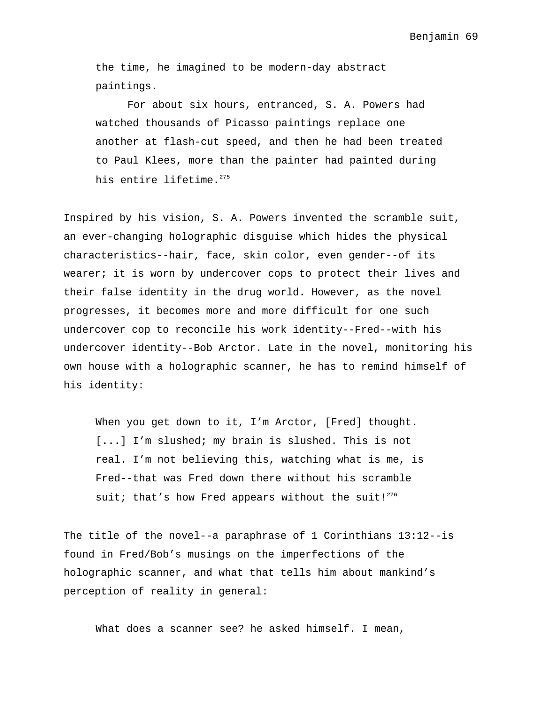the time, he imagined to be modern-day abstract paintings.

For about six hours, entranced, S. A. Powers had watched thousands of Picasso paintings replace one another at flash-cut speed, and then he had been treated to Paul Klees, more than the painter had painted during his entire lifetime.<sup>275</sup>

Inspired by his vision, S. A. Powers invented the scramble suit, an ever-changing holographic disguise which hides the physical characteristics--hair, face, skin color, even gender--of its wearer; it is worn by undercover cops to protect their lives and their false identity in the drug world. However, as the novel progresses, it becomes more and more difficult for one such undercover cop to reconcile his work identity--Fred--with his undercover identity--Bob Arctor. Late in the novel, monitoring his own house with a holographic scanner, he has to remind himself of his identity:

When you get down to it, I'm Arctor, [Fred] thought. [...] I'm slushed; my brain is slushed. This is not real. I'm not believing this, watching what is me, is Fred--that was Fred down there without his scramble suit; that's how Fred appears without the suit! $276$ 

The title of the novel--a paraphrase of 1 Corinthians 13:12--is found in Fred/Bob's musings on the imperfections of the holographic scanner, and what that tells him about mankind's perception of reality in general:

What does a scanner see? he asked himself. I mean,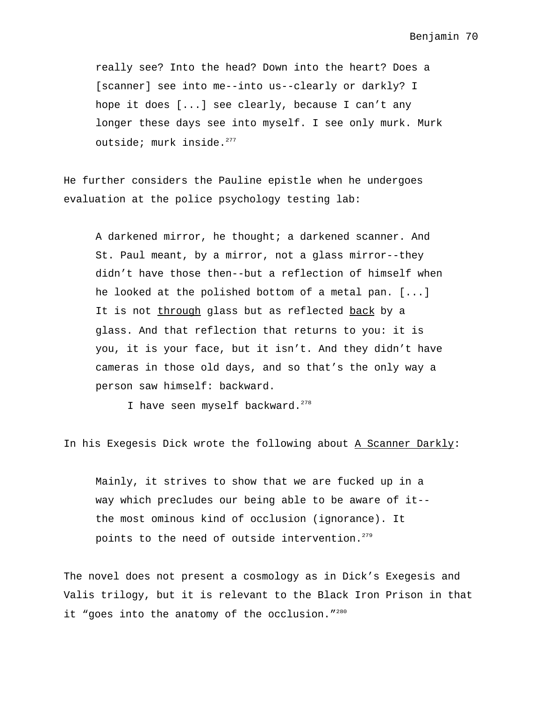really see? Into the head? Down into the heart? Does a [scanner] see into me--into us--clearly or darkly? I hope it does [...] see clearly, because I can't any longer these days see into myself. I see only murk. Murk outside; murk inside. $277$ 

He further considers the Pauline epistle when he undergoes evaluation at the police psychology testing lab:

A darkened mirror, he thought; a darkened scanner. And St. Paul meant, by a mirror, not a glass mirror--they didn't have those then--but a reflection of himself when he looked at the polished bottom of a metal pan. [...] It is not through glass but as reflected back by a glass. And that reflection that returns to you: it is you, it is your face, but it isn't. And they didn't have cameras in those old days, and so that's the only way a person saw himself: backward.

I have seen myself backward.<sup>278</sup>

In his Exegesis Dick wrote the following about A Scanner Darkly:

Mainly, it strives to show that we are fucked up in a way which precludes our being able to be aware of it- the most ominous kind of occlusion (ignorance). It points to the need of outside intervention.<sup>279</sup>

The novel does not present a cosmology as in Dick's Exegesis and Valis trilogy, but it is relevant to the Black Iron Prison in that it "goes into the anatomy of the occlusion."<sup>280</sup>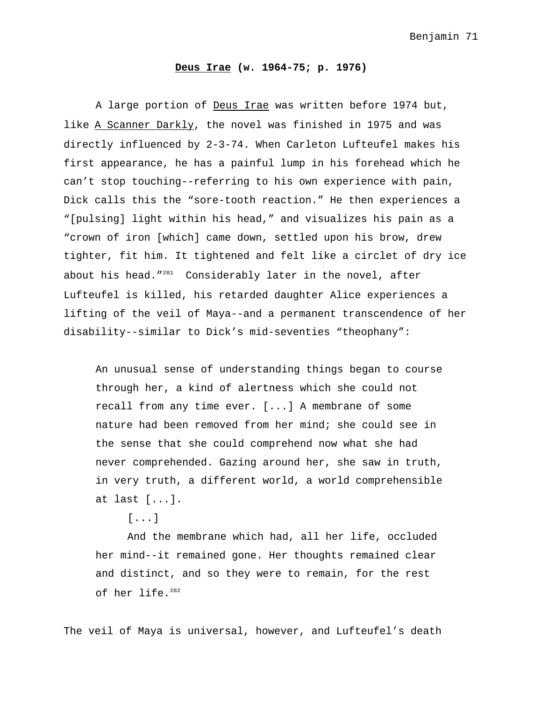## **Deus Irae (w. 1964-75; p. 1976)**

A large portion of Deus Irae was written before 1974 but, like A Scanner Darkly, the novel was finished in 1975 and was directly influenced by 2-3-74. When Carleton Lufteufel makes his first appearance, he has a painful lump in his forehead which he can't stop touching--referring to his own experience with pain, Dick calls this the "sore-tooth reaction." He then experiences a "[pulsing] light within his head," and visualizes his pain as a "crown of iron [which] came down, settled upon his brow, drew tighter, fit him. It tightened and felt like a circlet of dry ice about his head."<sup>281</sup> Considerably later in the novel, after Lufteufel is killed, his retarded daughter Alice experiences a lifting of the veil of Maya--and a permanent transcendence of her disability--similar to Dick's mid-seventies "theophany":

An unusual sense of understanding things began to course through her, a kind of alertness which she could not recall from any time ever. [...] A membrane of some nature had been removed from her mind; she could see in the sense that she could comprehend now what she had never comprehended. Gazing around her, she saw in truth, in very truth, a different world, a world comprehensible at last [...].

[...]

And the membrane which had, all her life, occluded her mind--it remained gone. Her thoughts remained clear and distinct, and so they were to remain, for the rest of her life.<sup>282</sup>

The veil of Maya is universal, however, and Lufteufel's death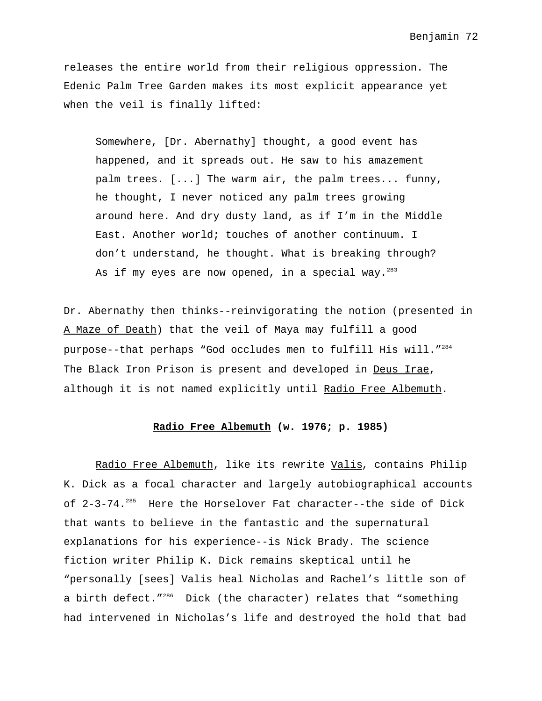releases the entire world from their religious oppression. The Edenic Palm Tree Garden makes its most explicit appearance yet when the veil is finally lifted:

Somewhere, [Dr. Abernathy] thought, a good event has happened, and it spreads out. He saw to his amazement palm trees. [...] The warm air, the palm trees... funny, he thought, I never noticed any palm trees growing around here. And dry dusty land, as if I'm in the Middle East. Another world; touches of another continuum. I don't understand, he thought. What is breaking through? As if my eyes are now opened, in a special way. $^{283}$ 

Dr. Abernathy then thinks--reinvigorating the notion (presented in A Maze of Death) that the veil of Maya may fulfill a good purpose--that perhaps "God occludes men to fulfill His will."<sup>284</sup> The Black Iron Prison is present and developed in Deus Irae, although it is not named explicitly until Radio Free Albemuth.

## **Radio Free Albemuth (w. 1976; p. 1985)**

Radio Free Albemuth, like its rewrite Valis, contains Philip K. Dick as a focal character and largely autobiographical accounts of 2-3-74.<sup>285</sup> Here the Horselover Fat character--the side of Dick that wants to believe in the fantastic and the supernatural explanations for his experience--is Nick Brady. The science fiction writer Philip K. Dick remains skeptical until he "personally [sees] Valis heal Nicholas and Rachel's little son of a birth defect."<sup>286</sup> Dick (the character) relates that "something had intervened in Nicholas's life and destroyed the hold that bad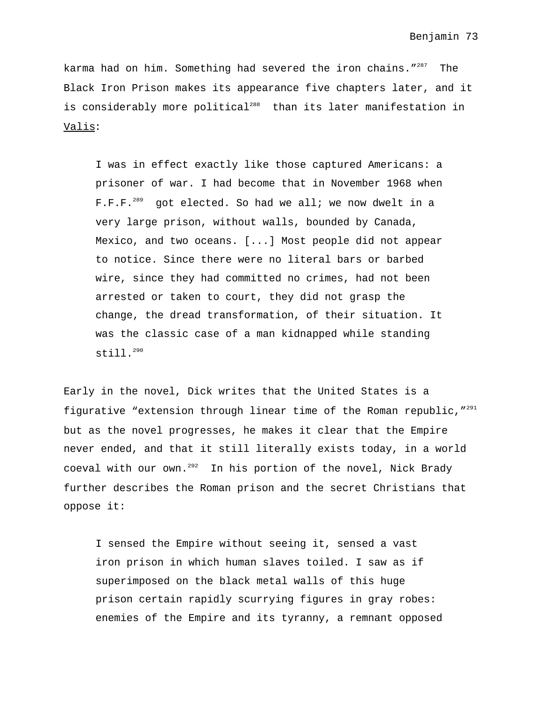karma had on him. Something had severed the iron chains."<sup>287</sup> The Black Iron Prison makes its appearance five chapters later, and it is considerably more political<sup>288</sup> than its later manifestation in Valis:

I was in effect exactly like those captured Americans: a prisoner of war. I had become that in November 1968 when F.F.F.<sup>289</sup> got elected. So had we all; we now dwelt in a very large prison, without walls, bounded by Canada, Mexico, and two oceans. [...] Most people did not appear to notice. Since there were no literal bars or barbed wire, since they had committed no crimes, had not been arrested or taken to court, they did not grasp the change, the dread transformation, of their situation. It was the classic case of a man kidnapped while standing  $still.<sup>290</sup>$ 

Early in the novel, Dick writes that the United States is a figurative "extension through linear time of the Roman republic, "291 but as the novel progresses, he makes it clear that the Empire never ended, and that it still literally exists today, in a world coeval with our own.<sup>292</sup> In his portion of the novel, Nick Brady further describes the Roman prison and the secret Christians that oppose it:

I sensed the Empire without seeing it, sensed a vast iron prison in which human slaves toiled. I saw as if superimposed on the black metal walls of this huge prison certain rapidly scurrying figures in gray robes: enemies of the Empire and its tyranny, a remnant opposed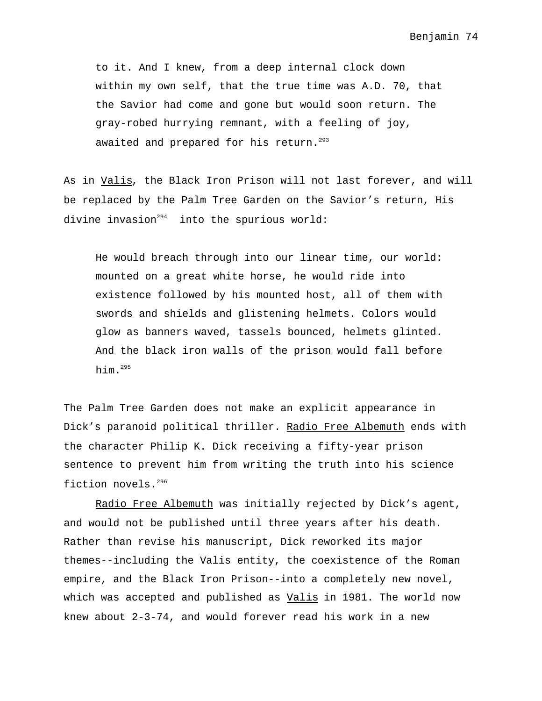Benjamin 74

to it. And I knew, from a deep internal clock down within my own self, that the true time was A.D. 70, that the Savior had come and gone but would soon return. The gray-robed hurrying remnant, with a feeling of joy, awaited and prepared for his return.<sup>293</sup>

As in Valis, the Black Iron Prison will not last forever, and will be replaced by the Palm Tree Garden on the Savior's return, His divine invasion $^{294}$  into the spurious world:

He would breach through into our linear time, our world: mounted on a great white horse, he would ride into existence followed by his mounted host, all of them with swords and shields and glistening helmets. Colors would glow as banners waved, tassels bounced, helmets glinted. And the black iron walls of the prison would fall before him.<sup>295</sup>

The Palm Tree Garden does not make an explicit appearance in Dick's paranoid political thriller. Radio Free Albemuth ends with the character Philip K. Dick receiving a fifty-year prison sentence to prevent him from writing the truth into his science fiction novels.<sup>296</sup>

Radio Free Albemuth was initially rejected by Dick's agent, and would not be published until three years after his death. Rather than revise his manuscript, Dick reworked its major themes--including the Valis entity, the coexistence of the Roman empire, and the Black Iron Prison--into a completely new novel, which was accepted and published as Valis in 1981. The world now knew about 2-3-74, and would forever read his work in a new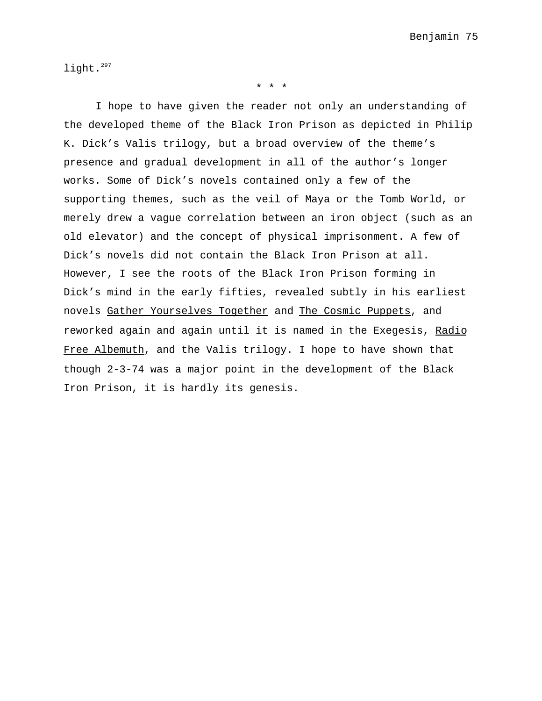light.<sup>297</sup>

\* \* \*

I hope to have given the reader not only an understanding of the developed theme of the Black Iron Prison as depicted in Philip K. Dick's Valis trilogy, but a broad overview of the theme's presence and gradual development in all of the author's longer works. Some of Dick's novels contained only a few of the supporting themes, such as the veil of Maya or the Tomb World, or merely drew a vague correlation between an iron object (such as an old elevator) and the concept of physical imprisonment. A few of Dick's novels did not contain the Black Iron Prison at all. However, I see the roots of the Black Iron Prison forming in Dick's mind in the early fifties, revealed subtly in his earliest novels Gather Yourselves Together and The Cosmic Puppets, and reworked again and again until it is named in the Exegesis, Radio Free Albemuth, and the Valis trilogy. I hope to have shown that though 2-3-74 was a major point in the development of the Black Iron Prison, it is hardly its genesis.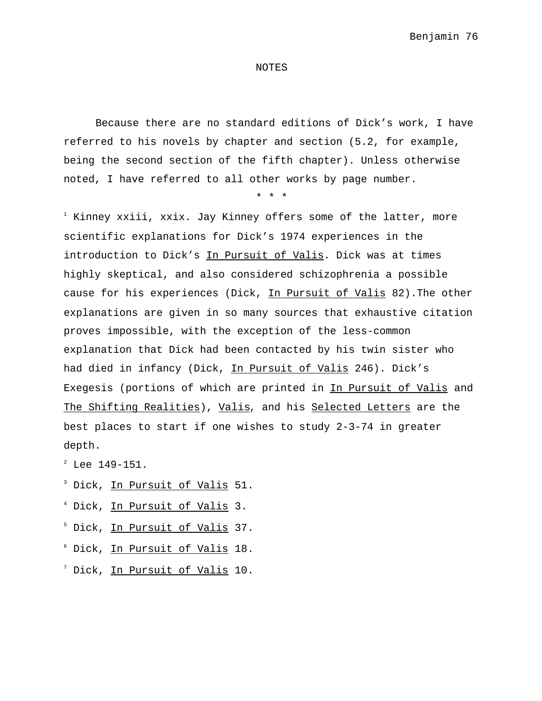## NOTES

Because there are no standard editions of Dick's work, I have referred to his novels by chapter and section (5.2, for example, being the second section of the fifth chapter). Unless otherwise noted, I have referred to all other works by page number.

\* \* \*

 $1$  Kinney xxiii, xxix. Jay Kinney offers some of the latter, more scientific explanations for Dick's 1974 experiences in the introduction to Dick's In Pursuit of Valis. Dick was at times highly skeptical, and also considered schizophrenia a possible cause for his experiences (Dick, In Pursuit of Valis 82). The other explanations are given in so many sources that exhaustive citation proves impossible, with the exception of the less-common explanation that Dick had been contacted by his twin sister who had died in infancy (Dick, In Pursuit of Valis 246). Dick's Exegesis (portions of which are printed in In Pursuit of Valis and The Shifting Realities), Valis, and his Selected Letters are the best places to start if one wishes to study 2-3-74 in greater depth.

- $2^2$  Lee 149-151.
- <sup>3</sup> Dick, In Pursuit of Valis 51.
- <sup>4</sup> Dick, In Pursuit of Valis 3.
- <sup>5</sup> Dick, In Pursuit of Valis 37.
- <sup>6</sup> Dick, In Pursuit of Valis 18.
- <sup>7</sup> Dick, In Pursuit of Valis 10.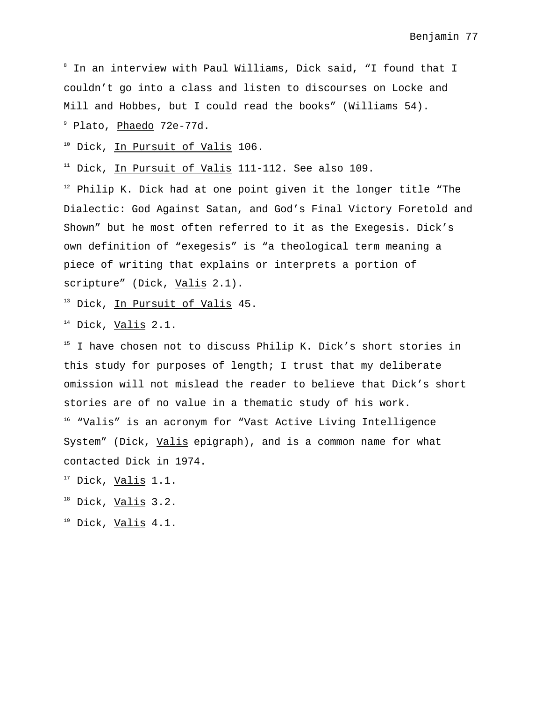<sup>8</sup> In an interview with Paul Williams, Dick said, "I found that I couldn't go into a class and listen to discourses on Locke and Mill and Hobbes, but I could read the books" (Williams 54).

<sup>9</sup> Plato, Phaedo 72e-77d.

<sup>10</sup> Dick, In Pursuit of Valis 106.

<sup>11</sup> Dick, In Pursuit of Valis 111-112. See also 109.

<sup>12</sup> Philip K. Dick had at one point given it the longer title "The Dialectic: God Against Satan, and God's Final Victory Foretold and Shown" but he most often referred to it as the Exegesis. Dick's own definition of "exegesis" is "a theological term meaning a piece of writing that explains or interprets a portion of scripture" (Dick, Valis 2.1).

<sup>13</sup> Dick, In Pursuit of Valis 45.

<sup>14</sup> Dick, Valis 2.1.

<sup>15</sup> I have chosen not to discuss Philip K. Dick's short stories in this study for purposes of length; I trust that my deliberate omission will not mislead the reader to believe that Dick's short stories are of no value in a thematic study of his work. <sup>16</sup> "Valis" is an acronym for "Vast Active Living Intelligence System" (Dick, Valis epigraph), and is a common name for what contacted Dick in 1974.

 $17$  Dick, Valis 1.1.

 $18$  Dick, Valis 3.2.

<sup>19</sup> Dick, Valis 4.1.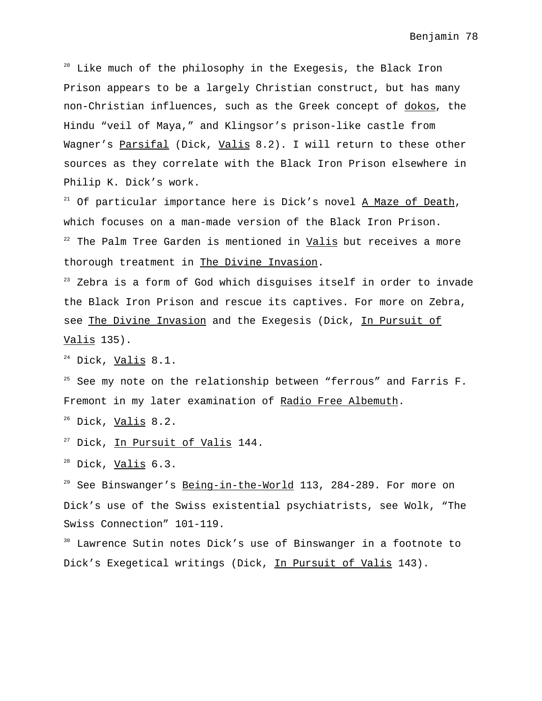<sup>20</sup> Like much of the philosophy in the Exegesis, the Black Iron Prison appears to be a largely Christian construct, but has many non-Christian influences, such as the Greek concept of dokos, the Hindu "veil of Maya," and Klingsor's prison-like castle from Wagner's Parsifal (Dick, Valis 8.2). I will return to these other sources as they correlate with the Black Iron Prison elsewhere in Philip K. Dick's work.

 $21$  Of particular importance here is Dick's novel A Maze of Death, which focuses on a man-made version of the Black Iron Prison.  $22$  The Palm Tree Garden is mentioned in Valis but receives a more thorough treatment in The Divine Invasion.

 $23$  Zebra is a form of God which disquises itself in order to invade the Black Iron Prison and rescue its captives. For more on Zebra, see The Divine Invasion and the Exegesis (Dick, In Pursuit of Valis 135).

 $24$  Dick, Valis 8.1.

 $25$  See my note on the relationship between "ferrous" and Farris F. Fremont in my later examination of Radio Free Albemuth.

<sup>26</sup> Dick, Valis 8.2.

<sup>27</sup> Dick, In Pursuit of Valis 144.

 $28$  Dick, Valis  $6.3$ .

<sup>29</sup> See Binswanger's Being-in-the-World 113, 284-289. For more on Dick's use of the Swiss existential psychiatrists, see Wolk, "The Swiss Connection" 101-119.

<sup>30</sup> Lawrence Sutin notes Dick's use of Binswanger in a footnote to Dick's Exegetical writings (Dick, In Pursuit of Valis 143).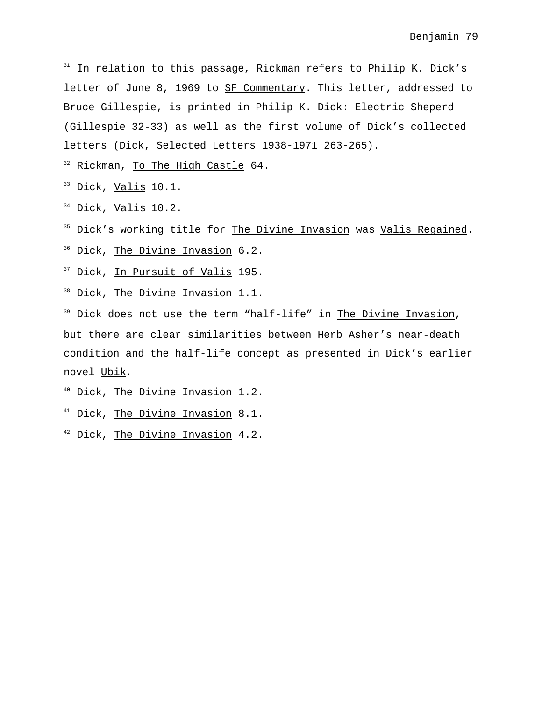<sup>31</sup> In relation to this passage, Rickman refers to Philip K. Dick's letter of June 8, 1969 to SF Commentary. This letter, addressed to Bruce Gillespie, is printed in Philip K. Dick: Electric Sheperd (Gillespie 32-33) as well as the first volume of Dick's collected letters (Dick, Selected Letters 1938-1971 263-265).

<sup>32</sup> Rickman, To The High Castle 64.

- <sup>33</sup> Dick, Valis 10.1.
- <sup>34</sup> Dick, Valis 10.2.
- <sup>35</sup> Dick's working title for The Divine Invasion was Valis Regained.
- <sup>36</sup> Dick, The Divine Invasion 6.2.
- <sup>37</sup> Dick, In Pursuit of Valis 195.
- <sup>38</sup> Dick, The Divine Invasion 1.1.

<sup>39</sup> Dick does not use the term "half-life" in The Divine Invasion, but there are clear similarities between Herb Asher's near-death condition and the half-life concept as presented in Dick's earlier novel Ubik.

- <sup>40</sup> Dick, The Divine Invasion 1.2.
- <sup>41</sup> Dick, The Divine Invasion 8.1.
- <sup>42</sup> Dick, The Divine Invasion 4.2.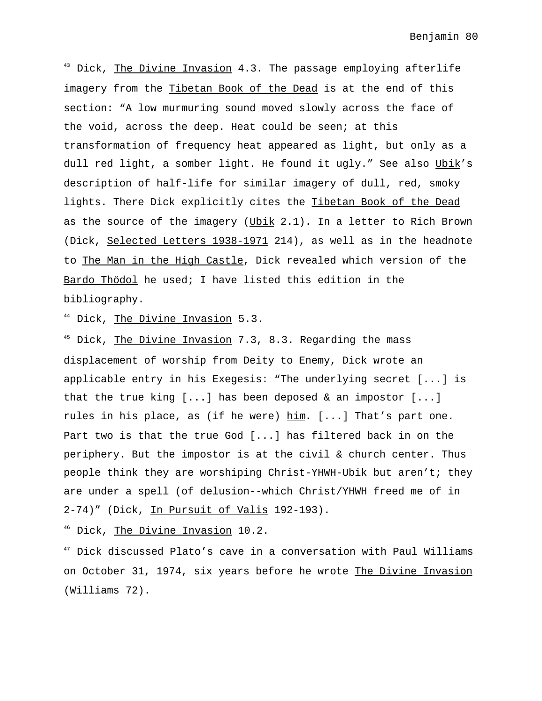Benjamin 80

<sup>43</sup> Dick, The Divine Invasion 4.3. The passage employing afterlife imagery from the Tibetan Book of the Dead is at the end of this section: "A low murmuring sound moved slowly across the face of the void, across the deep. Heat could be seen; at this transformation of frequency heat appeared as light, but only as a dull red light, a somber light. He found it ugly." See also Ubik's description of half-life for similar imagery of dull, red, smoky lights. There Dick explicitly cites the Tibetan Book of the Dead as the source of the imagery  $(\underline{\text{Ubik}} 2.1)$ . In a letter to Rich Brown (Dick, Selected Letters 1938-1971 214), as well as in the headnote to The Man in the High Castle, Dick revealed which version of the Bardo Thödol he used; I have listed this edition in the bibliography.

<sup>44</sup> Dick, The Divine Invasion 5.3.

<sup>45</sup> Dick, The Divine Invasion 7.3, 8.3. Regarding the mass displacement of worship from Deity to Enemy, Dick wrote an applicable entry in his Exegesis: "The underlying secret [...] is that the true king  $[\dots]$  has been deposed & an impostor  $[\dots]$ rules in his place, as (if he were)  $\overline{him}$ . [...] That's part one. Part two is that the true God [...] has filtered back in on the periphery. But the impostor is at the civil & church center. Thus people think they are worshiping Christ-YHWH-Ubik but aren't; they are under a spell (of delusion--which Christ/YHWH freed me of in 2-74)" (Dick, In Pursuit of Valis 192-193).

<sup>46</sup> Dick, The Divine Invasion 10.2.

<sup>47</sup> Dick discussed Plato's cave in a conversation with Paul Williams on October 31, 1974, six years before he wrote The Divine Invasion (Williams 72).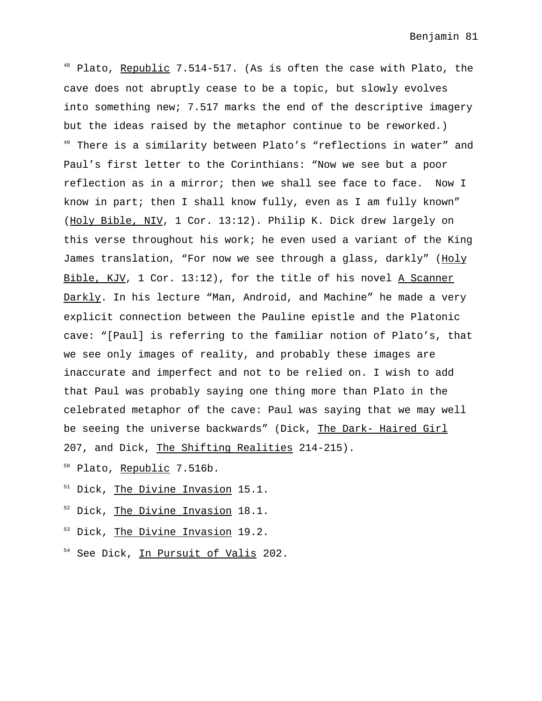<sup>48</sup> Plato, Republic 7.514-517. (As is often the case with Plato, the cave does not abruptly cease to be a topic, but slowly evolves into something new; 7.517 marks the end of the descriptive imagery but the ideas raised by the metaphor continue to be reworked.) <sup>49</sup> There is a similarity between Plato's "reflections in water" and Paul's first letter to the Corinthians: "Now we see but a poor reflection as in a mirror; then we shall see face to face. Now I know in part; then I shall know fully, even as I am fully known" (Holy Bible, NIV, 1 Cor. 13:12). Philip K. Dick drew largely on this verse throughout his work; he even used a variant of the King James translation, "For now we see through a glass, darkly" (Holy Bible, KJV, 1 Cor. 13:12), for the title of his novel A Scanner Darkly. In his lecture "Man, Android, and Machine" he made a very explicit connection between the Pauline epistle and the Platonic cave: "[Paul] is referring to the familiar notion of Plato's, that we see only images of reality, and probably these images are inaccurate and imperfect and not to be relied on. I wish to add that Paul was probably saying one thing more than Plato in the celebrated metaphor of the cave: Paul was saying that we may well be seeing the universe backwards" (Dick, The Dark- Haired Girl 207, and Dick, The Shifting Realities 214-215).

<sup>50</sup> Plato, Republic 7.516b.

- <sup>51</sup> Dick, The Divine Invasion 15.1.
- <sup>52</sup> Dick, The Divine Invasion 18.1.
- <sup>53</sup> Dick, The Divine Invasion 19.2.
- <sup>54</sup> See Dick, In Pursuit of Valis 202.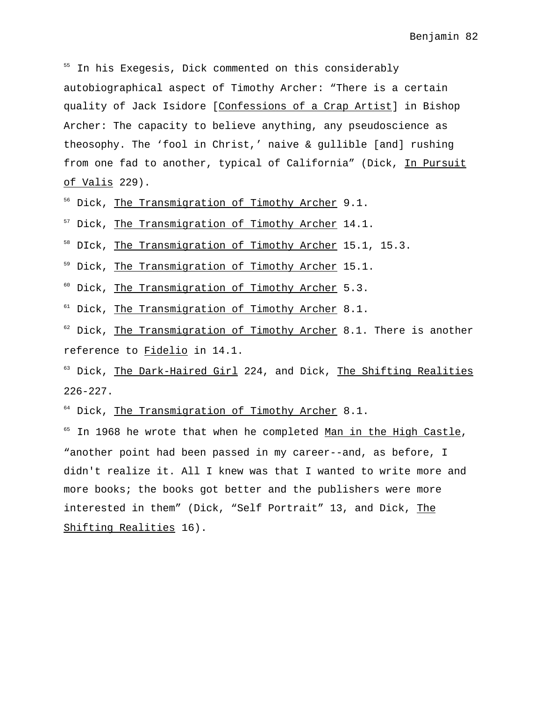<sup>55</sup> In his Exegesis, Dick commented on this considerably autobiographical aspect of Timothy Archer: "There is a certain quality of Jack Isidore [Confessions of a Crap Artist] in Bishop Archer: The capacity to believe anything, any pseudoscience as theosophy. The 'fool in Christ,' naive & gullible [and] rushing from one fad to another, typical of California" (Dick, In Pursuit of Valis 229).

<sup>56</sup> Dick, The Transmigration of Timothy Archer 9.1.

<sup>57</sup> Dick, The Transmigration of Timothy Archer 14.1.

<sup>58</sup> DIck, The Transmigration of Timothy Archer 15.1, 15.3.

59 Dick, The Transmigration of Timothy Archer 15.1.

<sup>60</sup> Dick, The Transmigration of Timothy Archer 5.3.

<sup>61</sup> Dick, The Transmigration of Timothy Archer 8.1.

<sup>62</sup> Dick, The Transmigration of Timothy Archer 8.1. There is another reference to Fidelio in 14.1.

<sup>63</sup> Dick, The Dark-Haired Girl 224, and Dick, The Shifting Realities 226-227.

<sup>64</sup> Dick, The Transmigration of Timothy Archer 8.1.

 $65$  In 1968 he wrote that when he completed Man in the High Castle, "another point had been passed in my career--and, as before, I didn't realize it. All I knew was that I wanted to write more and more books; the books got better and the publishers were more interested in them" (Dick, "Self Portrait" 13, and Dick, The Shifting Realities 16).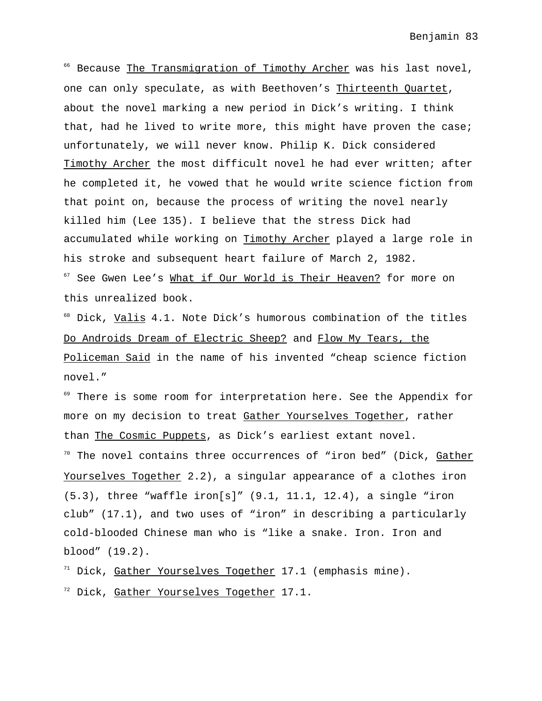<sup>66</sup> Because The Transmigration of Timothy Archer was his last novel, one can only speculate, as with Beethoven's Thirteenth Quartet, about the novel marking a new period in Dick's writing. I think that, had he lived to write more, this might have proven the case; unfortunately, we will never know. Philip K. Dick considered Timothy Archer the most difficult novel he had ever written; after he completed it, he vowed that he would write science fiction from that point on, because the process of writing the novel nearly killed him (Lee 135). I believe that the stress Dick had accumulated while working on Timothy Archer played a large role in his stroke and subsequent heart failure of March 2, 1982. <sup>67</sup> See Gwen Lee's What if Our World is Their Heaven? for more on this unrealized book.

<sup>68</sup> Dick, <u>Valis</u> 4.1. Note Dick's humorous combination of the titles Do Androids Dream of Electric Sheep? and Flow My Tears, the Policeman Said in the name of his invented "cheap science fiction novel."

<sup>69</sup> There is some room for interpretation here. See the Appendix for more on my decision to treat Gather Yourselves Together, rather than The Cosmic Puppets, as Dick's earliest extant novel.

<sup>70</sup> The novel contains three occurrences of "iron bed" (Dick, Gather Yourselves Together 2.2), a singular appearance of a clothes iron (5.3), three "waffle iron[s]" (9.1, 11.1, 12.4), a single "iron club" (17.1), and two uses of "iron" in describing a particularly cold-blooded Chinese man who is "like a snake. Iron. Iron and blood" (19.2).

 $71$  Dick, Gather Yourselves Together 17.1 (emphasis mine). <sup>72</sup> Dick, Gather Yourselves Together 17.1.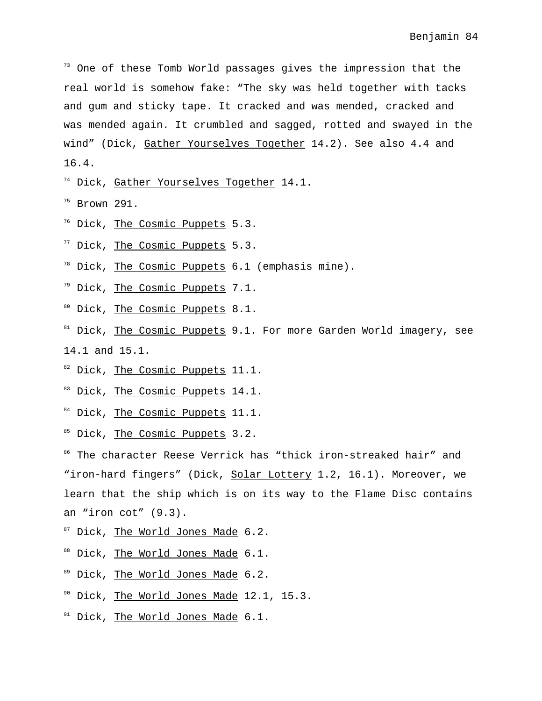<sup>73</sup> One of these Tomb World passages gives the impression that the real world is somehow fake: "The sky was held together with tacks and gum and sticky tape. It cracked and was mended, cracked and was mended again. It crumbled and sagged, rotted and swayed in the wind" (Dick, Gather Yourselves Together 14.2). See also 4.4 and 16.4.

<sup>74</sup> Dick, Gather Yourselves Together 14.1.

- $75$  Brown 291.
- <sup>76</sup> Dick, The Cosmic Puppets 5.3.
- <sup>77</sup> Dick, The Cosmic Puppets 5.3.
- <sup>78</sup> Dick, The Cosmic Puppets 6.1 (emphasis mine).
- $79$  Dick, The Cosmic Puppets 7.1.
- <sup>80</sup> Dick, The Cosmic Puppets 8.1.
- <sup>81</sup> Dick, The Cosmic Puppets 9.1. For more Garden World imagery, see 14.1 and 15.1.
- <sup>82</sup> Dick, The Cosmic Puppets 11.1.
- 83 Dick, The Cosmic Puppets 14.1.
- <sup>84</sup> Dick, The Cosmic Puppets 11.1.
- <sup>85</sup> Dick, The Cosmic Puppets 3.2.

<sup>86</sup> The character Reese Verrick has "thick iron-streaked hair" and "iron-hard fingers" (Dick, Solar Lottery 1.2, 16.1). Moreover, we learn that the ship which is on its way to the Flame Disc contains an "iron cot" (9.3).

- <sup>87</sup> Dick, The World Jones Made 6.2.
- 88 Dick, The World Jones Made 6.1.
- 89 Dick, The World Jones Made 6.2.
- <sup>90</sup> Dick, The World Jones Made 12.1, 15.3.
- <sup>91</sup> Dick, The World Jones Made 6.1.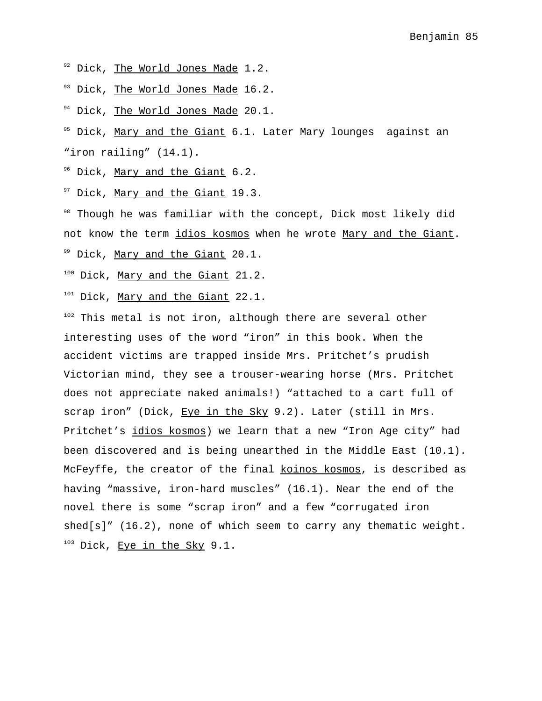- <sup>92</sup> Dick, The World Jones Made 1.2.
- <sup>93</sup> Dick, The World Jones Made 16.2.
- <sup>94</sup> Dick, The World Jones Made 20.1.

<sup>95</sup> Dick, Mary and the Giant 6.1. Later Mary lounges against an "iron railing" (14.1).

<sup>96</sup> Dick, Mary and the Giant 6.2.

<sup>97</sup> Dick, Mary and the Giant 19.3.

<sup>98</sup> Though he was familiar with the concept, Dick most likely did not know the term idios kosmos when he wrote Mary and the Giant. <sup>99</sup> Dick, Mary and the Giant 20.1.

- 100 Dick, Mary and the Giant 21.2.
- <sup>101</sup> Dick, Mary and the Giant 22.1.

102 This metal is not iron, although there are several other interesting uses of the word "iron" in this book. When the accident victims are trapped inside Mrs. Pritchet's prudish Victorian mind, they see a trouser-wearing horse (Mrs. Pritchet does not appreciate naked animals!) "attached to a cart full of scrap iron" (Dick, Eye in the Sky 9.2). Later (still in Mrs. Pritchet's idios kosmos) we learn that a new "Iron Age city" had been discovered and is being unearthed in the Middle East (10.1). McFeyffe, the creator of the final koinos kosmos, is described as having "massive, iron-hard muscles" (16.1). Near the end of the novel there is some "scrap iron" and a few "corrugated iron shed[s]" (16.2), none of which seem to carry any thematic weight. <sup>103</sup> Dick, Eye in the Sky 9.1.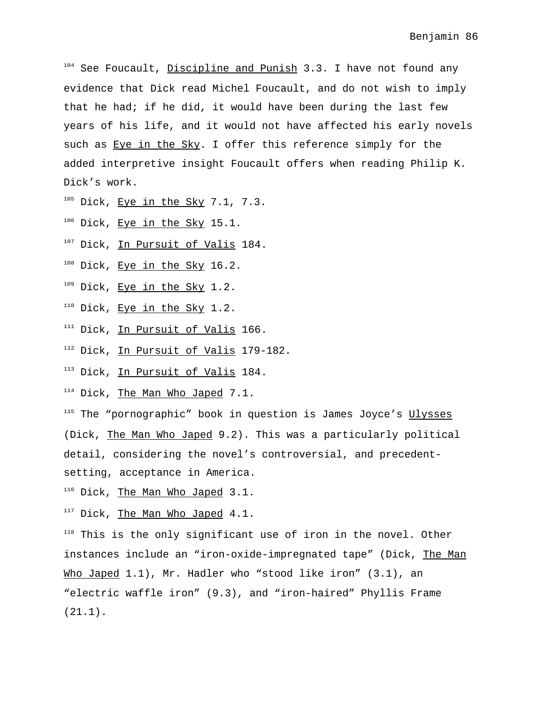<sup>104</sup> See Foucault, Discipline and Punish 3.3. I have not found any evidence that Dick read Michel Foucault, and do not wish to imply that he had; if he did, it would have been during the last few years of his life, and it would not have affected his early novels such as Eye in the Sky. I offer this reference simply for the added interpretive insight Foucault offers when reading Philip K. Dick's work.

- $105$  Dick, Eye in the Sky 7.1, 7.3.
- $106$  Dick, Eye in the Sky 15.1.
- <sup>107</sup> Dick, In Pursuit of Valis 184.
- <sup>108</sup> Dick, Eye in the Sky 16.2.
- <sup>109</sup> Dick, Eye in the Sky 1.2.
- $110$  Dick, Eye in the Sky 1.2.
- <sup>111</sup> Dick, In Pursuit of Valis 166.
- 112 Dick, In Pursuit of Valis 179-182.
- 113 Dick, In Pursuit of Valis 184.
- $114$  Dick, The Man Who Japed 7.1.
- <sup>115</sup> The "pornographic" book in question is James Joyce's Ulysses

(Dick, The Man Who Japed 9.2). This was a particularly political detail, considering the novel's controversial, and precedent-

setting, acceptance in America.

- $116$  Dick, The Man Who Japed 3.1.
- $117$  Dick, The Man Who Japed 4.1.

<sup>118</sup> This is the only significant use of iron in the novel. Other instances include an "iron-oxide-impregnated tape" (Dick, The Man Who Japed 1.1), Mr. Hadler who "stood like iron" (3.1), an "electric waffle iron" (9.3), and "iron-haired" Phyllis Frame (21.1).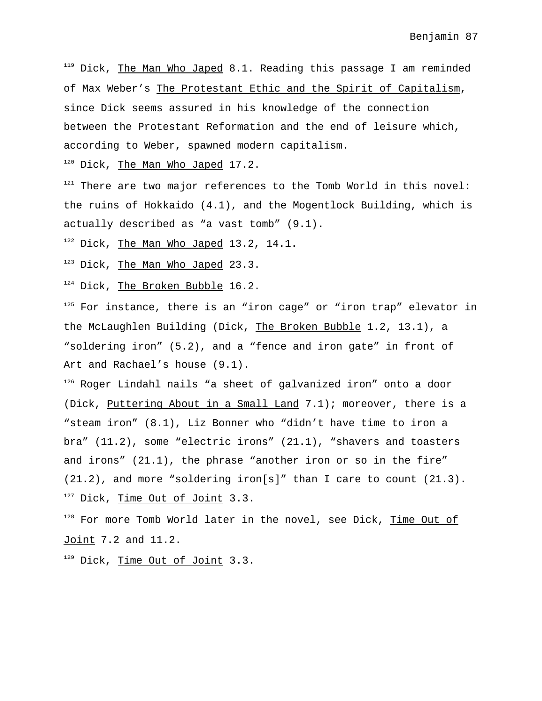<sup>119</sup> Dick, The Man Who Japed 8.1. Reading this passage I am reminded of Max Weber's The Protestant Ethic and the Spirit of Capitalism, since Dick seems assured in his knowledge of the connection between the Protestant Reformation and the end of leisure which, according to Weber, spawned modern capitalism.

 $120$  Dick, The Man Who Japed 17.2.

 $121$  There are two major references to the Tomb World in this novel: the ruins of Hokkaido (4.1), and the Mogentlock Building, which is actually described as "a vast tomb" (9.1).

122 Dick, The Man Who Japed 13.2, 14.1.

<sup>123</sup> Dick, The Man Who Japed 23.3.

<sup>124</sup> Dick, The Broken Bubble 16.2.

 $125$  For instance, there is an "iron cage" or "iron trap" elevator in the McLaughlen Building (Dick, The Broken Bubble 1.2, 13.1), a "soldering iron" (5.2), and a "fence and iron gate" in front of Art and Rachael's house (9.1).

126 Roger Lindahl nails "a sheet of galvanized iron" onto a door (Dick, Puttering About in a Small Land 7.1); moreover, there is a "steam iron" (8.1), Liz Bonner who "didn't have time to iron a bra" (11.2), some "electric irons" (21.1), "shavers and toasters and irons" (21.1), the phrase "another iron or so in the fire" (21.2), and more "soldering iron[s]" than I care to count (21.3). <sup>127</sup> Dick, Time Out of Joint 3.3.

128 For more Tomb World later in the novel, see Dick, Time Out of Joint 7.2 and 11.2.

<sup>129</sup> Dick, Time Out of Joint 3.3.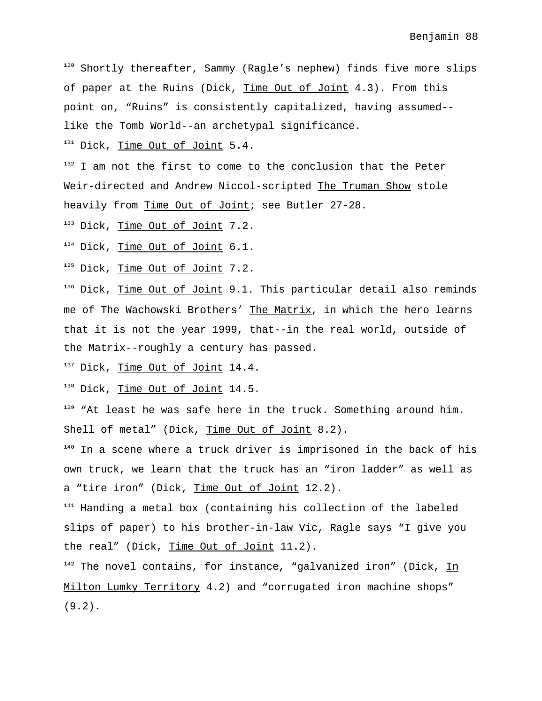130 Shortly thereafter, Sammy (Ragle's nephew) finds five more slips of paper at the Ruins (Dick, Time Out of Joint 4.3). From this point on, "Ruins" is consistently capitalized, having assumed- like the Tomb World--an archetypal significance.

<sup>131</sup> Dick, Time Out of Joint 5.4.

132 I am not the first to come to the conclusion that the Peter Weir-directed and Andrew Niccol-scripted The Truman Show stole heavily from Time Out of Joint; see Butler 27-28.

<sup>133</sup> Dick, Time Out of Joint 7.2.

<sup>134</sup> Dick, Time Out of Joint 6.1.

<sup>135</sup> Dick, Time Out of Joint 7.2.

<sup>136</sup> Dick, Time Out of Joint 9.1. This particular detail also reminds me of The Wachowski Brothers' The Matrix, in which the hero learns that it is not the year 1999, that--in the real world, outside of the Matrix--roughly a century has passed.

137 Dick, Time Out of Joint 14.4.

<sup>138</sup> Dick, Time Out of Joint 14.5.

 $139$  "At least he was safe here in the truck. Something around him. Shell of metal" (Dick, Time Out of Joint 8.2).

<sup>140</sup> In a scene where a truck driver is imprisoned in the back of his own truck, we learn that the truck has an "iron ladder" as well as a "tire iron" (Dick, Time Out of Joint 12.2).

<sup>141</sup> Handing a metal box (containing his collection of the labeled slips of paper) to his brother-in-law Vic, Ragle says "I give you the real" (Dick, Time Out of Joint 11.2).

 $142$  The novel contains, for instance, "galvanized iron" (Dick, In Milton Lumky Territory 4.2) and "corrugated iron machine shops"  $(9.2)$ .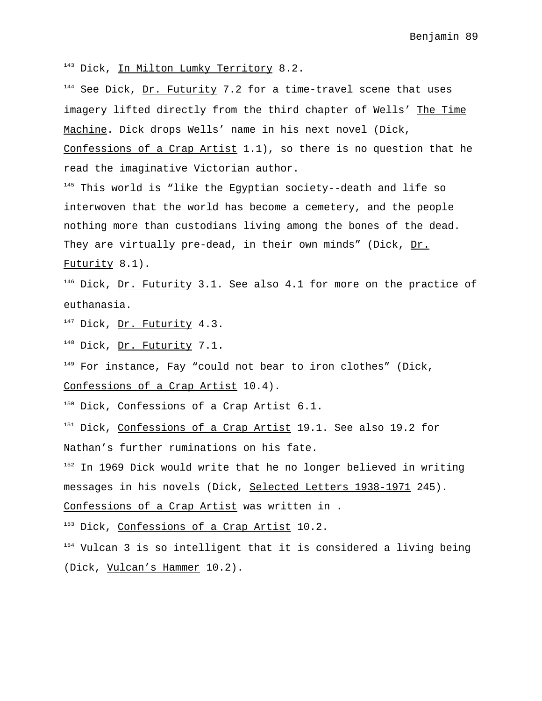Benjamin 89

143 Dick, In Milton Lumky Territory 8.2.

 $144$  See Dick, Dr. Futurity 7.2 for a time-travel scene that uses imagery lifted directly from the third chapter of Wells' The Time Machine. Dick drops Wells' name in his next novel (Dick, Confessions of a Crap Artist 1.1), so there is no question that he read the imaginative Victorian author.

<sup>145</sup> This world is "like the Egyptian society--death and life so interwoven that the world has become a cemetery, and the people nothing more than custodians living among the bones of the dead. They are virtually pre-dead, in their own minds" (Dick, Dr. Futurity 8.1).

 $146$  Dick, Dr. Futurity 3.1. See also 4.1 for more on the practice of euthanasia.

<sup>147</sup> Dick, Dr. Futurity 4.3.

<sup>148</sup> Dick, Dr. Futurity 7.1.

 $149$  For instance, Fay "could not bear to iron clothes" (Dick, Confessions of a Crap Artist 10.4).

<sup>150</sup> Dick, Confessions of a Crap Artist 6.1.

<sup>151</sup> Dick, Confessions of a Crap Artist 19.1. See also 19.2 for Nathan's further ruminations on his fate.

 $152$  In 1969 Dick would write that he no longer believed in writing messages in his novels (Dick, Selected Letters 1938-1971 245). Confessions of a Crap Artist was written in .

<sup>153</sup> Dick, Confessions of a Crap Artist 10.2.

<sup>154</sup> Vulcan 3 is so intelligent that it is considered a living being (Dick, Vulcan's Hammer 10.2).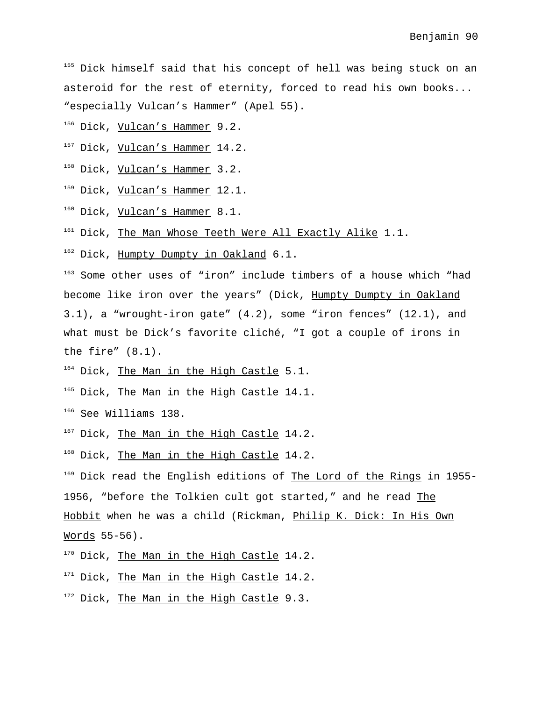<sup>155</sup> Dick himself said that his concept of hell was being stuck on an asteroid for the rest of eternity, forced to read his own books... "especially Vulcan's Hammer" (Apel 55).

156 Dick, Vulcan's Hammer 9.2.

<sup>157</sup> Dick, Vulcan's Hammer 14.2.

- 158 Dick, Vulcan's Hammer 3.2.
- <sup>159</sup> Dick, Vulcan's Hammer 12.1.
- 160 Dick, Vulcan's Hammer 8.1.

<sup>161</sup> Dick, The Man Whose Teeth Were All Exactly Alike 1.1.

<sup>162</sup> Dick, Humpty Dumpty in Oakland 6.1.

163 Some other uses of "iron" include timbers of a house which "had become like iron over the years" (Dick, Humpty Dumpty in Oakland 3.1), a "wrought-iron gate" (4.2), some "iron fences" (12.1), and what must be Dick's favorite cliché, "I got a couple of irons in the fire" (8.1).

<sup>164</sup> Dick, The Man in the High Castle 5.1.

165 Dick, The Man in the High Castle 14.1.

<sup>166</sup> See Williams 138.

<sup>167</sup> Dick, The Man in the High Castle 14.2.

168 Dick, The Man in the High Castle 14.2.

169 Dick read the English editions of The Lord of the Rings in 1955-1956, "before the Tolkien cult got started," and he read The Hobbit when he was a child (Rickman, Philip K. Dick: In His Own Words 55-56).

- 170 Dick, The Man in the High Castle 14.2.
- 171 Dick, The Man in the High Castle 14.2.
- 172 Dick, The Man in the High Castle 9.3.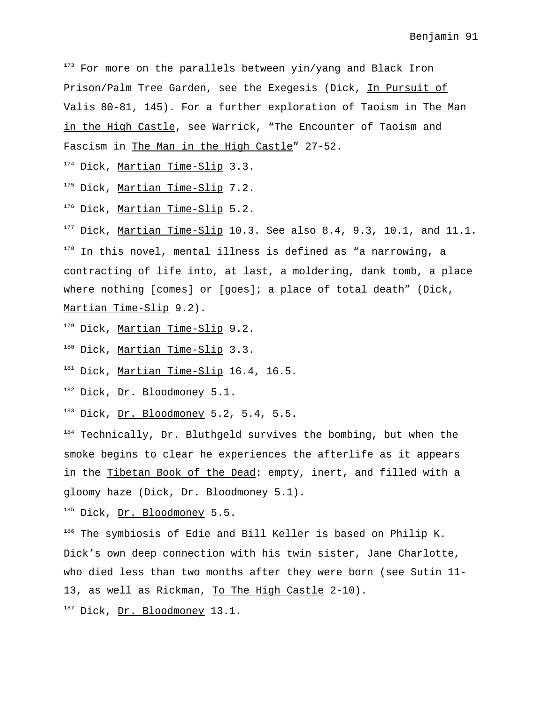<sup>173</sup> For more on the parallels between yin/yang and Black Iron Prison/Palm Tree Garden, see the Exegesis (Dick, In Pursuit of Valis 80-81, 145). For a further exploration of Taoism in The Man in the High Castle, see Warrick, "The Encounter of Taoism and Fascism in The Man in the High Castle" 27-52.

- <sup>174</sup> Dick, Martian Time-Slip 3.3.
- <sup>175</sup> Dick, Martian Time-Slip 7.2.
- 176 Dick, Martian Time-Slip 5.2.

 $177$  Dick, Martian Time-Slip 10.3. See also 8.4, 9.3, 10.1, and 11.1.  $178$  In this novel, mental illness is defined as "a narrowing, a contracting of life into, at last, a moldering, dank tomb, a place where nothing [comes] or [goes]; a place of total death" (Dick, Martian Time-Slip 9.2).

- <sup>179</sup> Dick, Martian Time-Slip 9.2.
- Dick, Martian Time-Slip 3.3.
- <sup>181</sup> Dick, Martian Time-Slip 16.4, 16.5.
- 182 Dick, Dr. Bloodmoney 5.1.
- 183 Dick, Dr. Bloodmoney 5.2, 5.4, 5.5.

 $184$  Technically, Dr. Bluthgeld survives the bombing, but when the smoke begins to clear he experiences the afterlife as it appears in the Tibetan Book of the Dead: empty, inert, and filled with a gloomy haze (Dick, Dr. Bloodmoney 5.1).

<sup>185</sup> Dick, Dr. Bloodmoney 5.5.

 $186$  The symbiosis of Edie and Bill Keller is based on Philip K. Dick's own deep connection with his twin sister, Jane Charlotte, who died less than two months after they were born (see Sutin 11- 13, as well as Rickman, To The High Castle 2-10).

<sup>187</sup> Dick, Dr. Bloodmoney 13.1.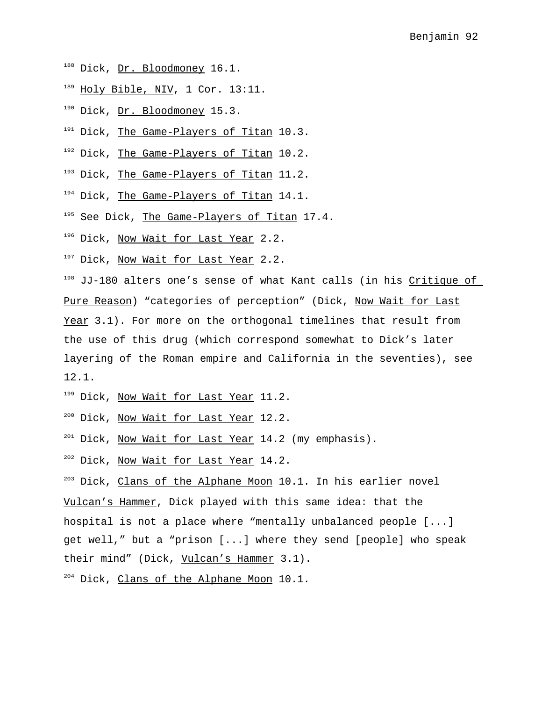- 188 Dick, Dr. Bloodmoney 16.1.
- 189 Holy Bible, NIV, 1 Cor. 13:11.
- <sup>190</sup> Dick, Dr. Bloodmoney 15.3.
- <sup>191</sup> Dick, The Game-Players of Titan 10.3.
- 192 Dick, The Game-Players of Titan 10.2.
- Dick, The Game-Players of Titan 11.2.
- <sup>194</sup> Dick, The Game-Players of Titan 14.1.
- 195 See Dick, The Game-Players of Titan 17.4.
- 196 Dick, Now Wait for Last Year 2.2.
- <sup>197</sup> Dick, Now Wait for Last Year 2.2.

198 JJ-180 alters one's sense of what Kant calls (in his Critique of Pure Reason) "categories of perception" (Dick, Now Wait for Last Year 3.1). For more on the orthogonal timelines that result from the use of this drug (which correspond somewhat to Dick's later layering of the Roman empire and California in the seventies), see 12.1.

- <sup>199</sup> Dick, Now Wait for Last Year 11.2.
- <sup>200</sup> Dick, <u>Now Wait for Last Year</u> 12.2.
- $201$  Dick, Now Wait for Last Year 14.2 (my emphasis).
- <sup>202</sup> Dick, Now Wait for Last Year 14.2.

<sup>203</sup> Dick, Clans of the Alphane Moon 10.1. In his earlier novel Vulcan's Hammer, Dick played with this same idea: that the hospital is not a place where "mentally unbalanced people [...] get well," but a "prison [...] where they send [people] who speak their mind" (Dick, Vulcan's Hammer 3.1).

 $204$  Dick, Clans of the Alphane Moon 10.1.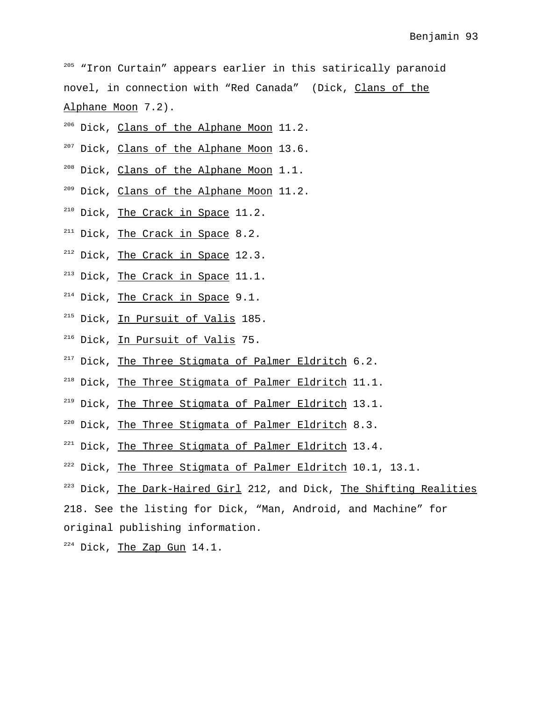<sup>205</sup> "Iron Curtain" appears earlier in this satirically paranoid novel, in connection with "Red Canada" (Dick, Clans of the Alphane Moon 7.2).

- $206$  Dick, Clans of the Alphane Moon 11.2.
- <sup>207</sup> Dick, Clans of the Alphane Moon 13.6.
- $208$  Dick, Clans of the Alphane Moon 1.1.
- $209$  Dick, Clans of the Alphane Moon 11.2.
- <sup>210</sup> Dick, The Crack in Space 11.2.
- $211$  Dick, The Crack in Space 8.2.
- $212$  Dick, The Crack in Space 12.3.
- $213$  Dick, The Crack in Space 11.1.
- $214$  Dick, The Crack in Space 9.1.
- <sup>215</sup> Dick, In Pursuit of Valis 185.
- <sup>216</sup> Dick, In Pursuit of Valis 75.
- $217$  Dick, The Three Stigmata of Palmer Eldritch 6.2.
- <sup>218</sup> Dick, The Three Stigmata of Palmer Eldritch 11.1.
- <sup>219</sup> Dick, The Three Stigmata of Palmer Eldritch 13.1.
- <sup>220</sup> Dick, The Three Stigmata of Palmer Eldritch 8.3.
- <sup>221</sup> Dick, The Three Stigmata of Palmer Eldritch 13.4.
- <sup>222</sup> Dick, The Three Stigmata of Palmer Eldritch 10.1, 13.1.
- <sup>223</sup> Dick, The Dark-Haired Girl 212, and Dick, The Shifting Realities
- 218. See the listing for Dick, "Man, Android, and Machine" for
- original publishing information.
- $224$  Dick, The Zap Gun 14.1.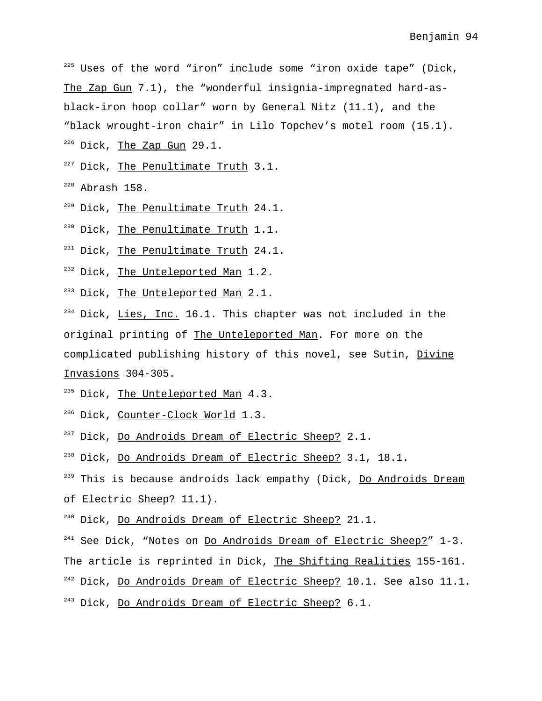$225$  Uses of the word "iron" include some "iron oxide tape" (Dick, The Zap Gun 7.1), the "wonderful insignia-impregnated hard-asblack-iron hoop collar" worn by General Nitz (11.1), and the "black wrought-iron chair" in Lilo Topchev's motel room (15.1).  $226$  Dick, The Zap Gun 29.1.

- <sup>227</sup> Dick, The Penultimate Truth 3.1.
- $228$  Abrash 158.
- <sup>229</sup> Dick, The Penultimate Truth 24.1.
- <sup>230</sup> Dick, The Penultimate Truth 1.1.
- <sup>231</sup> Dick, The Penultimate Truth 24.1.
- <sup>232</sup> Dick, The Unteleported Man 1.2.
- Dick, The Unteleported Man 2.1.

 $2^{234}$  Dick, Lies, Inc. 16.1. This chapter was not included in the original printing of The Unteleported Man. For more on the complicated publishing history of this novel, see Sutin, Divine Invasions 304-305.

- <sup>235</sup> Dick, The Unteleported Man 4.3.
- <sup>236</sup> Dick, Counter-Clock World 1.3.
- <sup>237</sup> Dick, Do Androids Dream of Electric Sheep? 2.1.
- <sup>238</sup> Dick, Do Androids Dream of Electric Sheep? 3.1, 18.1.
- <sup>239</sup> This is because androids lack empathy (Dick, Do Androids Dream of Electric Sheep? 11.1).
- <sup>240</sup> Dick, Do Androids Dream of Electric Sheep? 21.1.
- $241$  See Dick, "Notes on Do Androids Dream of Electric Sheep?" 1-3. The article is reprinted in Dick, The Shifting Realities 155-161. <sup>242</sup> Dick, Do Androids Dream of Electric Sheep? 10.1. See also 11.1.  $243$  Dick, Do Androids Dream of Electric Sheep? 6.1.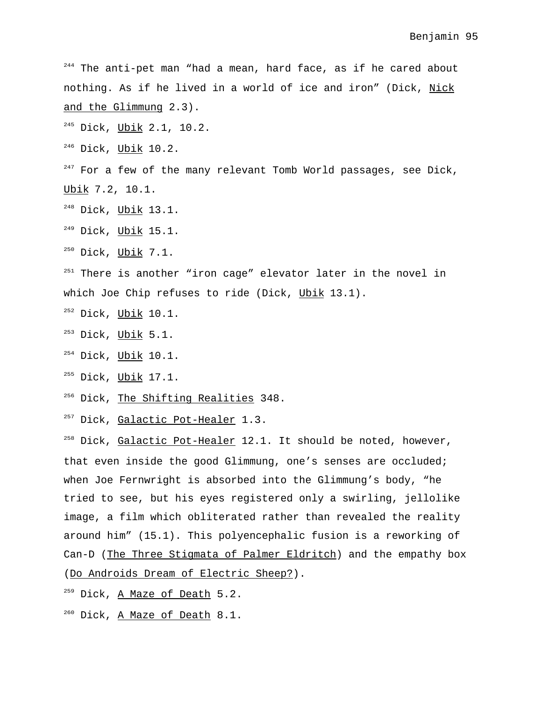$244$  The anti-pet man "had a mean, hard face, as if he cared about nothing. As if he lived in a world of ice and iron" (Dick, Nick and the Glimmung 2.3).

- <sup>245</sup> Dick, Ubik 2.1, 10.2.
- <sup>246</sup> Dick, Ubik 10.2.

 $247$  For a few of the many relevant Tomb World passages, see Dick, Ubik 7.2, 10.1.

- $248$  Dick, Ubik 13.1.
- $249$  Dick, Ubik 15.1.
- $250$  Dick, Ubik 7.1.

<sup>251</sup> There is another "iron cage" elevator later in the novel in which Joe Chip refuses to ride (Dick, Ubik 13.1).

- $252$  Dick, Ubik 10.1.
- $253$  Dick, Ubik 5.1.
- $254$  Dick, Ubik 10.1.
- $255$  Dick, Ubik 17.1.
- <sup>256</sup> Dick, The Shifting Realities 348.
- <sup>257</sup> Dick, Galactic Pot-Healer 1.3.

 $^{258}$  Dick, Galactic Pot-Healer 12.1. It should be noted, however, that even inside the good Glimmung, one's senses are occluded; when Joe Fernwright is absorbed into the Glimmung's body, "he tried to see, but his eyes registered only a swirling, jellolike image, a film which obliterated rather than revealed the reality around him" (15.1). This polyencephalic fusion is a reworking of Can-D (The Three Stigmata of Palmer Eldritch) and the empathy box (Do Androids Dream of Electric Sheep?).

- <sup>259</sup> Dick, A Maze of Death 5.2.
- <sup>260</sup> Dick, <u>A Maze of Death</u> 8.1.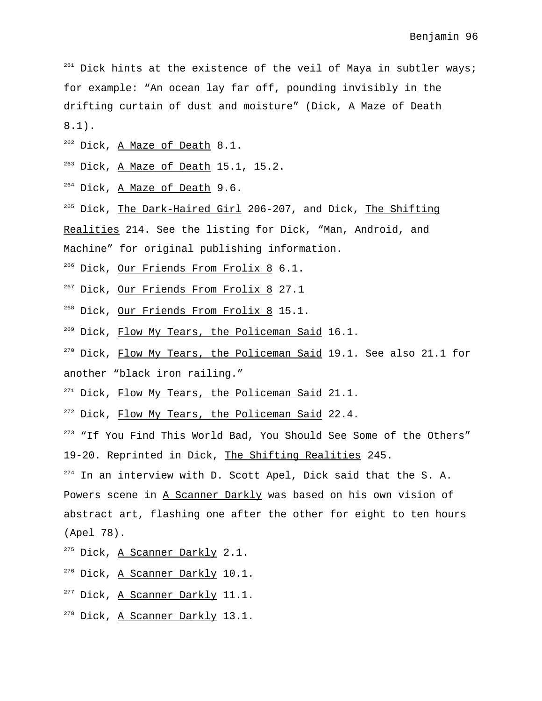$261$  Dick hints at the existence of the veil of Maya in subtler ways; for example: "An ocean lay far off, pounding invisibly in the drifting curtain of dust and moisture" (Dick, A Maze of Death  $8.1$ ).

- <sup>262</sup> Dick, <u>A Maze of Death</u> 8.1.
- $263$  Dick, A Maze of Death 15.1, 15.2.
- <sup>264</sup> Dick, A Maze of Death 9.6.
- <sup>265</sup> Dick, The Dark-Haired Girl 206-207, and Dick, The Shifting
- Realities 214. See the listing for Dick, "Man, Android, and

Machine" for original publishing information.

- <sup>266</sup> Dick, Our Friends From Frolix 8 6.1.
- <sup>267</sup> Dick, Our Friends From Frolix 8 27.1
- <sup>268</sup> Dick, Our Friends From Frolix 8 15.1.
- <sup>269</sup> Dick, Flow My Tears, the Policeman Said 16.1.
- <sup>270</sup> Dick, Flow My Tears, the Policeman Said 19.1. See also 21.1 for another "black iron railing."
- <sup>271</sup> Dick, Flow My Tears, the Policeman Said 21.1.
- <sup>272</sup> Dick, Flow My Tears, the Policeman Said 22.4.

<sup>273</sup> "If You Find This World Bad, You Should See Some of the Others" 19-20. Reprinted in Dick, The Shifting Realities 245.

 $274$  In an interview with D. Scott Apel, Dick said that the S. A. Powers scene in A Scanner Darkly was based on his own vision of abstract art, flashing one after the other for eight to ten hours (Apel 78).

- <sup>275</sup> Dick, A Scanner Darkly 2.1.
- <sup>276</sup> Dick, A Scanner Darkly 10.1.
- $277$  Dick, A Scanner Darkly 11.1.
- <sup>278</sup> Dick, A Scanner Darkly 13.1.